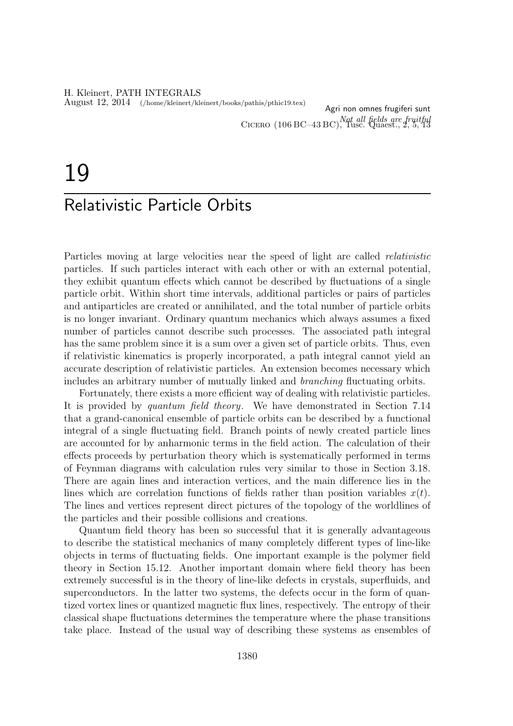H. Kleinert, PATH INTEGRALS August 12, 2014 (/home/kleinert/kleinert/books/pathis/pthic19.tex)

Agri non omnes frugiferi sunt CICERO  $(106 \text{ BC} - 43 \text{ BC})$ , Tusc. Quaest., 2, 5, 13

# 19

# Relativistic Particle Orbits

Particles moving at large velocities near the speed of light are called relativistic particles. If such particles interact with each other or with an external potential, they exhibit quantum effects which cannot be described by fluctuations of a single particle orbit. Within short time intervals, additional particles or pairs of particles and antiparticles are created or annihilated, and the total number of particle orbits is no longer invariant. Ordinary quantum mechanics which always assumes a fixed number of particles cannot describe such processes. The associated path integral has the same problem since it is a sum over a given set of particle orbits. Thus, even if relativistic kinematics is properly incorporated, a path integral cannot yield an accurate description of relativistic particles. An extension becomes necessary which includes an arbitrary number of mutually linked and branching fluctuating orbits.

Fortunately, there exists a more efficient way of dealing with relativistic particles. It is provided by quantum field theory. We have demonstrated in Section 7.14 that a grand-canonical ensemble of particle orbits can be described by a functional integral of a single fluctuating field. Branch points of newly created particle lines are accounted for by anharmonic terms in the field action. The calculation of their effects proceeds by perturbation theory which is systematically performed in terms of Feynman diagrams with calculation rules very similar to those in Section 3.18. There are again lines and interaction vertices, and the main difference lies in the lines which are correlation functions of fields rather than position variables  $x(t)$ . The lines and vertices represent direct pictures of the topology of the worldlines of the particles and their possible collisions and creations.

Quantum field theory has been so successful that it is generally advantageous to describe the statistical mechanics of many completely different types of line-like objects in terms of fluctuating fields. One important example is the polymer field theory in Section 15.12. Another important domain where field theory has been extremely successful is in the theory of line-like defects in crystals, superfluids, and superconductors. In the latter two systems, the defects occur in the form of quantized vortex lines or quantized magnetic flux lines, respectively. The entropy of their classical shape fluctuations determines the temperature where the phase transitions take place. Instead of the usual way of describing these systems as ensembles of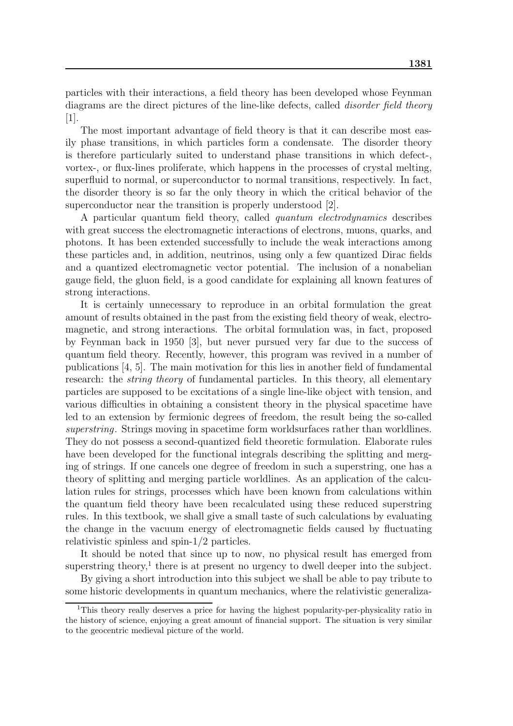particles with their interactions, a field theory has been developed whose Feynman diagrams are the direct pictures of the line-like defects, called *disorder field theory* [1].

The most important advantage of field theory is that it can describe most easily phase transitions, in which particles form a condensate. The disorder theory is therefore particularly suited to understand phase transitions in which defect-, vortex-, or flux-lines proliferate, which happens in the processes of crystal melting, superfluid to normal, or superconductor to normal transitions, respectively. In fact, the disorder theory is so far the only theory in which the critical behavior of the superconductor near the transition is properly understood [2].

A particular quantum field theory, called quantum electrodynamics describes with great success the electromagnetic interactions of electrons, muons, quarks, and photons. It has been extended successfully to include the weak interactions among these particles and, in addition, neutrinos, using only a few quantized Dirac fields and a quantized electromagnetic vector potential. The inclusion of a nonabelian gauge field, the gluon field, is a good candidate for explaining all known features of strong interactions.

It is certainly unnecessary to reproduce in an orbital formulation the great amount of results obtained in the past from the existing field theory of weak, electromagnetic, and strong interactions. The orbital formulation was, in fact, proposed by Feynman back in 1950 [3], but never pursued very far due to the success of quantum field theory. Recently, however, this program was revived in a number of publications [4, 5]. The main motivation for this lies in another field of fundamental research: the *string theory* of fundamental particles. In this theory, all elementary particles are supposed to be excitations of a single line-like object with tension, and various difficulties in obtaining a consistent theory in the physical spacetime have led to an extension by fermionic degrees of freedom, the result being the so-called superstring. Strings moving in spacetime form worldsurfaces rather than worldlines. They do not possess a second-quantized field theoretic formulation. Elaborate rules have been developed for the functional integrals describing the splitting and merging of strings. If one cancels one degree of freedom in such a superstring, one has a theory of splitting and merging particle worldlines. As an application of the calculation rules for strings, processes which have been known from calculations within the quantum field theory have been recalculated using these reduced superstring rules. In this textbook, we shall give a small taste of such calculations by evaluating the change in the vacuum energy of electromagnetic fields caused by fluctuating relativistic spinless and spin-1/2 particles.

It should be noted that since up to now, no physical result has emerged from superstring theory,<sup>1</sup> there is at present no urgency to dwell deeper into the subject.

By giving a short introduction into this subject we shall be able to pay tribute to some historic developments in quantum mechanics, where the relativistic generaliza-

<sup>&</sup>lt;sup>1</sup>This theory really deserves a price for having the highest popularity-per-physicality ratio in the history of science, enjoying a great amount of financial support. The situation is very similar to the geocentric medieval picture of the world.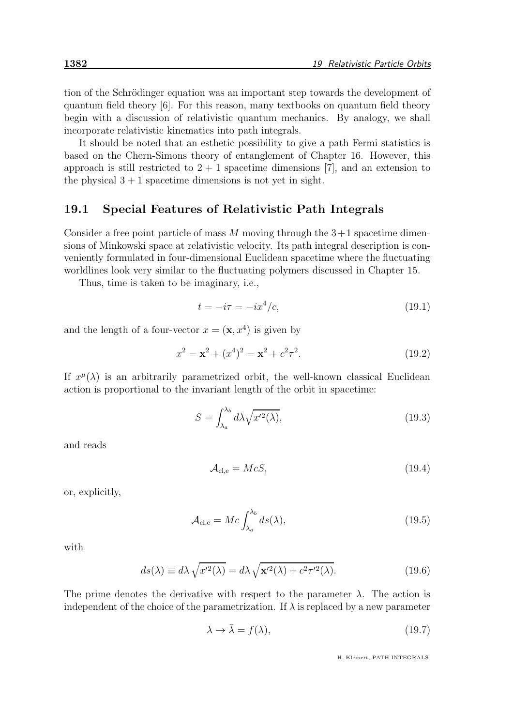tion of the Schrödinger equation was an important step towards the development of quantum field theory [6]. For this reason, many textbooks on quantum field theory begin with a discussion of relativistic quantum mechanics. By analogy, we shall incorporate relativistic kinematics into path integrals.

It should be noted that an esthetic possibility to give a path Fermi statistics is based on the Chern-Simons theory of entanglement of Chapter 16. However, this approach is still restricted to  $2 + 1$  spacetime dimensions [7], and an extension to the physical  $3 + 1$  spacetime dimensions is not yet in sight.

# 19.1 Special Features of Relativistic Path Integrals

Consider a free point particle of mass M moving through the  $3+1$  spacetime dimensions of Minkowski space at relativistic velocity. Its path integral description is conveniently formulated in four-dimensional Euclidean spacetime where the fluctuating worldlines look very similar to the fluctuating polymers discussed in Chapter 15.

Thus, time is taken to be imaginary, i.e.,

$$
t = -i\tau = -ix^4/c,\tag{19.1}
$$

and the length of a four-vector  $x = (\mathbf{x}, x^4)$  is given by

$$
x^{2} = \mathbf{x}^{2} + (x^{4})^{2} = \mathbf{x}^{2} + c^{2}\tau^{2}.
$$
 (19.2)

If  $x^{\mu}(\lambda)$  is an arbitrarily parametrized orbit, the well-known classical Euclidean action is proportional to the invariant length of the orbit in spacetime:

$$
S = \int_{\lambda_a}^{\lambda_b} d\lambda \sqrt{x'^2(\lambda)},\tag{19.3}
$$

and reads

$$
\mathcal{A}_{\text{cl,e}} = McS,\tag{19.4}
$$

or, explicitly,

$$
\mathcal{A}_{\text{cl,e}} = Mc \int_{\lambda_a}^{\lambda_b} ds(\lambda), \qquad (19.5)
$$

with

$$
ds(\lambda) \equiv d\lambda \sqrt{x'^2(\lambda)} = d\lambda \sqrt{x'^2(\lambda) + c^2 \tau'^2(\lambda)}.
$$
 (19.6)

The prime denotes the derivative with respect to the parameter  $\lambda$ . The action is independent of the choice of the parametrization. If  $\lambda$  is replaced by a new parameter

$$
\lambda \to \bar{\lambda} = f(\lambda),\tag{19.7}
$$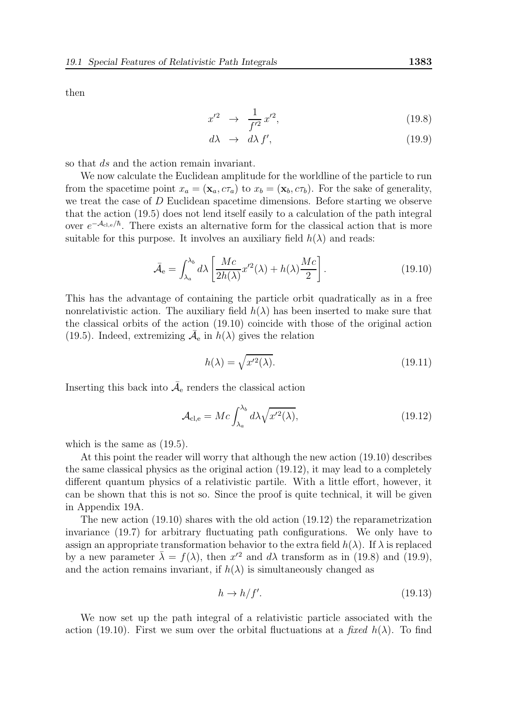then

$$
x'^2 \to \frac{1}{f'^2} x'^2, \tag{19.8}
$$

$$
d\lambda \rightarrow d\lambda f', \qquad (19.9)
$$

so that ds and the action remain invariant.

We now calculate the Euclidean amplitude for the worldline of the particle to run from the spacetime point  $x_a = (\mathbf{x}_a, c\tau_a)$  to  $x_b = (\mathbf{x}_b, c\tau_b)$ . For the sake of generality, we treat the case of D Euclidean spacetime dimensions. Before starting we observe that the action (19.5) does not lend itself easily to a calculation of the path integral over  $e^{-\mathcal{A}_{\text{cl,e}}/\hbar}$ . There exists an alternative form for the classical action that is more suitable for this purpose. It involves an auxiliary field  $h(\lambda)$  and reads:

$$
\bar{\mathcal{A}}_{\mathbf{e}} = \int_{\lambda_a}^{\lambda_b} d\lambda \left[ \frac{Mc}{2h(\lambda)} x'^2(\lambda) + h(\lambda) \frac{Mc}{2} \right]. \tag{19.10}
$$

This has the advantage of containing the particle orbit quadratically as in a free nonrelativistic action. The auxiliary field  $h(\lambda)$  has been inserted to make sure that the classical orbits of the action (19.10) coincide with those of the original action (19.5). Indeed, extremizing  $\bar{\mathcal{A}}_e$  in  $h(\lambda)$  gives the relation

$$
h(\lambda) = \sqrt{x'^2(\lambda)}.\tag{19.11}
$$

Inserting this back into  $\bar{A}_{e}$  renders the classical action

$$
\mathcal{A}_{\text{cl,e}} = Mc \int_{\lambda_a}^{\lambda_b} d\lambda \sqrt{x'^2(\lambda)},\tag{19.12}
$$

which is the same as (19.5).

At this point the reader will worry that although the new action (19.10) describes the same classical physics as the original action (19.12), it may lead to a completely different quantum physics of a relativistic partile. With a little effort, however, it can be shown that this is not so. Since the proof is quite technical, it will be given in Appendix 19A.

The new action (19.10) shares with the old action (19.12) the reparametrization invariance (19.7) for arbitrary fluctuating path configurations. We only have to assign an appropriate transformation behavior to the extra field  $h(\lambda)$ . If  $\lambda$  is replaced by a new parameter  $\bar{\lambda} = f(\lambda)$ , then  $x'^2$  and  $d\lambda$  transform as in (19.8) and (19.9), and the action remains invariant, if  $h(\lambda)$  is simultaneously changed as

$$
h \to h/f'.
$$
\n<sup>(19.13)</sup>

We now set up the path integral of a relativistic particle associated with the action (19.10). First we sum over the orbital fluctuations at a fixed  $h(\lambda)$ . To find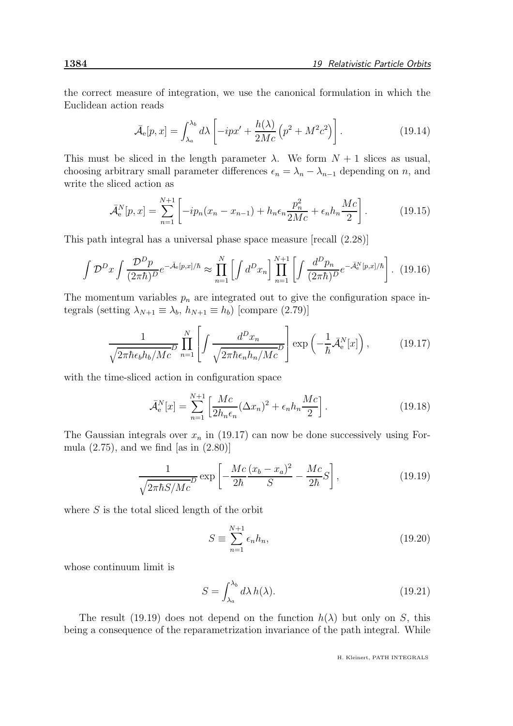the correct measure of integration, we use the canonical formulation in which the Euclidean action reads

$$
\bar{\mathcal{A}}_{\rm e}[p,x] = \int_{\lambda_a}^{\lambda_b} d\lambda \left[ -ipx' + \frac{h(\lambda)}{2Mc} \left( p^2 + M^2 c^2 \right) \right]. \tag{19.14}
$$

This must be sliced in the length parameter  $\lambda$ . We form  $N + 1$  slices as usual, choosing arbitrary small parameter differences  $\epsilon_n = \lambda_n - \lambda_{n-1}$  depending on n, and write the sliced action as

$$
\bar{\mathcal{A}}_e^N[p,x] = \sum_{n=1}^{N+1} \left[ -ip_n(x_n - x_{n-1}) + h_n \epsilon_n \frac{p_n^2}{2Mc} + \epsilon_n h_n \frac{Mc}{2} \right].
$$
 (19.15)

This path integral has a universal phase space measure [recall (2.28)]

$$
\int \mathcal{D}^D x \int \frac{\mathcal{D}^D p}{(2\pi\hbar)^D} e^{-\bar{A}_e[p,x]/\hbar} \approx \prod_{n=1}^N \left[ \int d^D x_n \right] \prod_{n=1}^{N+1} \left[ \int \frac{d^D p_n}{(2\pi\hbar)^D} e^{-\bar{A}_e^N[p,x]/\hbar} \right]. \tag{19.16}
$$

The momentum variables  $p_n$  are integrated out to give the configuration space integrals (setting  $\lambda_{N+1} \equiv \lambda_b$ ,  $h_{N+1} \equiv h_b$ ) [compare (2.79)]

$$
\frac{1}{\sqrt{2\pi\hbar\epsilon_b h_b/Mc}} \prod_{n=1}^N \left[ \int \frac{d^D x_n}{\sqrt{2\pi\hbar\epsilon_n h_n/Mc}} \right] \exp\left(-\frac{1}{\hbar} \bar{\mathcal{A}}_e^N[x]\right),\tag{19.17}
$$

with the time-sliced action in configuration space

$$
\bar{\mathcal{A}}_e^N[x] = \sum_{n=1}^{N+1} \left[ \frac{Mc}{2h_n \epsilon_n} (\Delta x_n)^2 + \epsilon_n h_n \frac{Mc}{2} \right]. \tag{19.18}
$$

The Gaussian integrals over  $x_n$  in (19.17) can now be done successively using Formula  $(2.75)$ , and we find [as in  $(2.80)$ ]

$$
\frac{1}{\sqrt{2\pi\hbar S/Mc}} \exp\left[-\frac{Mc}{2\hbar} \frac{(x_b - x_a)^2}{S} - \frac{Mc}{2\hbar}S\right],\tag{19.19}
$$

where  $S$  is the total sliced length of the orbit

$$
S \equiv \sum_{n=1}^{N+1} \epsilon_n h_n,\tag{19.20}
$$

whose continuum limit is

$$
S = \int_{\lambda_a}^{\lambda_b} d\lambda \, h(\lambda). \tag{19.21}
$$

The result (19.19) does not depend on the function  $h(\lambda)$  but only on S, this being a consequence of the reparametrization invariance of the path integral. While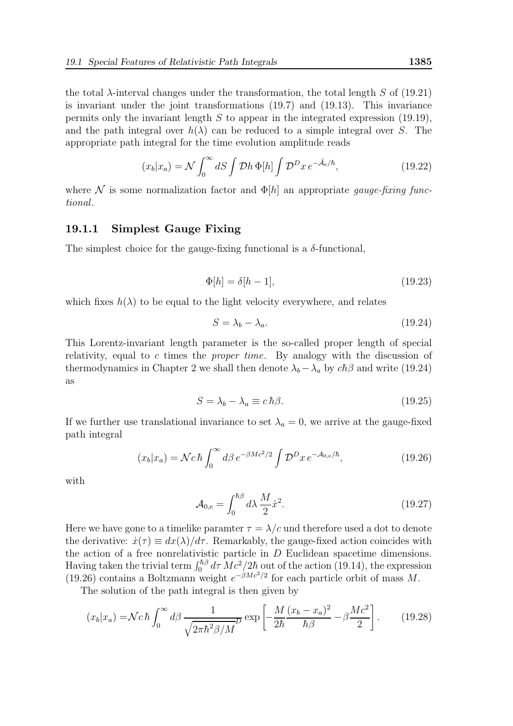the total  $\lambda$ -interval changes under the transformation, the total length S of (19.21) is invariant under the joint transformations (19.7) and (19.13). This invariance permits only the invariant length  $S$  to appear in the integrated expression (19.19), and the path integral over  $h(\lambda)$  can be reduced to a simple integral over S. The appropriate path integral for the time evolution amplitude reads

$$
(x_b|x_a) = \mathcal{N} \int_0^\infty dS \int \mathcal{D}h \, \Phi[h] \int \mathcal{D}^D x \, e^{-\bar{\mathcal{A}}_e/\hbar},\tag{19.22}
$$

where N is some normalization factor and  $\Phi[h]$  an appropriate *gauge-fixing func*tional.

#### 19.1.1 Simplest Gauge Fixing

The simplest choice for the gauge-fixing functional is a  $\delta$ -functional,

$$
\Phi[h] = \delta[h-1],\tag{19.23}
$$

which fixes  $h(\lambda)$  to be equal to the light velocity everywhere, and relates

$$
S = \lambda_b - \lambda_a. \tag{19.24}
$$

This Lorentz-invariant length parameter is the so-called proper length of special relativity, equal to c times the *proper time*. By analogy with the discussion of thermodynamics in Chapter 2 we shall then denote  $\lambda_b - \lambda_a$  by  $c\hbar\beta$  and write (19.24) as

$$
S = \lambda_b - \lambda_a \equiv c \,\hbar \beta. \tag{19.25}
$$

If we further use translational invariance to set  $\lambda_a = 0$ , we arrive at the gauge-fixed path integral

$$
(x_b|x_a) = \mathcal{N}c\,\hbar \int_0^\infty d\beta \, e^{-\beta Mc^2/2} \int \mathcal{D}^D x \, e^{-\mathcal{A}_{0,e}/\hbar},\tag{19.26}
$$

with

$$
\mathcal{A}_{0,e} = \int_0^{\hbar \beta} d\lambda \, \frac{M}{2} \dot{x}^2. \tag{19.27}
$$

Here we have gone to a timelike paramter  $\tau = \lambda/c$  und therefore used a dot to denote the derivative:  $\dot{x}(\tau) \equiv dx(\lambda)/d\tau$ . Remarkably, the gauge-fixed action coincides with the action of a free nonrelativistic particle in D Euclidean spacetime dimensions. Having taken the trivial term  $\int_0^{\hbar \beta} d\tau \, M c^2 / 2\hbar$  out of the action (19.14), the expression (19.26) contains a Boltzmann weight  $e^{-\beta Mc^2/2}$  for each particle orbit of mass M.

The solution of the path integral is then given by

$$
(x_b|x_a) = \mathcal{N}c\,\hbar \int_0^\infty d\beta \, \frac{1}{\sqrt{2\pi\hbar^2 \beta/M}} \exp\left[-\frac{M}{2\hbar} \frac{(x_b - x_a)^2}{\hbar \beta} - \beta \frac{Mc^2}{2}\right].\tag{19.28}
$$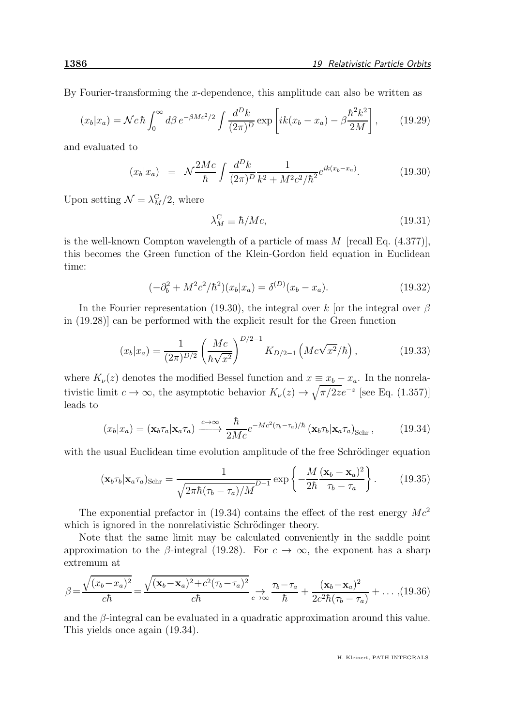By Fourier-transforming the  $x$ -dependence, this amplitude can also be written as

$$
(x_b|x_a) = \mathcal{N}c\,\hbar \int_0^\infty d\beta \, e^{-\beta Mc^2/2} \int \frac{d^D k}{(2\pi)^D} \exp\left[ik(x_b - x_a) - \beta \frac{\hbar^2 k^2}{2M}\right],\tag{19.29}
$$

and evaluated to

$$
(x_b|x_a) = \mathcal{N}\frac{2Mc}{\hbar} \int \frac{d^D k}{(2\pi)^D} \frac{1}{k^2 + M^2 c^2/\hbar^2} e^{ik(x_b - x_a)}.
$$
 (19.30)

Upon setting  $\mathcal{N} = \lambda_M^{\text{C}}/2$ , where

$$
\lambda_M^{\rm C} \equiv \hbar / Mc,\tag{19.31}
$$

is the well-known Compton wavelength of a particle of mass  $M$  [recall Eq.  $(4.377)$ ], this becomes the Green function of the Klein-Gordon field equation in Euclidean time:

$$
(-\partial_b^2 + M^2 c^2 / \hbar^2)(x_b | x_a) = \delta^{(D)}(x_b - x_a). \tag{19.32}
$$

In the Fourier representation (19.30), the integral over k [or the integral over  $\beta$ in (19.28)] can be performed with the explicit result for the Green function

$$
(x_b|x_a) = \frac{1}{(2\pi)^{D/2}} \left(\frac{Mc}{\hbar\sqrt{x^2}}\right)^{D/2-1} K_{D/2-1} \left(Mc\sqrt{x^2}/\hbar\right),\tag{19.33}
$$

where  $K_{\nu}(z)$  denotes the modified Bessel function and  $x \equiv x_b - x_a$ . In the nonrelativistic limit  $c \to \infty$ , the asymptotic behavior  $K_{\nu}(z) \to \sqrt{\pi/2z}e^{-z}$  [see Eq. (1.357)] leads to

$$
(x_b|x_a) = (\mathbf{x}_b \tau_a | \mathbf{x}_a \tau_a) \xrightarrow{c \to \infty} \frac{\hbar}{2Mc} e^{-Mc^2(\tau_b - \tau_a)/\hbar} (\mathbf{x}_b \tau_b | \mathbf{x}_a \tau_a)_{\text{Schr}}, \tag{19.34}
$$

with the usual Euclidean time evolution amplitude of the free Schrödinger equation

$$
(\mathbf{x}_b \tau_b | \mathbf{x}_a \tau_a)_{\text{Schr}} = \frac{1}{\sqrt{2\pi\hbar(\tau_b - \tau_a)/M}} \exp\left\{-\frac{M}{2\hbar} \frac{(\mathbf{x}_b - \mathbf{x}_a)^2}{\tau_b - \tau_a}\right\}.
$$
 (19.35)

The exponential prefactor in (19.34) contains the effect of the rest energy  $Mc^2$ which is ignored in the nonrelativistic Schrödinger theory.

Note that the same limit may be calculated conveniently in the saddle point approximation to the  $\beta$ -integral (19.28). For  $c \to \infty$ , the exponent has a sharp extremum at

$$
\beta = \frac{\sqrt{(x_b - x_a)^2}}{c\hbar} = \frac{\sqrt{(\mathbf{x}_b - \mathbf{x}_a)^2 + c^2(\tau_b - \tau_a)^2}}{c\hbar} \xrightarrow{c \to \infty} \frac{\tau_b - \tau_a}{\hbar} + \frac{(\mathbf{x}_b - \mathbf{x}_a)^2}{2c^2\hbar(\tau_b - \tau_a)} + \dots, (19.36)
$$

and the  $\beta$ -integral can be evaluated in a quadratic approximation around this value. This yields once again (19.34).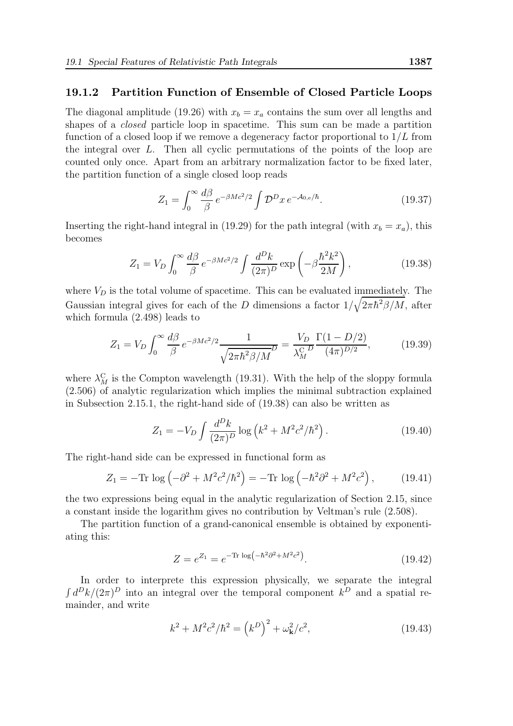# 19.1.2 Partition Function of Ensemble of Closed Particle Loops

The diagonal amplitude (19.26) with  $x_b = x_a$  contains the sum over all lengths and shapes of a closed particle loop in spacetime. This sum can be made a partition function of a closed loop if we remove a degeneracy factor proportional to  $1/L$  from the integral over L. Then all cyclic permutations of the points of the loop are counted only once. Apart from an arbitrary normalization factor to be fixed later, the partition function of a single closed loop reads

$$
Z_1 = \int_0^\infty \frac{d\beta}{\beta} e^{-\beta Mc^2/2} \int \mathcal{D}^D x e^{-\mathcal{A}_{0,\text{e}}/\hbar}.
$$
 (19.37)

Inserting the right-hand integral in (19.29) for the path integral (with  $x_b = x_a$ ), this becomes

$$
Z_1 = V_D \int_0^\infty \frac{d\beta}{\beta} e^{-\beta Mc^2/2} \int \frac{d^D k}{(2\pi)^D} \exp\left(-\beta \frac{\hbar^2 k^2}{2M}\right),\tag{19.38}
$$

where  $V_D$  is the total volume of spacetime. This can be evaluated immediately. The Gaussian integral gives for each of the D dimensions a factor  $1/\sqrt{2\pi\hbar^2\beta/M}$ , after which formula (2.498) leads to

$$
Z_1 = V_D \int_0^\infty \frac{d\beta}{\beta} e^{-\beta Mc^2/2} \frac{1}{\sqrt{2\pi \hbar^2 \beta/M}} = \frac{V_D}{\lambda_M^{\rm C} D} \frac{\Gamma(1 - D/2)}{(4\pi)^{D/2}},\tag{19.39}
$$

where  $\lambda_M^{\text{C}}$  is the Compton wavelength (19.31). With the help of the sloppy formula (2.506) of analytic regularization which implies the minimal subtraction explained in Subsection 2.15.1, the right-hand side of (19.38) can also be written as

$$
Z_1 = -V_D \int \frac{d^D k}{(2\pi)^D} \log \left( k^2 + M^2 c^2 / \hbar^2 \right).
$$
 (19.40)

The right-hand side can be expressed in functional form as

$$
Z_1 = -\text{Tr}\,\log\left(-\partial^2 + M^2 c^2 / \hbar^2\right) = -\text{Tr}\,\log\left(-\hbar^2 \partial^2 + M^2 c^2\right),\tag{19.41}
$$

the two expressions being equal in the analytic regularization of Section 2.15, since a constant inside the logarithm gives no contribution by Veltman's rule (2.508).

The partition function of a grand-canonical ensemble is obtained by exponentiating this:

$$
Z = e^{Z_1} = e^{-\text{Tr}\log\left(-\hbar^2 \partial^2 + M^2 c^2\right)}.
$$
\n(19.42)

In order to interprete this expression physically, we separate the integral  $\int d^D k/(2\pi)^D$  into an integral over the temporal component  $k^D$  and a spatial remainder, and write

$$
k^{2} + M^{2}c^{2}/\hbar^{2} = (k^{D})^{2} + \omega_{\mathbf{k}}^{2}/c^{2},
$$
\n(19.43)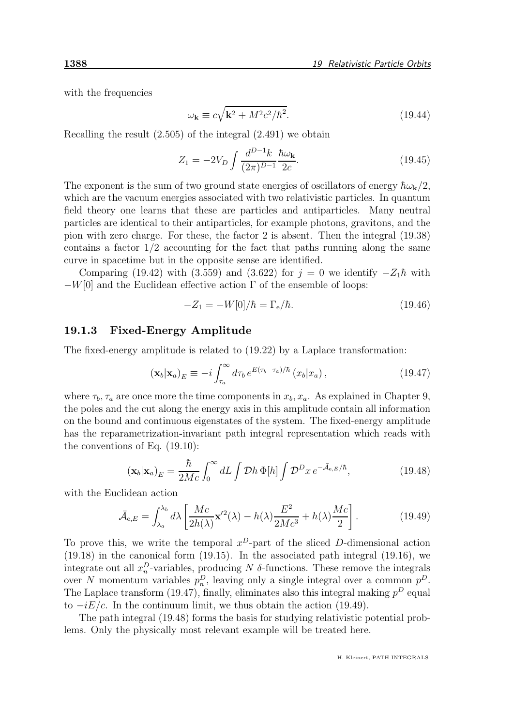with the frequencies

$$
\omega_{\mathbf{k}} \equiv c\sqrt{\mathbf{k}^2 + M^2c^2/\hbar^2}.\tag{19.44}
$$

Recalling the result (2.505) of the integral (2.491) we obtain

$$
Z_1 = -2V_D \int \frac{d^{D-1}k}{(2\pi)^{D-1}} \frac{\hbar \omega_{\mathbf{k}}}{2c}.
$$
 (19.45)

The exponent is the sum of two ground state energies of oscillators of energy  $\hbar\omega_{\mathbf{k}}/2$ , which are the vacuum energies associated with two relativistic particles. In quantum field theory one learns that these are particles and antiparticles. Many neutral particles are identical to their antiparticles, for example photons, gravitons, and the pion with zero charge. For these, the factor 2 is absent. Then the integral (19.38) contains a factor  $1/2$  accounting for the fact that paths running along the same curve in spacetime but in the opposite sense are identified.

Comparing (19.42) with (3.559) and (3.622) for  $j = 0$  we identify  $-Z_1\hbar$  with  $-V[0]$  and the Euclidean effective action Γ of the ensemble of loops:

$$
-Z_1 = -W[0]/\hbar = \Gamma_e/\hbar.
$$
 (19.46)

# 19.1.3 Fixed-Energy Amplitude

The fixed-energy amplitude is related to (19.22) by a Laplace transformation:

$$
\left(\mathbf{x}_b|\mathbf{x}_a\right)_E \equiv -i \int_{\tau_a}^{\infty} d\tau_b \, e^{E(\tau_b - \tau_a)/\hbar} \left(x_b|x_a\right),\tag{19.47}
$$

where  $\tau_b$ ,  $\tau_a$  are once more the time components in  $x_b$ ,  $x_a$ . As explained in Chapter 9, the poles and the cut along the energy axis in this amplitude contain all information on the bound and continuous eigenstates of the system. The fixed-energy amplitude has the reparametrization-invariant path integral representation which reads with the conventions of Eq. (19.10):

$$
(\mathbf{x}_b|\mathbf{x}_a)_E = \frac{\hbar}{2Mc} \int_0^\infty dL \int \mathcal{D}h \, \Phi[h] \int \mathcal{D}^D x \, e^{-\bar{\mathcal{A}}_{e,E}/\hbar},\tag{19.48}
$$

with the Euclidean action

$$
\bar{\mathcal{A}}_{e,E} = \int_{\lambda_a}^{\lambda_b} d\lambda \left[ \frac{Mc}{2h(\lambda)} \mathbf{x}'^2(\lambda) - h(\lambda) \frac{E^2}{2Mc^3} + h(\lambda) \frac{Mc}{2} \right]. \tag{19.49}
$$

To prove this, we write the temporal  $x^D$ -part of the sliced D-dimensional action (19.18) in the canonical form (19.15). In the associated path integral (19.16), we integrate out all  $x_n^D$ -variables, producing N  $\delta$ -functions. These remove the integrals over N momentum variables  $p_n^D$ , leaving only a single integral over a common  $p^D$ . The Laplace transform (19.47), finally, eliminates also this integral making  $p^D$  equal to  $-iE/c$ . In the continuum limit, we thus obtain the action (19.49).

The path integral (19.48) forms the basis for studying relativistic potential problems. Only the physically most relevant example will be treated here.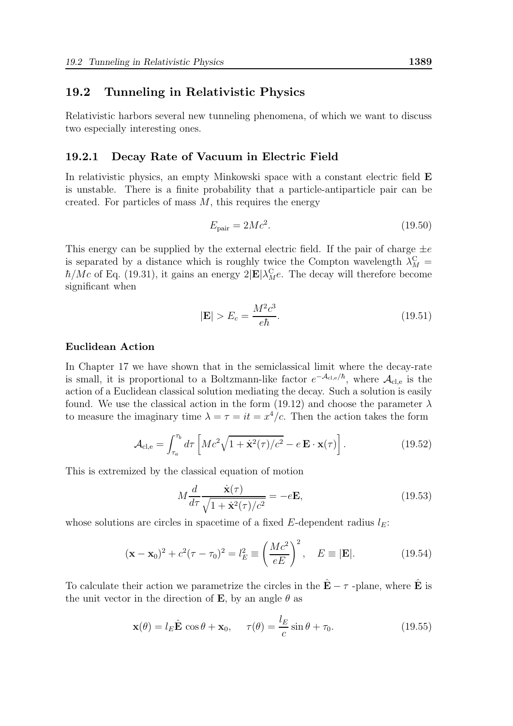# 19.2 Tunneling in Relativistic Physics

Relativistic harbors several new tunneling phenomena, of which we want to discuss two especially interesting ones.

# 19.2.1 Decay Rate of Vacuum in Electric Field

In relativistic physics, an empty Minkowski space with a constant electric field E is unstable. There is a finite probability that a particle-antiparticle pair can be created. For particles of mass  $M$ , this requires the energy

$$
E_{\text{pair}} = 2Mc^2. \tag{19.50}
$$

This energy can be supplied by the external electric field. If the pair of charge  $\pm e$ is separated by a distance which is roughly twice the Compton wavelength  $\lambda_M^{\rm C}$  =  $\hbar/Mc$  of Eq. (19.31), it gains an energy  $2|\mathbf{E}|\lambda_M^{\text{C}}e$ . The decay will therefore become significant when

$$
|\mathbf{E}| > E_c = \frac{M^2 c^3}{e\hbar}.
$$
\n(19.51)

#### Euclidean Action

In Chapter 17 we have shown that in the semiclassical limit where the decay-rate is small, it is proportional to a Boltzmann-like factor  $e^{-\mathcal{A}_{\text{cl,e}}/\hbar}$ , where  $\mathcal{A}_{\text{cl,e}}$  is the action of a Euclidean classical solution mediating the decay. Such a solution is easily found. We use the classical action in the form (19.12) and choose the parameter  $\lambda$ to measure the imaginary time  $\lambda = \tau = it = x^4/c$ . Then the action takes the form

$$
\mathcal{A}_{\text{cl,e}} = \int_{\tau_a}^{\tau_b} d\tau \left[ M c^2 \sqrt{1 + \dot{\mathbf{x}}^2(\tau) / c^2} - e \mathbf{E} \cdot \mathbf{x}(\tau) \right]. \tag{19.52}
$$

This is extremized by the classical equation of motion

$$
M\frac{d}{d\tau}\frac{\dot{\mathbf{x}}(\tau)}{\sqrt{1+\dot{\mathbf{x}}^2(\tau)/c^2}} = -e\mathbf{E},\qquad(19.53)
$$

whose solutions are circles in spacetime of a fixed E-dependent radius  $l_E$ :

$$
(\mathbf{x} - \mathbf{x}_0)^2 + c^2 (\tau - \tau_0)^2 = l_E^2 \equiv \left(\frac{Mc^2}{eE}\right)^2, \quad E \equiv |\mathbf{E}|.
$$
 (19.54)

To calculate their action we parametrize the circles in the  $\hat{E} - \tau$ -plane, where  $\hat{E}$  is the unit vector in the direction of **E**, by an angle  $\theta$  as

$$
\mathbf{x}(\theta) = l_E \hat{\mathbf{E}} \cos \theta + \mathbf{x}_0, \quad \tau(\theta) = \frac{l_E}{c} \sin \theta + \tau_0.
$$
 (19.55)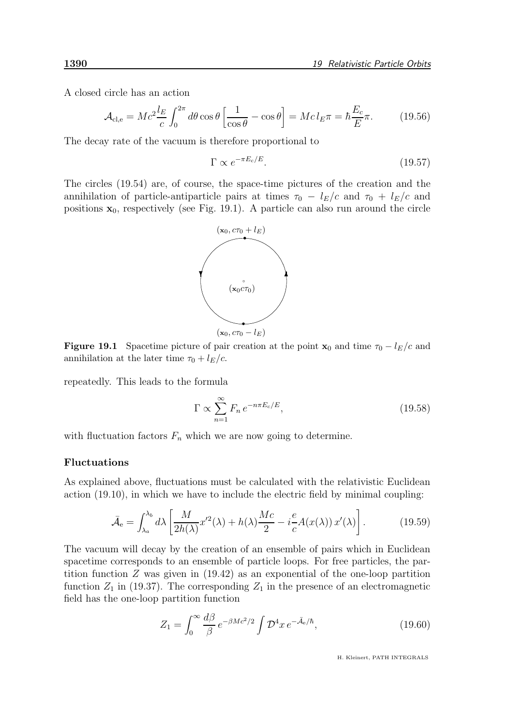A closed circle has an action

$$
\mathcal{A}_{\text{cl,e}} = Mc^2 \frac{l_E}{c} \int_0^{2\pi} d\theta \cos \theta \left[ \frac{1}{\cos \theta} - \cos \theta \right] = Mc l_E \pi = \hbar \frac{E_c}{E} \pi. \tag{19.56}
$$

The decay rate of the vacuum is therefore proportional to

$$
\Gamma \propto e^{-\pi E_c/E}.\tag{19.57}
$$

The circles (19.54) are, of course, the space-time pictures of the creation and the annihilation of particle-antiparticle pairs at times  $\tau_0 - l_E/c$  and  $\tau_0 + l_E/c$  and positions  $x_0$ , respectively (see Fig. 19.1). A particle can also run around the circle



**Figure 19.1** Spacetime picture of pair creation at the point  $x_0$  and time  $\tau_0 - l_E/c$  and annihilation at the later time  $\tau_0 + l_E/c$ .

repeatedly. This leads to the formula

$$
\Gamma \propto \sum_{n=1}^{\infty} F_n e^{-n\pi E_c/E},\tag{19.58}
$$

with fluctuation factors  $F_n$  which we are now going to determine.

# Fluctuations

As explained above, fluctuations must be calculated with the relativistic Euclidean action (19.10), in which we have to include the electric field by minimal coupling:

$$
\bar{\mathcal{A}}_{\mathbf{e}} = \int_{\lambda_a}^{\lambda_b} d\lambda \left[ \frac{M}{2h(\lambda)} x'^2(\lambda) + h(\lambda) \frac{Mc}{2} - i \frac{e}{c} A(x(\lambda)) x'(\lambda) \right]. \tag{19.59}
$$

The vacuum will decay by the creation of an ensemble of pairs which in Euclidean spacetime corresponds to an ensemble of particle loops. For free particles, the partition function  $Z$  was given in  $(19.42)$  as an exponential of the one-loop partition function  $Z_1$  in (19.37). The corresponding  $Z_1$  in the presence of an electromagnetic field has the one-loop partition function

$$
Z_1 = \int_0^\infty \frac{d\beta}{\beta} e^{-\beta Mc^2/2} \int \mathcal{D}^4 x e^{-\bar{\mathcal{A}}_e/\hbar},\tag{19.60}
$$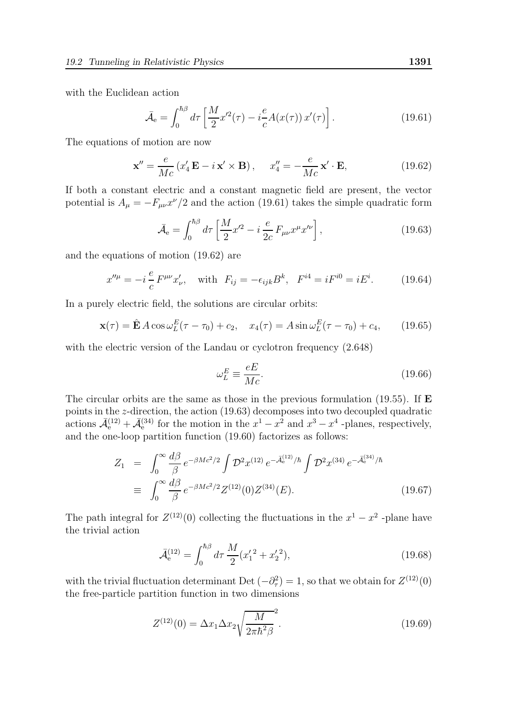with the Euclidean action

$$
\bar{\mathcal{A}}_{\mathbf{e}} = \int_0^{\hbar \beta} d\tau \left[ \frac{M}{2} x'^2(\tau) - i \frac{e}{c} A(x(\tau)) x'(\tau) \right]. \tag{19.61}
$$

The equations of motion are now

$$
\mathbf{x}'' = \frac{e}{Mc} \left( x_4' \mathbf{E} - i \mathbf{x}' \times \mathbf{B} \right), \quad x_4'' = -\frac{e}{Mc} \mathbf{x}' \cdot \mathbf{E}, \tag{19.62}
$$

If both a constant electric and a constant magnetic field are present, the vector potential is  $A_{\mu} = -F_{\mu\nu}x^{\nu}/2$  and the action (19.61) takes the simple quadratic form

$$
\bar{\mathcal{A}}_{e} = \int_{0}^{\hbar \beta} d\tau \left[ \frac{M}{2} x'^2 - i \frac{e}{2c} F_{\mu\nu} x^{\mu} x'^{\nu} \right],
$$
\n(19.63)

and the equations of motion (19.62) are

$$
x''^{\mu} = -i\frac{e}{c}F^{\mu\nu}x'_{\nu}, \text{ with } F_{ij} = -\epsilon_{ijk}B^{k}, F^{i4} = iF^{i0} = iE^{i}.
$$
 (19.64)

In a purely electric field, the solutions are circular orbits:

$$
\mathbf{x}(\tau) = \hat{\mathbf{E}} A \cos \omega_L^E (\tau - \tau_0) + c_2, \quad x_4(\tau) = A \sin \omega_L^E (\tau - \tau_0) + c_4,\tag{19.65}
$$

with the electric version of the Landau or cyclotron frequency  $(2.648)$ 

$$
\omega_L^E \equiv \frac{eE}{Mc}.\tag{19.66}
$$

The circular orbits are the same as those in the previous formulation  $(19.55)$ . If E points in the z-direction, the action (19.63) decomposes into two decoupled quadratic actions  $\bar{\mathcal{A}}_e^{(12)} + \bar{\mathcal{A}}_e^{(34)}$  for the motion in the  $x^1 - x^2$  and  $x^3 - x^4$  -planes, respectively, and the one-loop partition function (19.60) factorizes as follows:

$$
Z_1 = \int_0^\infty \frac{d\beta}{\beta} e^{-\beta Mc^2/2} \int \mathcal{D}^2 x^{(12)} e^{-\bar{\mathcal{A}}_e^{(12)}/\hbar} \int \mathcal{D}^2 x^{(34)} e^{-\bar{\mathcal{A}}_e^{(34)}/\hbar}
$$
  

$$
\equiv \int_0^\infty \frac{d\beta}{\beta} e^{-\beta Mc^2/2} Z^{(12)}(0) Z^{(34)}(E). \tag{19.67}
$$

The path integral for  $Z^{(12)}(0)$  collecting the fluctuations in the  $x^1 - x^2$ -plane have the trivial action

$$
\bar{\mathcal{A}}_{\rm e}^{(12)} = \int_0^{\hbar \beta} d\tau \, \frac{M}{2} (x_1^{\prime 2} + x_2^{\prime 2}),\tag{19.68}
$$

with the trivial fluctuation determinant Det  $(-\partial_{\tau}^2) = 1$ , so that we obtain for  $Z^{(12)}(0)$ the free-particle partition function in two dimensions

$$
Z^{(12)}(0) = \Delta x_1 \Delta x_2 \sqrt{\frac{M}{2\pi\hbar^2 \beta}}^2.
$$
\n(19.69)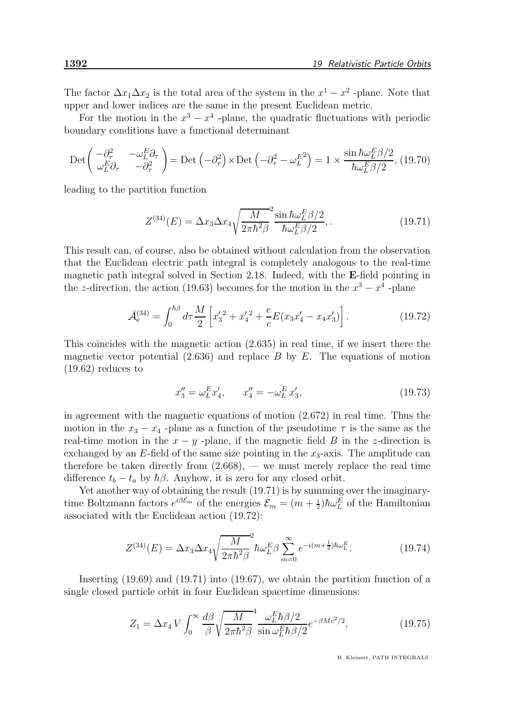The factor  $\Delta x_1 \Delta x_2$  is the total area of the system in the  $x^1 - x^2$ -plane. Note that upper and lower indices are the same in the present Euclidean metric.

For the motion in the  $x^3 - x^4$  -plane, the quadratic fluctuations with periodic boundary conditions have a functional determinant

$$
\text{Det}\left(\begin{array}{cc} -\partial_{\tau}^{2} & -\omega_{L}^{E}\partial_{\tau} \\ \omega_{L}^{E}\partial_{\tau} & -\partial_{\tau}^{2} \end{array}\right) = \text{Det}\left(-\partial_{\tau}^{2}\right) \times \text{Det}\left(-\partial_{\tau}^{2} - \omega_{L}^{E^{2}}\right) = 1 \times \frac{\sin \hbar \omega_{L}^{E}\beta/2}{\hbar \omega_{L}^{E}\beta/2}, (19.70)
$$

leading to the partition function

$$
Z^{(34)}(E) = \Delta x_3 \Delta x_4 \sqrt{\frac{M}{2\pi\hbar^2 \beta}}^2 \frac{\sin \hbar \omega_L^E \beta / 2}{\hbar \omega_L^E \beta / 2},
$$
\n(19.71)

This result can, of course, also be obtained without calculation from the observation that the Euclidean electric path integral is completely analogous to the real-time magnetic path integral solved in Section 2.18. Indeed, with the E-field pointing in the z-direction, the action (19.63) becomes for the motion in the  $x^3 - x^4$ -plane

$$
\bar{\mathcal{A}}_e^{(34)} = \int_0^{\hbar \beta} d\tau \frac{M}{2} \left[ x_3^{\prime 2} + x_4^{\prime 2} + \frac{e}{c} E(x_3 x_4^{\prime} - x_4 x_3^{\prime}) \right]. \tag{19.72}
$$

This coincides with the magnetic action (2.635) in real time, if we insert there the magnetic vector potential  $(2.636)$  and replace B by E. The equations of motion (19.62) reduces to

$$
x_3'' = \omega_L^E x_4', \qquad x_4'' = -\omega_L^E x_3', \tag{19.73}
$$

in agreement with the magnetic equations of motion (2.672) in real time. Thus the motion in the  $x_3 - x_4$ -plane as a function of the pseudotime  $\tau$  is the same as the real-time motion in the  $x - y$ -plane, if the magnetic field B in the z-direction is exchanged by an  $E$ -field of the same size pointing in the  $x_3$ -axis. The amplitude can therefore be taken directly from  $(2.668)$ , — we must merely replace the real time difference  $t_b - t_a$  by  $\hbar\beta$ . Anyhow, it is zero for any closed orbit.

Yet another way of obtaining the result (19.71) is by summing over the imaginarytime Boltzmann factors  $e^{i\beta \mathcal{E}_m}$  of the energies  $\mathcal{E}_m = (m + \frac{1}{2})\hbar \omega_L^E$  of the Hamiltonian associated with the Euclidean action (19.72):

$$
Z^{(34)}(E) = \Delta x_3 \Delta x_4 \sqrt{\frac{M}{2\pi\hbar^2 \beta}}^2 \hbar \omega_L^E \beta \sum_{m=0}^{\infty} e^{-i(m + \frac{1}{2})\hbar \omega_L^E}.
$$
 (19.74)

Inserting (19.69) and (19.71) into (19.67), we obtain the partition function of a single closed particle orbit in four Euclidean spacetime dimensions:

$$
Z_1 = \Delta x_4 V \int_0^\infty \frac{d\beta}{\beta} \sqrt{\frac{M}{2\pi\hbar^2 \beta}}^4 \frac{\omega_L^E \hbar \beta/2}{\sin \omega_L^E \hbar \beta/2} e^{-\beta Mc^2/2},\tag{19.75}
$$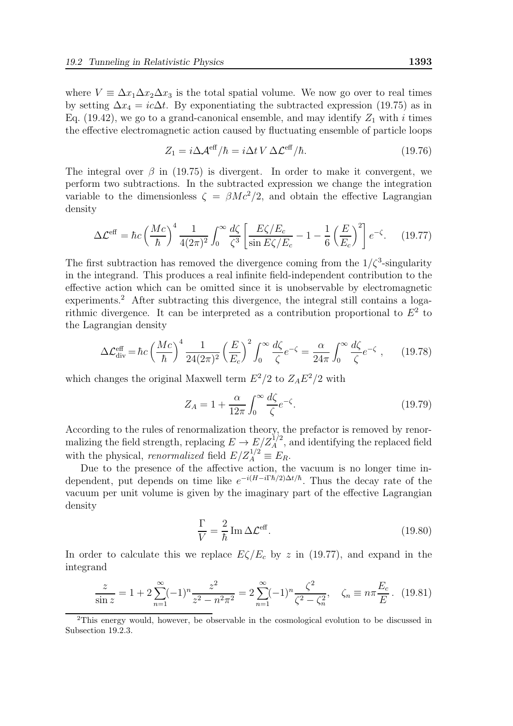where  $V = \Delta x_1 \Delta x_2 \Delta x_3$  is the total spatial volume. We now go over to real times by setting  $\Delta x_4 = ic\Delta t$ . By exponentiating the subtracted expression (19.75) as in Eq. (19.42), we go to a grand-canonical ensemble, and may identify  $Z_1$  with i times the effective electromagnetic action caused by fluctuating ensemble of particle loops

$$
Z_1 = i\Delta \mathcal{A}^{\text{eff}}/\hbar = i\Delta t V \Delta \mathcal{L}^{\text{eff}}/\hbar. \tag{19.76}
$$

The integral over  $\beta$  in (19.75) is divergent. In order to make it convergent, we perform two subtractions. In the subtracted expression we change the integration variable to the dimensionless  $\zeta = \beta M c^2 / 2$ , and obtain the effective Lagrangian density

$$
\Delta \mathcal{L}^{\text{eff}} = \hbar c \left(\frac{Mc}{\hbar}\right)^4 \frac{1}{4(2\pi)^2} \int_0^\infty \frac{d\zeta}{\zeta^3} \left[ \frac{E\zeta/E_c}{\sin E\zeta/E_c} - 1 - \frac{1}{6} \left(\frac{E}{E_c}\right)^2 \right] e^{-\zeta}.
$$
 (19.77)

The first subtraction has removed the divergence coming from the  $1/\zeta^3$ -singularity in the integrand. This produces a real infinite field-independent contribution to the effective action which can be omitted since it is unobservable by electromagnetic experiments.<sup>2</sup> After subtracting this divergence, the integral still contains a logarithmic divergence. It can be interpreted as a contribution proportional to  $E^2$  to the Lagrangian density

$$
\Delta \mathcal{L}_{div}^{\text{eff}} = \hbar c \left(\frac{Mc}{\hbar}\right)^4 \frac{1}{24(2\pi)^2} \left(\frac{E}{E_c}\right)^2 \int_0^\infty \frac{d\zeta}{\zeta} e^{-\zeta} = \frac{\alpha}{24\pi} \int_0^\infty \frac{d\zeta}{\zeta} e^{-\zeta} ,\qquad(19.78)
$$

which changes the original Maxwell term  $E^2/2$  to  $Z_AE^2/2$  with

$$
Z_A = 1 + \frac{\alpha}{12\pi} \int_0^\infty \frac{d\zeta}{\zeta} e^{-\zeta}.
$$
 (19.79)

According to the rules of renormalization theory, the prefactor is removed by renormalizing the field strength, replacing  $E \to E/Z_A^{1/2}$ , and identifying the replaced field with the physical, renormalized field  $E/Z_A^{1/2} \equiv E_R$ .

Due to the presence of the affective action, the vacuum is no longer time independent, put depends on time like  $e^{-i(H-i\Gamma\hbar/2)\Delta t/\hbar}$ . Thus the decay rate of the vacuum per unit volume is given by the imaginary part of the effective Lagrangian density

$$
\frac{\Gamma}{V} = \frac{2}{\hbar} \operatorname{Im} \Delta \mathcal{L}^{\text{eff}}.
$$
\n(19.80)

In order to calculate this we replace  $E\zeta/E_c$  by z in (19.77), and expand in the integrand

$$
\frac{z}{\sin z} = 1 + 2\sum_{n=1}^{\infty} (-1)^n \frac{z^2}{z^2 - n^2 \pi^2} = 2\sum_{n=1}^{\infty} (-1)^n \frac{\zeta^2}{\zeta^2 - \zeta_n^2}, \quad \zeta_n \equiv n\pi \frac{E_c}{E}.
$$
 (19.81)

<sup>&</sup>lt;sup>2</sup>This energy would, however, be observable in the cosmological evolution to be discussed in Subsection 19.2.3.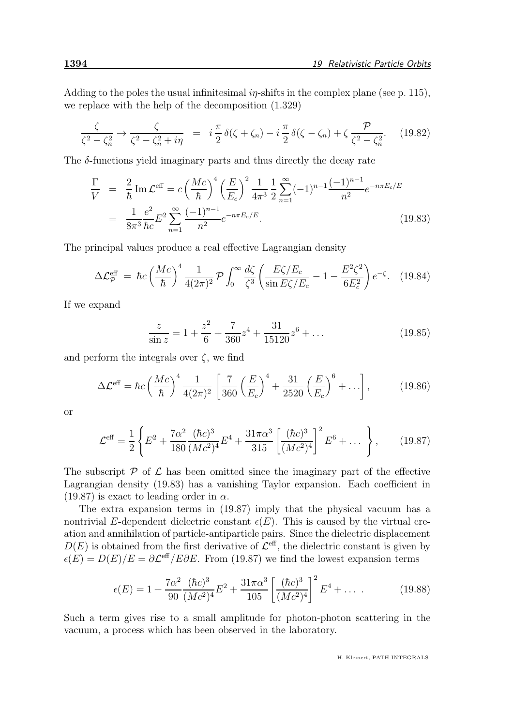Adding to the poles the usual infinitesimal  $i\eta$ -shifts in the complex plane (see p. 115), we replace with the help of the decomposition (1.329)

$$
\frac{\zeta}{\zeta^2 - \zeta_n^2} \to \frac{\zeta}{\zeta^2 - \zeta_n^2 + i\eta} = i \frac{\pi}{2} \delta(\zeta + \zeta_n) - i \frac{\pi}{2} \delta(\zeta - \zeta_n) + \zeta \frac{\mathcal{P}}{\zeta^2 - \zeta_n^2}.
$$
 (19.82)

The  $\delta$ -functions yield imaginary parts and thus directly the decay rate

$$
\frac{\Gamma}{V} = \frac{2}{\hbar} \text{Im} \mathcal{L}^{\text{eff}} = c \left( \frac{Mc}{\hbar} \right)^4 \left( \frac{E}{E_c} \right)^2 \frac{1}{4\pi^3} \frac{1}{2} \sum_{n=1}^{\infty} (-1)^{n-1} \frac{(-1)^{n-1}}{n^2} e^{-n\pi E_c/E}
$$
\n
$$
= \frac{1}{8\pi^3} \frac{e^2}{\hbar c} E^2 \sum_{n=1}^{\infty} \frac{(-1)^{n-1}}{n^2} e^{-n\pi E_c/E}.
$$
\n(19.83)

The principal values produce a real effective Lagrangian density

$$
\Delta \mathcal{L}_P^{\text{eff}} = \hbar c \left(\frac{Mc}{\hbar}\right)^4 \frac{1}{4(2\pi)^2} \mathcal{P} \int_0^\infty \frac{d\zeta}{\zeta^3} \left(\frac{E\zeta/E_c}{\sin E\zeta/E_c} - 1 - \frac{E^2\zeta^2}{6E_c^2}\right) e^{-\zeta}.\tag{19.84}
$$

If we expand

$$
\frac{z}{\sin z} = 1 + \frac{z^2}{6} + \frac{7}{360}z^4 + \frac{31}{15120}z^6 + \dots
$$
 (19.85)

and perform the integrals over  $\zeta$ , we find

$$
\Delta \mathcal{L}^{\text{eff}} = \hbar c \left(\frac{Mc}{\hbar}\right)^4 \frac{1}{4(2\pi)^2} \left[ \frac{7}{360} \left(\frac{E}{E_c}\right)^4 + \frac{31}{2520} \left(\frac{E}{E_c}\right)^6 + \ldots \right],
$$
 (19.86)

or

$$
\mathcal{L}^{\text{eff}} = \frac{1}{2} \left\{ E^2 + \frac{7\alpha^2}{180} \frac{(\hbar c)^3}{(Mc^2)^4} E^4 + \frac{31\pi\alpha^3}{315} \left[ \frac{(\hbar c)^3}{(Mc^2)^4} \right]^2 E^6 + \dots \right\},\qquad(19.87)
$$

The subscript  $P$  of  $\mathcal L$  has been omitted since the imaginary part of the effective Lagrangian density (19.83) has a vanishing Taylor expansion. Each coefficient in  $(19.87)$  is exact to leading order in  $\alpha$ .

The extra expansion terms in (19.87) imply that the physical vacuum has a nontrivial E-dependent dielectric constant  $\epsilon(E)$ . This is caused by the virtual creation and annihilation of particle-antiparticle pairs. Since the dielectric displacement  $D(E)$  is obtained from the first derivative of  $\mathcal{L}^{\text{eff}}$ , the dielectric constant is given by  $\epsilon(E) = D(E)/E = \partial \mathcal{L}^{\text{eff}}/E \partial E$ . From (19.87) we find the lowest expansion terms

$$
\epsilon(E) = 1 + \frac{7\alpha^2}{90} \frac{(\hbar c)^3}{(Mc^2)^4} E^2 + \frac{31\pi\alpha^3}{105} \left[ \frac{(\hbar c)^3}{(Mc^2)^4} \right]^2 E^4 + \dots \tag{19.88}
$$

Such a term gives rise to a small amplitude for photon-photon scattering in the vacuum, a process which has been observed in the laboratory.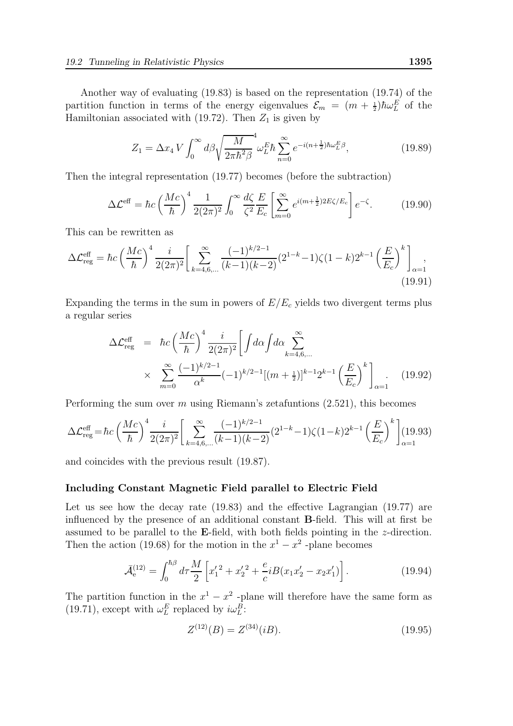Another way of evaluating (19.83) is based on the representation (19.74) of the partition function in terms of the energy eigenvalues  $\mathcal{E}_m = (m + \frac{1}{2})\hbar\omega_L^E$  of the Hamiltonian associated with (19.72). Then  $Z_1$  is given by

$$
Z_1 = \Delta x_4 V \int_0^\infty d\beta \sqrt{\frac{M}{2\pi\hbar^2 \beta}}^4 \omega_L^E \hbar \sum_{n=0}^\infty e^{-i(n+\frac{1}{2})\hbar \omega_L^E \beta}, \tag{19.89}
$$

Then the integral representation (19.77) becomes (before the subtraction)

$$
\Delta \mathcal{L}^{\text{eff}} = \hbar c \left(\frac{Mc}{\hbar}\right)^4 \frac{1}{2(2\pi)^2} \int_0^\infty \frac{d\zeta}{\zeta^2} \frac{E}{E_c} \left[ \sum_{m=0}^\infty e^{i(m + \frac{1}{2})2E\zeta/E_c} \right] e^{-\zeta}.
$$
 (19.90)

This can be rewritten as

$$
\Delta \mathcal{L}_{\text{reg}}^{\text{eff}} = \hbar c \left(\frac{Mc}{\hbar}\right)^4 \frac{i}{2(2\pi)^2} \left[ \sum_{k=4,6,\dots}^{\infty} \frac{(-1)^{k/2-1}}{(k-1)(k-2)} (2^{1-k} - 1) \zeta (1-k) 2^{k-1} \left(\frac{E}{E_c}\right)^k \right]_{\alpha=1},\tag{19.91}
$$

Expanding the terms in the sum in powers of  $E/E_c$  yields two divergent terms plus a regular series

$$
\Delta \mathcal{L}_{\text{reg}}^{\text{eff}} = \hbar c \left( \frac{Mc}{\hbar} \right)^4 \frac{i}{2(2\pi)^2} \left[ \int d\alpha \int d\alpha \sum_{k=4,6,...}^{\infty} \times \sum_{m=0}^{\infty} \frac{(-1)^{k/2-1}}{\alpha^k} (-1)^{k/2-1} [(m+\frac{1}{2})]^{k-1} 2^{k-1} \left( \frac{E}{E_c} \right)^k \right]_{\alpha=1} . \tag{19.92}
$$

Performing the sum over m using Riemann's zetafuntions  $(2.521)$ , this becomes

$$
\Delta \mathcal{L}_{\text{reg}}^{\text{eff}} = \hbar c \left(\frac{Mc}{\hbar}\right)^4 \frac{i}{2(2\pi)^2} \left[ \sum_{k=4,6,...}^{\infty} \frac{(-1)^{k/2-1}}{(k-1)(k-2)} (2^{1-k} - 1) \zeta (1-k) 2^{k-1} \left(\frac{E}{E_c}\right)^k \right]_{\alpha=1} (19.93)
$$

and coincides with the previous result (19.87).

#### Including Constant Magnetic Field parallel to Electric Field

Let us see how the decay rate (19.83) and the effective Lagrangian (19.77) are influenced by the presence of an additional constant B-field. This will at first be assumed to be parallel to the E-field, with both fields pointing in the z-direction. Then the action (19.68) for the motion in the  $x^1 - x^2$ -plane becomes

$$
\bar{\mathcal{A}}_{\rm e}^{(12)} = \int_0^{\hbar \beta} d\tau \frac{M}{2} \left[ x_1^{\prime 2} + x_2^{\prime 2} + \frac{e}{c} i B (x_1 x_2^{\prime} - x_2 x_1^{\prime}) \right]. \tag{19.94}
$$

The partition function in the  $x^1 - x^2$  -plane will therefore have the same form as (19.71), except with  $\omega_L^E$  replaced by  $i\omega_L^B$ :

$$
Z^{(12)}(B) = Z^{(34)}(iB). \tag{19.95}
$$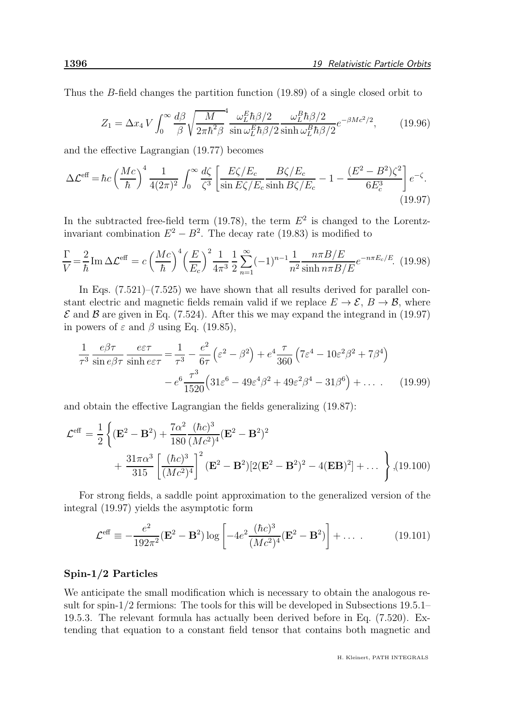Thus the B-field changes the partition function (19.89) of a single closed orbit to

$$
Z_1 = \Delta x_4 V \int_0^\infty \frac{d\beta}{\beta} \sqrt{\frac{M}{2\pi\hbar^2 \beta}}^4 \frac{\omega_L^E \hbar \beta/2}{\sin \omega_L^E \hbar \beta/2} \frac{\omega_L^B \hbar \beta/2}{\sinh \omega_L^B \hbar \beta/2} e^{-\beta Mc^2/2},\tag{19.96}
$$

and the effective Lagrangian (19.77) becomes

$$
\Delta \mathcal{L}^{\text{eff}} = \hbar c \left(\frac{Mc}{\hbar}\right)^4 \frac{1}{4(2\pi)^2} \int_0^\infty \frac{d\zeta}{\zeta^3} \left[ \frac{E\zeta/E_c}{\sin E\zeta/E_c} \frac{B\zeta/E_c}{\sinh B\zeta/E_c} - 1 - \frac{(E^2 - B^2)\zeta^2}{6E_c^3} \right] e^{-\zeta}.
$$
\n(19.97)

In the subtracted free-field term (19.78), the term  $E^2$  is changed to the Lorentzinvariant combination  $E^2 - B^2$ . The decay rate (19.83) is modified to

$$
\frac{\Gamma}{V} = \frac{2}{\hbar} \text{Im} \,\Delta \mathcal{L}^{\text{eff}} = c \left(\frac{Mc}{\hbar}\right)^4 \left(\frac{E}{E_c}\right)^2 \frac{1}{4\pi^3} \frac{1}{2} \sum_{n=1}^{\infty} (-1)^{n-1} \frac{1}{n^2} \frac{n\pi B/E}{\sinh n\pi B/E} e^{-n\pi E_c/E}.
$$
 (19.98)

In Eqs.  $(7.521)$ – $(7.525)$  we have shown that all results derived for parallel constant electric and magnetic fields remain valid if we replace  $E \to \mathcal{E}, B \to \mathcal{B}$ , where  $\mathcal E$  and  $\mathcal B$  are given in Eq. (7.524). After this we may expand the integrand in (19.97) in powers of  $\varepsilon$  and  $\beta$  using Eq. (19.85),

$$
\frac{1}{\tau^3} \frac{e\beta\tau}{\sin e\beta\tau} \frac{e\epsilon\tau}{\sinh e\epsilon\tau} = \frac{1}{\tau^3} - \frac{e^2}{6\tau} \left(\epsilon^2 - \beta^2\right) + e^4 \frac{\tau}{360} \left(7\epsilon^4 - 10\epsilon^2\beta^2 + 7\beta^4\right) \n- e^6 \frac{\tau^3}{1520} \left(31\epsilon^6 - 49\epsilon^4\beta^2 + 49\epsilon^2\beta^4 - 31\beta^6\right) + \dots
$$
\n(19.99)

and obtain the effective Lagrangian the fields generalizing (19.87):

$$
\mathcal{L}^{\text{eff}} = \frac{1}{2} \left\{ (\mathbf{E}^2 - \mathbf{B}^2) + \frac{7\alpha^2}{180} \frac{(\hbar c)^3}{(Mc^2)^4} (\mathbf{E}^2 - \mathbf{B}^2)^2 + \frac{31\pi\alpha^3}{315} \left[ \frac{(\hbar c)^3}{(Mc^2)^4} \right]^2 (\mathbf{E}^2 - \mathbf{B}^2) [2(\mathbf{E}^2 - \mathbf{B}^2)^2 - 4(\mathbf{E}\mathbf{B})^2] + \dots \right\}, (19.100)
$$

For strong fields, a saddle point approximation to the generalized version of the integral (19.97) yields the asymptotic form

$$
\mathcal{L}^{\text{eff}} \equiv -\frac{e^2}{192\pi^2} (\mathbf{E}^2 - \mathbf{B}^2) \log \left[ -4e^2 \frac{(\hbar c)^3}{(Mc^2)^4} (\mathbf{E}^2 - \mathbf{B}^2) \right] + \dots \tag{19.101}
$$

# Spin-1/2 Particles

We anticipate the small modification which is necessary to obtain the analogous result for spin-1/2 fermions: The tools for this will be developed in Subsections 19.5.1– 19.5.3. The relevant formula has actually been derived before in Eq. (7.520). Extending that equation to a constant field tensor that contains both magnetic and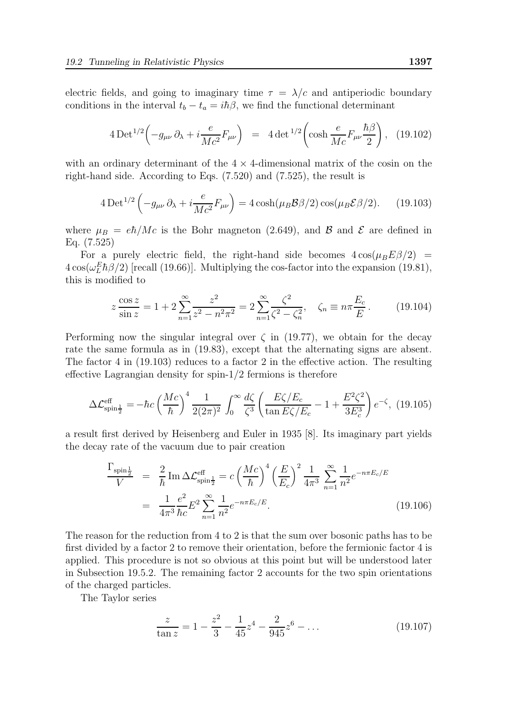electric fields, and going to imaginary time  $\tau = \lambda/c$  and antiperiodic boundary conditions in the interval  $t_b - t_a = i\hbar\beta$ , we find the functional determinant

$$
4\,\mathrm{Det}^{1/2}\left(-g_{\mu\nu}\,\partial_{\lambda} + i\frac{e}{Mc^2}F_{\mu\nu}\right) = 4\,\mathrm{det}^{1/2}\left(\cosh\frac{e}{Mc}F_{\mu\nu}\frac{\hbar\beta}{2}\right),\tag{19.102}
$$

with an ordinary determinant of the  $4 \times 4$ -dimensional matrix of the cosin on the right-hand side. According to Eqs. (7.520) and (7.525), the result is

$$
4\,\mathrm{Det}^{1/2}\left(-g_{\mu\nu}\,\partial_{\lambda} + i\frac{e}{Mc^2}F_{\mu\nu}\right) = 4\cosh(\mu_B\mathcal{B}\beta/2)\cos(\mu_B\mathcal{E}\beta/2). \tag{19.103}
$$

where  $\mu_B = e\hbar/Mc$  is the Bohr magneton (2.649), and B and E are defined in Eq. (7.525)

For a purely electric field, the right-hand side becomes  $4\cos(\mu_B E\beta/2)$  =  $4\cos(\omega_L^E\hbar\beta/2)$  [recall (19.66)]. Multiplying the cos-factor into the expansion (19.81), this is modified to

$$
z\frac{\cos z}{\sin z} = 1 + 2\sum_{n=1}^{\infty} \frac{z^2}{z^2 - n^2 \pi^2} = 2\sum_{n=1}^{\infty} \frac{\zeta^2}{\zeta^2 - \zeta_n^2}, \quad \zeta_n \equiv n\pi \frac{E_c}{E}.
$$
 (19.104)

Performing now the singular integral over  $\zeta$  in (19.77), we obtain for the decay rate the same formula as in (19.83), except that the alternating signs are absent. The factor 4 in (19.103) reduces to a factor 2 in the effective action. The resulting effective Lagrangian density for spin-1/2 fermions is therefore

$$
\Delta \mathcal{L}_{\text{spin}_{2}^{\pm}}^{\text{eff}} = -\hbar c \left(\frac{Mc}{\hbar}\right)^{4} \frac{1}{2(2\pi)^{2}} \int_{0}^{\infty} \frac{d\zeta}{\zeta^{3}} \left(\frac{E\zeta/E_{c}}{\tan E\zeta/E_{c}} - 1 + \frac{E^{2}\zeta^{2}}{3E_{c}^{3}}\right) e^{-\zeta}, \tag{19.105}
$$

a result first derived by Heisenberg and Euler in 1935 [8]. Its imaginary part yields the decay rate of the vacuum due to pair creation

$$
\frac{\Gamma_{\text{spin}\frac{1}{2}}}{V} = \frac{2}{\hbar} \text{Im} \Delta \mathcal{L}_{\text{spin}\frac{1}{2}}^{\text{eff}} = c \left(\frac{Mc}{\hbar}\right)^4 \left(\frac{E}{E_c}\right)^2 \frac{1}{4\pi^3} \sum_{n=1}^{\infty} \frac{1}{n^2} e^{-n\pi E_c/E}
$$
\n
$$
= \frac{1}{4\pi^3} \frac{e^2}{\hbar c} E^2 \sum_{n=1}^{\infty} \frac{1}{n^2} e^{-n\pi E_c/E}.
$$
\n(19.106)

The reason for the reduction from 4 to 2 is that the sum over bosonic paths has to be first divided by a factor 2 to remove their orientation, before the fermionic factor 4 is applied. This procedure is not so obvious at this point but will be understood later in Subsection 19.5.2. The remaining factor 2 accounts for the two spin orientations of the charged particles.

The Taylor series

$$
\frac{z}{\tan z} = 1 - \frac{z^2}{3} - \frac{1}{45}z^4 - \frac{2}{945}z^6 - \dots
$$
 (19.107)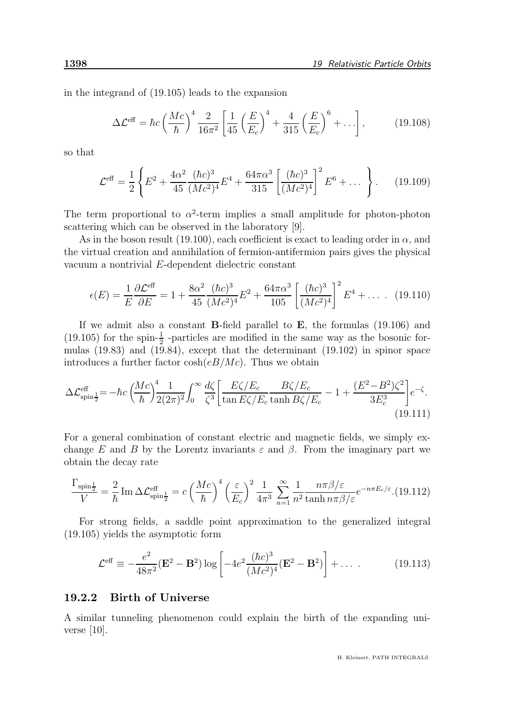in the integrand of (19.105) leads to the expansion

$$
\Delta \mathcal{L}^{\text{eff}} = \hbar c \left(\frac{Mc}{\hbar}\right)^4 \frac{2}{16\pi^2} \left[ \frac{1}{45} \left(\frac{E}{E_c}\right)^4 + \frac{4}{315} \left(\frac{E}{E_c}\right)^6 + \ldots \right],\tag{19.108}
$$

so that

$$
\mathcal{L}^{\text{eff}} = \frac{1}{2} \left\{ E^2 + \frac{4\alpha^2}{45} \frac{(\hbar c)^3}{(Mc^2)^4} E^4 + \frac{64\pi\alpha^3}{315} \left[ \frac{(\hbar c)^3}{(Mc^2)^4} \right]^2 E^6 + \dots \right\}.
$$
 (19.109)

The term proportional to  $\alpha^2$ -term implies a small amplitude for photon-photon scattering which can be observed in the laboratory [9].

As in the boson result (19.100), each coefficient is exact to leading order in  $\alpha$ , and the virtual creation and annihilation of fermion-antifermion pairs gives the physical vacuum a nontrivial E-dependent dielectric constant

$$
\epsilon(E) = \frac{1}{E} \frac{\partial \mathcal{L}^{\text{eff}}}{\partial E} = 1 + \frac{8\alpha^2}{45} \frac{(\hbar c)^3}{(Mc^2)^4} E^2 + \frac{64\pi\alpha^3}{105} \left[ \frac{(\hbar c)^3}{(Mc^2)^4} \right]^2 E^4 + \dots \quad (19.110)
$$

If we admit also a constant **B**-field parallel to  $\bf{E}$ , the formulas (19.106) and (19.105) for the spin- $\frac{1}{2}$ -particles are modified in the same way as the bosonic formulas (19.83) and (19.84), except that the determinant (19.102) in spinor space introduces a further factor  $\cosh(eB/Mc)$ . Thus we obtain

$$
\Delta \mathcal{L}_{\text{spin}_{2}^{\pm}}^{\text{eff}} = -\hbar c \left(\frac{Mc}{\hbar}\right)^{4} \frac{1}{2(2\pi)^{2}} \int_{0}^{\infty} \frac{d\zeta}{\zeta^{3}} \left[ \frac{E\zeta/E_{c}}{\tan E\zeta/E_{c}} \frac{B\zeta/E_{c}}{\tanh B\zeta/E_{c}} - 1 + \frac{(E^{2} - B^{2})\zeta^{2}}{3E_{c}^{3}} \right] e^{-\zeta}.
$$
\n(19.111)

For a general combination of constant electric and magnetic fields, we simply exchange E and B by the Lorentz invariants  $\varepsilon$  and  $\beta$ . From the imaginary part we obtain the decay rate

$$
\frac{\Gamma_{\text{spin}\frac{1}{2}}}{V} = \frac{2}{\hbar} \operatorname{Im} \Delta \mathcal{L}_{\text{spin}\frac{1}{2}}^{\text{eff}} = c \left(\frac{Mc}{\hbar}\right)^4 \left(\frac{\varepsilon}{E_c}\right)^2 \frac{1}{4\pi^3} \sum_{n=1}^{\infty} \frac{1}{n^2} \frac{n\pi\beta/\varepsilon}{\tanh n\pi\beta/\varepsilon} e^{-n\pi E_c/\varepsilon} . (19.112)
$$

For strong fields, a saddle point approximation to the generalized integral (19.105) yields the asymptotic form

$$
\mathcal{L}^{\text{eff}} \equiv -\frac{e^2}{48\pi^2} (\mathbf{E}^2 - \mathbf{B}^2) \log \left[ -4e^2 \frac{(\hbar c)^3}{(Mc^2)^4} (\mathbf{E}^2 - \mathbf{B}^2) \right] + \dots \tag{19.113}
$$

#### 19.2.2 Birth of Universe

A similar tunneling phenomenon could explain the birth of the expanding universe  $[10]$ .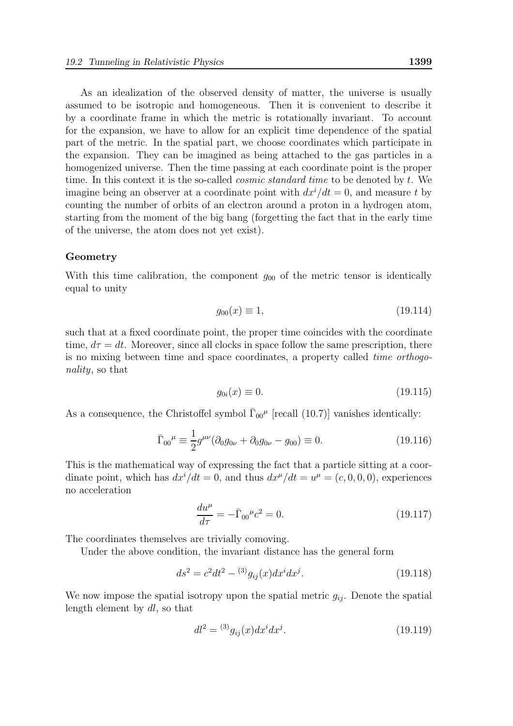As an idealization of the observed density of matter, the universe is usually assumed to be isotropic and homogeneous. Then it is convenient to describe it by a coordinate frame in which the metric is rotationally invariant. To account for the expansion, we have to allow for an explicit time dependence of the spatial part of the metric. In the spatial part, we choose coordinates which participate in the expansion. They can be imagined as being attached to the gas particles in a homogenized universe. Then the time passing at each coordinate point is the proper time. In this context it is the so-called *cosmic standard time* to be denoted by  $t$ . We imagine being an observer at a coordinate point with  $dx^{i}/dt = 0$ , and measure t by counting the number of orbits of an electron around a proton in a hydrogen atom, starting from the moment of the big bang (forgetting the fact that in the early time of the universe, the atom does not yet exist).

#### Geometry

With this time calibration, the component  $g_{00}$  of the metric tensor is identically equal to unity

$$
g_{00}(x) \equiv 1,\tag{19.114}
$$

such that at a fixed coordinate point, the proper time coincides with the coordinate time,  $d\tau = dt$ . Moreover, since all clocks in space follow the same prescription, there is no mixing between time and space coordinates, a property called time orthogonality, so that

$$
g_{0i}(x) \equiv 0. \tag{19.115}
$$

As a consequence, the Christoffel symbol  $\bar{\Gamma}_{00}^{\mu}$  [recall (10.7)] vanishes identically:

$$
\bar{\Gamma}_{00}{}^{\mu} \equiv \frac{1}{2} g^{\mu\nu} (\partial_0 g_{0\nu} + \partial_0 g_{0\nu} - g_{00}) \equiv 0. \tag{19.116}
$$

This is the mathematical way of expressing the fact that a particle sitting at a coordinate point, which has  $dx^{i}/dt = 0$ , and thus  $dx^{\mu}/dt = u^{\mu} = (c, 0, 0, 0)$ , experiences no acceleration

$$
\frac{du^{\mu}}{d\tau} = -\bar{\Gamma}_{00}{}^{\mu}c^2 = 0.
$$
 (19.117)

The coordinates themselves are trivially comoving.

Under the above condition, the invariant distance has the general form

$$
ds^{2} = c^{2}dt^{2} - {^{(3)}}g_{ij}(x)dx^{i}dx^{j}.
$$
\n(19.118)

We now impose the spatial isotropy upon the spatial metric  $g_{ij}$ . Denote the spatial length element by dl, so that

$$
dl^2 = {}^{(3)}g_{ij}(x)dx^i dx^j.
$$
 (19.119)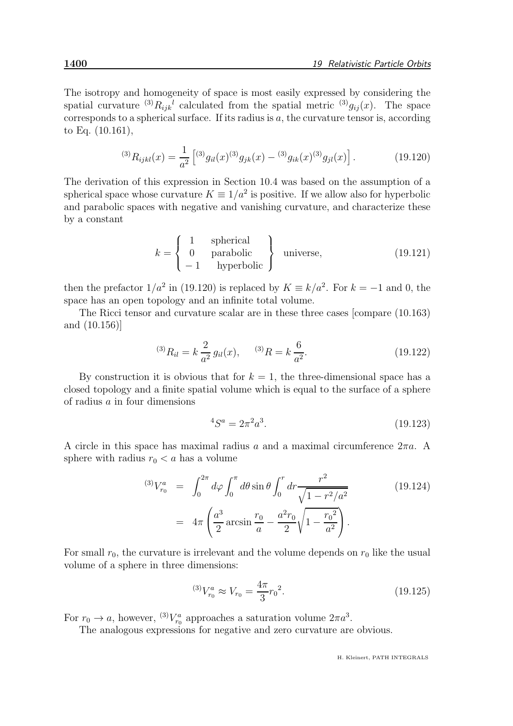The isotropy and homogeneity of space is most easily expressed by considering the spatial curvature  ${}^{(3)}R_{ijk}{}^l$  calculated from the spatial metric  ${}^{(3)}g_{ij}(x)$ . The space corresponds to a spherical surface. If its radius is  $a$ , the curvature tensor is, according to Eq. (10.161),

$$
^{(3)}R_{ijkl}(x) = \frac{1}{a^2} \left[ {}^{(3)}g_{il}(x) {}^{(3)}g_{jk}(x) - {}^{(3)}g_{ik}(x) {}^{(3)}g_{jl}(x) \right]. \tag{19.120}
$$

The derivation of this expression in Section 10.4 was based on the assumption of a spherical space whose curvature  $K \equiv 1/a^2$  is positive. If we allow also for hyperbolic and parabolic spaces with negative and vanishing curvature, and characterize these by a constant

$$
k = \begin{cases} 1 & \text{spherical} \\ 0 & \text{parabolic} \\ -1 & \text{hyperbolic} \end{cases} \text{ universe}, \qquad (19.121)
$$

then the prefactor  $1/a^2$  in (19.120) is replaced by  $K \equiv k/a^2$ . For  $k = -1$  and 0, the space has an open topology and an infinite total volume.

The Ricci tensor and curvature scalar are in these three cases [compare (10.163) and (10.156)]

$$
^{(3)}R_{il} = k\frac{2}{a^2}g_{il}(x), \qquad ^{(3)}R = k\frac{6}{a^2}.
$$
 (19.122)

By construction it is obvious that for  $k = 1$ , the three-dimensional space has a closed topology and a finite spatial volume which is equal to the surface of a sphere of radius a in four dimensions

$$
{}^{4}S^{a} = 2\pi^{2}a^{3}.
$$
\n(19.123)

A circle in this space has maximal radius a and a maximal circumference  $2\pi a$ . A sphere with radius  $r_0 < a$  has a volume

$$
{}^{(3)}V_{r_0}^a = \int_0^{2\pi} d\varphi \int_0^{\pi} d\theta \sin \theta \int_0^r dr \frac{r^2}{\sqrt{1 - r^2/a^2}}
$$
(19.124)  
=  $4\pi \left( \frac{a^3}{2} \arcsin \frac{r_0}{a} - \frac{a^2 r_0}{2} \sqrt{1 - \frac{r_0^2}{a^2}} \right).$ 

For small  $r_0$ , the curvature is irrelevant and the volume depends on  $r_0$  like the usual volume of a sphere in three dimensions:

$$
{}^{(3)}V_{r_0}^a \approx V_{r_0} = \frac{4\pi}{3} r_0^2. \tag{19.125}
$$

For  $r_0 \to a$ , however, <sup>(3)</sup> $V_{r_0}^a$  approaches a saturation volume  $2\pi a^3$ .

The analogous expressions for negative and zero curvature are obvious.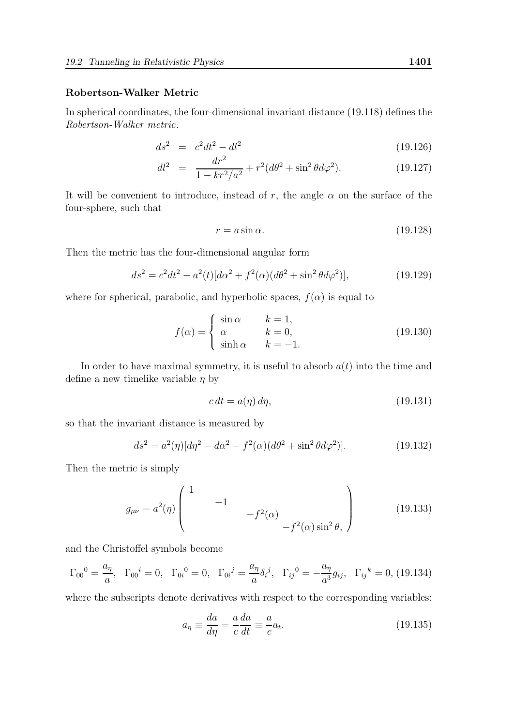# Robertson-Walker Metric

In spherical coordinates, the four-dimensional invariant distance (19.118) defines the Robertson-Walker metric.

$$
ds^2 = c^2 dt^2 - dl^2 \tag{19.126}
$$

$$
dl^2 = \frac{dr^2}{1 - kr^2/a^2} + r^2(d\theta^2 + \sin^2\theta d\varphi^2). \tag{19.127}
$$

It will be convenient to introduce, instead of r, the angle  $\alpha$  on the surface of the four-sphere, such that

$$
r = a \sin \alpha. \tag{19.128}
$$

Then the metric has the four-dimensional angular form

$$
ds^{2} = c^{2}dt^{2} - a^{2}(t)[d\alpha^{2} + f^{2}(\alpha)(d\theta^{2} + \sin^{2}\theta d\varphi^{2})],
$$
 (19.129)

where for spherical, parabolic, and hyperbolic spaces,  $f(\alpha)$  is equal to

$$
f(\alpha) = \begin{cases} \sin \alpha & k = 1, \\ \alpha & k = 0, \\ \sinh \alpha & k = -1. \end{cases}
$$
 (19.130)

In order to have maximal symmetry, it is useful to absorb  $a(t)$  into the time and define a new timelike variable  $\eta$  by

$$
c \, dt = a(\eta) \, d\eta,\tag{19.131}
$$

so that the invariant distance is measured by

$$
ds^{2} = a^{2}(\eta)[d\eta^{2} - d\alpha^{2} - f^{2}(\alpha)(d\theta^{2} + \sin^{2}\theta d\varphi^{2})].
$$
 (19.132)

Then the metric is simply

$$
g_{\mu\nu} = a^2(\eta) \begin{pmatrix} 1 & & & \\ & -1 & & \\ & & -f^2(\alpha) & \\ & & & -f^2(\alpha) \sin^2 \theta, \end{pmatrix}
$$
 (19.133)

and the Christoffel symbols become

$$
\Gamma_{00}{}^{0} = \frac{a_{\eta}}{a}, \ \ \Gamma_{00}{}^{i} = 0, \ \ \Gamma_{0i}{}^{0} = 0, \ \ \Gamma_{0i}{}^{j} = \frac{a_{\eta}}{a} \delta_{i}{}^{j}, \ \ \Gamma_{ij}{}^{0} = -\frac{a_{\eta}}{a^{3}} g_{ij}, \ \ \Gamma_{ij}{}^{k} = 0, (19.134)
$$

where the subscripts denote derivatives with respect to the corresponding variables:

$$
a_{\eta} \equiv \frac{da}{d\eta} = \frac{a}{c} \frac{da}{dt} \equiv \frac{a}{c} a_t.
$$
 (19.135)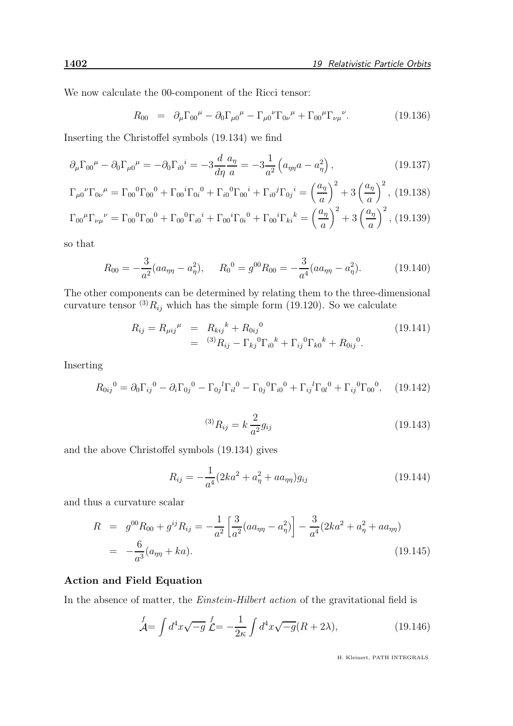We now calculate the 00-component of the Ricci tensor:

$$
R_{00} = \partial_{\mu} \Gamma_{00}{}^{\mu} - \partial_{0} \Gamma_{\mu 0}{}^{\mu} - \Gamma_{\mu 0}{}^{\nu} \Gamma_{0 \nu}{}^{\mu} + \Gamma_{00}{}^{\mu} \Gamma_{\nu \mu}{}^{\nu}.
$$
 (19.136)

Inserting the Christoffel symbols (19.134) we find

$$
\partial_{\mu} \Gamma_{00}{}^{\mu} - \partial_{0} \Gamma_{\mu 0}{}^{\mu} = -\partial_{0} \Gamma_{i0}{}^{i} = -3 \frac{d}{d\eta} \frac{a_{\eta}}{a} = -3 \frac{1}{a^{2}} \left( a_{\eta \eta} a - a_{\eta}^{2} \right),
$$
\n(19.137)

$$
\Gamma_{\mu 0}{}^{\nu} \Gamma_{0\nu}{}^{\mu} = \Gamma_{00}{}^{0} \Gamma_{00}{}^{0} + \Gamma_{00}{}^{i} \Gamma_{0i}{}^{0} + \Gamma_{i0}{}^{0} \Gamma_{00}{}^{i} + \Gamma_{i0}{}^{j} \Gamma_{0j}{}^{i} = \left(\frac{a_{\eta}}{a}\right)^{2} + 3\left(\frac{a_{\eta}}{a}\right)^{2}, (19.138)
$$
  
\n
$$
\Gamma_{00}{}^{\mu} \Gamma_{\nu \mu}{}^{\nu} = \Gamma_{00}{}^{0} \Gamma_{00}{}^{0} + \Gamma_{00}{}^{0} \Gamma_{i0}{}^{i} + \Gamma_{00}{}^{i} \Gamma_{0i}{}^{0} + \Gamma_{00}{}^{i} \Gamma_{ki}{}^{k} = \left(\frac{a_{\eta}}{a}\right)^{2} + 3\left(\frac{a_{\eta}}{a}\right)^{2}, (19.139)
$$

so that

$$
R_{00} = -\frac{3}{a^2}(aa_{\eta\eta} - a_{\eta}^2), \qquad R_0^0 = g^{00}R_{00} = -\frac{3}{a^4}(aa_{\eta\eta} - a_{\eta}^2). \tag{19.140}
$$

The other components can be determined by relating them to the three-dimensional curvature tensor <sup>(3)</sup> $R_{ij}$  which has the simple form (19.120). So we calculate

$$
R_{ij} = R_{\mu ij}{}^{\mu} = R_{kij}{}^{k} + R_{0ij}{}^{0}
$$
  
=  ${}^{(3)}R_{ij} - \Gamma_{kj}{}^{0}\Gamma_{i0}{}^{k} + \Gamma_{ij}{}^{0}\Gamma_{k0}{}^{k} + R_{0ij}{}^{0}$ . (19.141)

Inserting

$$
R_{0ij}{}^0 = \partial_0 \Gamma_{ij}{}^0 - \partial_i \Gamma_{0j}{}^0 - \Gamma_{0j}{}^l \Gamma_{il}{}^0 - \Gamma_{0j}{}^0 \Gamma_{i0}{}^0 + \Gamma_{ij}{}^l \Gamma_{0l}{}^0 + \Gamma_{ij}{}^0 \Gamma_{00}{}^0, \quad (19.142)
$$

$$
^{(3)}R_{ij} = k\frac{2}{a^2}g_{ij} \tag{19.143}
$$

and the above Christoffel symbols (19.134) gives

$$
R_{ij} = -\frac{1}{a^4} (2ka^2 + a_\eta^2 + aa_{\eta\eta}) g_{ij}
$$
 (19.144)

and thus a curvature scalar

$$
R = g^{00} R_{00} + g^{ij} R_{ij} = -\frac{1}{a^2} \left[ \frac{3}{a^2} (a a_{\eta\eta} - a_{\eta}^2) \right] - \frac{3}{a^4} (2ka^2 + a_{\eta}^2 + a a_{\eta\eta})
$$
  
= 
$$
-\frac{6}{a^3} (a_{\eta\eta} + ka).
$$
 (19.145)

# Action and Field Equation

In the absence of matter, the Einstein-Hilbert action of the gravitational field is

$$
\stackrel{f}{\mathcal{A}} = \int d^4x \sqrt{-g} \stackrel{f}{\mathcal{L}} = -\frac{1}{2\kappa} \int d^4x \sqrt{-g} (R + 2\lambda), \tag{19.146}
$$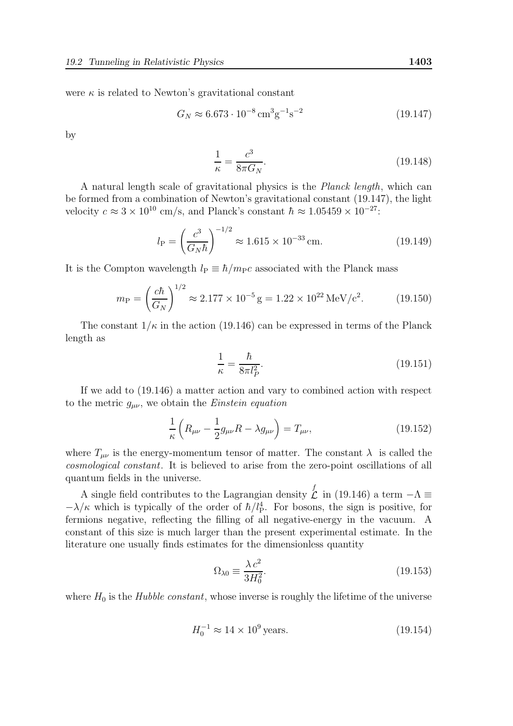were  $\kappa$  is related to Newton's gravitational constant

$$
G_N \approx 6.673 \cdot 10^{-8} \,\text{cm}^3 \text{g}^{-1} \text{s}^{-2} \tag{19.147}
$$

by

$$
\frac{1}{\kappa} = \frac{c^3}{8\pi G_N}.\tag{19.148}
$$

A natural length scale of gravitational physics is the Planck length, which can be formed from a combination of Newton's gravitational constant (19.147), the light velocity  $c \approx 3 \times 10^{10}$  cm/s, and Planck's constant  $\hbar \approx 1.05459 \times 10^{-27}$ :

$$
l_{\rm P} = \left(\frac{c^3}{G_N \hbar}\right)^{-1/2} \approx 1.615 \times 10^{-33} \,\text{cm}.\tag{19.149}
$$

It is the Compton wavelength  $l_P \equiv \hbar/m_P c$  associated with the Planck mass

$$
m_{\rm P} = \left(\frac{c\hbar}{G_N}\right)^{1/2} \approx 2.177 \times 10^{-5} \,\text{g} = 1.22 \times 10^{22} \,\text{MeV/c}^2. \tag{19.150}
$$

The constant  $1/\kappa$  in the action (19.146) can be expressed in terms of the Planck length as

$$
\frac{1}{\kappa} = \frac{\hbar}{8\pi l_P^2}.\tag{19.151}
$$

If we add to (19.146) a matter action and vary to combined action with respect to the metric  $g_{\mu\nu}$ , we obtain the *Einstein equation* 

$$
\frac{1}{\kappa} \left( R_{\mu\nu} - \frac{1}{2} g_{\mu\nu} R - \lambda g_{\mu\nu} \right) = T_{\mu\nu},\tag{19.152}
$$

where  $T_{\mu\nu}$  is the energy-momentum tensor of matter. The constant  $\lambda$  is called the cosmological constant. It is believed to arise from the zero-point oscillations of all quantum fields in the universe.

A single field contributes to the Lagrangian density  $\stackrel{f}{\mathcal{L}}$  in (19.146) a term  $-\Lambda \equiv$  $-\lambda/\kappa$  which is typically of the order of  $\hbar/l_P^4$ . For bosons, the sign is positive, for fermions negative, reflecting the filling of all negative-energy in the vacuum. A constant of this size is much larger than the present experimental estimate. In the literature one usually finds estimates for the dimensionless quantity

$$
\Omega_{\lambda 0} \equiv \frac{\lambda c^2}{3H_0^2}.
$$
\n(19.153)

where  $H_0$  is the Hubble constant, whose inverse is roughly the lifetime of the universe

$$
H_0^{-1} \approx 14 \times 10^9 \,\text{years.} \tag{19.154}
$$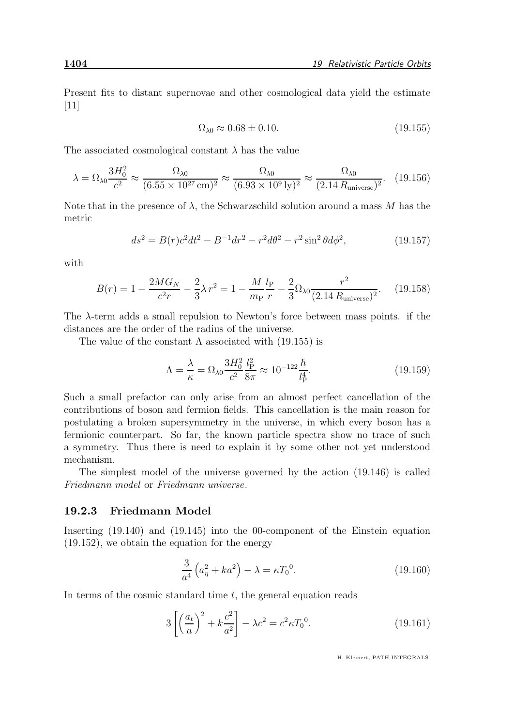Present fits to distant supernovae and other cosmological data yield the estimate  $[11]$ 

$$
\Omega_{\lambda 0} \approx 0.68 \pm 0.10. \tag{19.155}
$$

The associated cosmological constant  $\lambda$  has the value

$$
\lambda = \Omega_{\lambda 0} \frac{3H_0^2}{c^2} \approx \frac{\Omega_{\lambda 0}}{(6.55 \times 10^{27} \,\text{cm})^2} \approx \frac{\Omega_{\lambda 0}}{(6.93 \times 10^9 \,\text{ly})^2} \approx \frac{\Omega_{\lambda 0}}{(2.14 \, R_{\text{universe}})^2}.
$$
 (19.156)

Note that in the presence of  $\lambda$ , the Schwarzschild solution around a mass M has the metric

$$
ds^{2} = B(r)c^{2}dt^{2} - B^{-1}dr^{2} - r^{2}d\theta^{2} - r^{2}\sin^{2}\theta d\phi^{2},
$$
\t(19.157)

with

$$
B(r) = 1 - \frac{2MG_N}{c^2r} - \frac{2}{3}\lambda r^2 = 1 - \frac{M}{m_P} \frac{l_P}{r} - \frac{2}{3} \Omega_{\lambda 0} \frac{r^2}{(2.14 R_{\text{universe}})^2}.
$$
 (19.158)

The  $\lambda$ -term adds a small repulsion to Newton's force between mass points. if the distances are the order of the radius of the universe.

The value of the constant  $\Lambda$  associated with (19.155) is

$$
\Lambda = \frac{\lambda}{\kappa} = \Omega_{\lambda 0} \frac{3H_0^2}{c^2} \frac{l_{\rm P}^2}{8\pi} \approx 10^{-122} \frac{\hbar}{l_{\rm P}^4}.
$$
\n(19.159)

Such a small prefactor can only arise from an almost perfect cancellation of the contributions of boson and fermion fields. This cancellation is the main reason for postulating a broken supersymmetry in the universe, in which every boson has a fermionic counterpart. So far, the known particle spectra show no trace of such a symmetry. Thus there is need to explain it by some other not yet understood mechanism.

The simplest model of the universe governed by the action (19.146) is called Friedmann model or Friedmann universe.

# 19.2.3 Friedmann Model

Inserting (19.140) and (19.145) into the 00-component of the Einstein equation (19.152), we obtain the equation for the energy

$$
\frac{3}{a^4} \left( a_\eta^2 + k a^2 \right) - \lambda = \kappa T_0^0. \tag{19.160}
$$

In terms of the cosmic standard time  $t$ , the general equation reads

$$
3\left[\left(\frac{a_t}{a}\right)^2 + k\frac{c^2}{a^2}\right] - \lambda c^2 = c^2 \kappa T_0^0.
$$
 (19.161)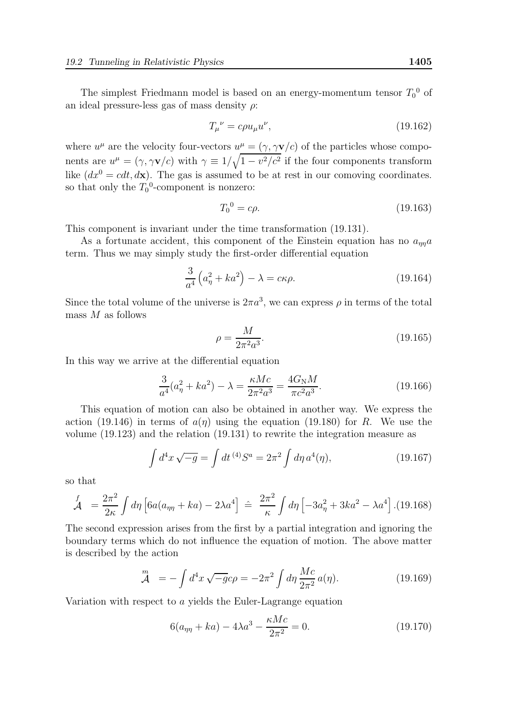The simplest Friedmann model is based on an energy-momentum tensor  $T_0^0$  of an ideal pressure-less gas of mass density  $\rho$ :

$$
T_{\mu}^{\ \nu} = c\rho u_{\mu}u^{\nu},\tag{19.162}
$$

where  $u^{\mu}$  are the velocity four-vectors  $u^{\mu} = (\gamma, \gamma \mathbf{v}/c)$  of the particles whose components are  $u^{\mu} = (\gamma, \gamma \mathbf{v}/c)$  with  $\gamma \equiv 1/\sqrt{1 - v^2/c^2}$  if the four components transform like  $(dx^0 = cdt, dx)$ . The gas is assumed to be at rest in our comoving coordinates. so that only the  $T_0^0$ -component is nonzero:

$$
T_0^0 = c\rho. \t\t(19.163)
$$

This component is invariant under the time transformation (19.131).

As a fortunate accident, this component of the Einstein equation has no  $a_{mn}a$ term. Thus we may simply study the first-order differential equation

$$
\frac{3}{a^4} \left( a_\eta^2 + k a^2 \right) - \lambda = c \kappa \rho. \tag{19.164}
$$

Since the total volume of the universe is  $2\pi a^3$ , we can express  $\rho$  in terms of the total mass  $M$  as follows

$$
\rho = \frac{M}{2\pi^2 a^3}.\tag{19.165}
$$

In this way we arrive at the differential equation

$$
\frac{3}{a^4}(a_\eta^2 + ka^2) - \lambda = \frac{\kappa Mc}{2\pi^2 a^3} = \frac{4G_N M}{\pi c^2 a^3}.
$$
 (19.166)

This equation of motion can also be obtained in another way. We express the action (19.146) in terms of  $a(\eta)$  using the equation (19.180) for R. We use the volume (19.123) and the relation (19.131) to rewrite the integration measure as

$$
\int d^4x \sqrt{-g} = \int dt^{(4)} S^a = 2\pi^2 \int d\eta \, a^4(\eta), \tag{19.167}
$$

so that

$$
\mathcal{A} = \frac{2\pi^2}{2\kappa} \int d\eta \left[ 6a(a_{\eta\eta} + ka) - 2\lambda a^4 \right] \; \hat{=} \; \frac{2\pi^2}{\kappa} \int d\eta \left[ -3a_{\eta}^2 + 3ka^2 - \lambda a^4 \right]. (19.168)
$$

The second expression arises from the first by a partial integration and ignoring the boundary terms which do not influence the equation of motion. The above matter is described by the action

$$
\mathcal{A} = -\int d^4x \sqrt{-g}c\rho = -2\pi^2 \int d\eta \frac{Mc}{2\pi^2} a(\eta). \tag{19.169}
$$

Variation with respect to a yields the Euler-Lagrange equation

$$
6(a_{\eta\eta} + ka) - 4\lambda a^3 - \frac{\kappa Mc}{2\pi^2} = 0.
$$
 (19.170)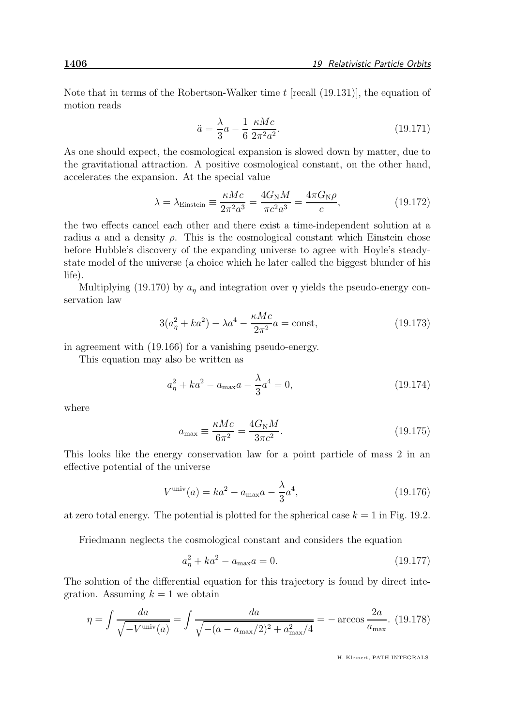Note that in terms of the Robertson-Walker time  $t$  [recall (19.131)], the equation of motion reads

$$
\ddot{a} = \frac{\lambda}{3}a - \frac{1}{6} \frac{\kappa Mc}{2\pi^2 a^2}.
$$
 (19.171)

As one should expect, the cosmological expansion is slowed down by matter, due to the gravitational attraction. A positive cosmological constant, on the other hand, accelerates the expansion. At the special value

$$
\lambda = \lambda_{\text{Einstein}} \equiv \frac{\kappa Mc}{2\pi^2 a^3} = \frac{4G_N M}{\pi c^2 a^3} = \frac{4\pi G_N \rho}{c},\tag{19.172}
$$

the two effects cancel each other and there exist a time-independent solution at a radius a and a density  $\rho$ . This is the cosmological constant which Einstein chose before Hubble's discovery of the expanding universe to agree with Hoyle's steadystate model of the universe (a choice which he later called the biggest blunder of his life).

Multiplying (19.170) by  $a_n$  and integration over  $\eta$  yields the pseudo-energy conservation law

$$
3(a_{\eta}^{2} + ka^{2}) - \lambda a^{4} - \frac{\kappa Mc}{2\pi^{2}}a = \text{const},
$$
\n(19.173)

in agreement with (19.166) for a vanishing pseudo-energy.

This equation may also be written as

$$
a_{\eta}^{2} + ka^{2} - a_{\max}a - \frac{\lambda}{3}a^{4} = 0,
$$
\n(19.174)

where

$$
a_{\text{max}} \equiv \frac{\kappa M c}{6\pi^2} = \frac{4G_{\text{N}}M}{3\pi c^2}.
$$
\n(19.175)

This looks like the energy conservation law for a point particle of mass 2 in an effective potential of the universe

$$
V^{\text{univ}}(a) = ka^2 - a_{\text{max}}a - \frac{\lambda}{3}a^4,
$$
\n(19.176)

at zero total energy. The potential is plotted for the spherical case  $k = 1$  in Fig. 19.2.

Friedmann neglects the cosmological constant and considers the equation

$$
a_{\eta}^{2} + ka^{2} - a_{\max} a = 0.
$$
 (19.177)

The solution of the differential equation for this trajectory is found by direct integration. Assuming  $k = 1$  we obtain

$$
\eta = \int \frac{da}{\sqrt{-V^{\text{univ}}(a)}} = \int \frac{da}{\sqrt{-(a - a_{\text{max}}/2)^2 + a_{\text{max}}^2/4}} = -\arccos\frac{2a}{a_{\text{max}}}.
$$
 (19.178)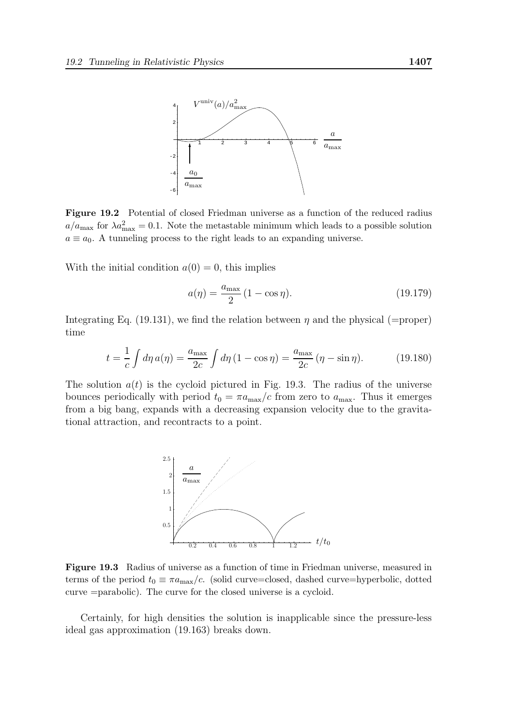

Figure 19.2 Potential of closed Friedman universe as a function of the reduced radius  $a/a_{\text{max}}$  for  $\lambda a_{\text{max}}^2 = 0.1$ . Note the metastable minimum which leads to a possible solution  $a \equiv a_0$ . A tunneling process to the right leads to an expanding universe.

With the initial condition  $a(0) = 0$ , this implies

$$
a(\eta) = \frac{a_{\text{max}}}{2} (1 - \cos \eta). \tag{19.179}
$$

Integrating Eq. (19.131), we find the relation between  $\eta$  and the physical (=proper) time

$$
t = \frac{1}{c} \int d\eta \, a(\eta) = \frac{a_{\text{max}}}{2c} \int d\eta \, (1 - \cos \eta) = \frac{a_{\text{max}}}{2c} \, (\eta - \sin \eta). \tag{19.180}
$$

The solution  $a(t)$  is the cycloid pictured in Fig. 19.3. The radius of the universe bounces periodically with period  $t_0 = \pi a_{\text{max}}/c$  from zero to  $a_{\text{max}}$ . Thus it emerges from a big bang, expands with a decreasing expansion velocity due to the gravitational attraction, and recontracts to a point.



Figure 19.3 Radius of universe as a function of time in Friedman universe, measured in terms of the period  $t_0 \equiv \pi a_{\text{max}}/c$ . (solid curve=closed, dashed curve=hyperbolic, dotted curve =parabolic). The curve for the closed universe is a cycloid.

Certainly, for high densities the solution is inapplicable since the pressure-less ideal gas approximation (19.163) breaks down.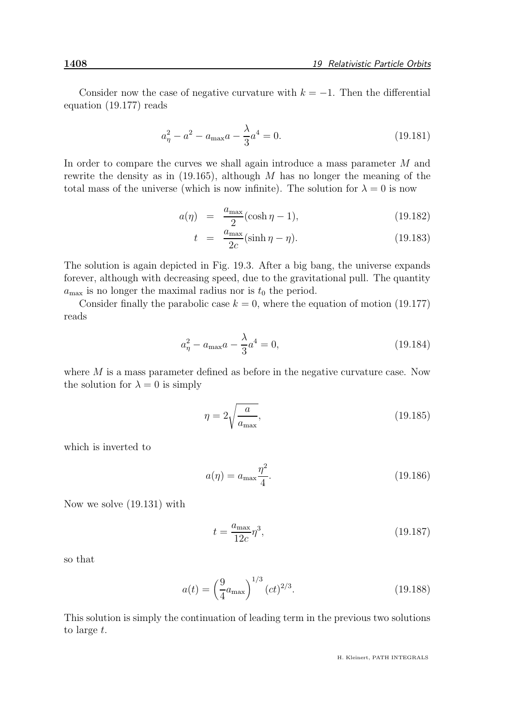Consider now the case of negative curvature with  $k = -1$ . Then the differential equation (19.177) reads

$$
a_{\eta}^{2} - a^{2} - a_{\max}a - \frac{\lambda}{3}a^{4} = 0.
$$
 (19.181)

In order to compare the curves we shall again introduce a mass parameter M and rewrite the density as in  $(19.165)$ , although M has no longer the meaning of the total mass of the universe (which is now infinite). The solution for  $\lambda = 0$  is now

$$
a(\eta) = \frac{a_{\text{max}}}{2}(\cosh \eta - 1), \tag{19.182}
$$

$$
t = \frac{a_{\text{max}}}{2c} (\sinh \eta - \eta). \tag{19.183}
$$

The solution is again depicted in Fig. 19.3. After a big bang, the universe expands forever, although with decreasing speed, due to the gravitational pull. The quantity  $a_{\text{max}}$  is no longer the maximal radius nor is  $t_0$  the period.

Consider finally the parabolic case  $k = 0$ , where the equation of motion (19.177) reads

$$
a_{\eta}^{2} - a_{\max}a - \frac{\lambda}{3}a^{4} = 0, \qquad (19.184)
$$

where M is a mass parameter defined as before in the negative curvature case. Now the solution for  $\lambda = 0$  is simply

$$
\eta = 2\sqrt{\frac{a}{a_{\text{max}}}},\tag{19.185}
$$

which is inverted to

$$
a(\eta) = a_{\text{max}} \frac{\eta^2}{4}.\tag{19.186}
$$

Now we solve (19.131) with

$$
t = \frac{a_{\text{max}}}{12c} \eta^3,\tag{19.187}
$$

so that

$$
a(t) = \left(\frac{9}{4}a_{\text{max}}\right)^{1/3} (ct)^{2/3}.
$$
 (19.188)

This solution is simply the continuation of leading term in the previous two solutions to large t.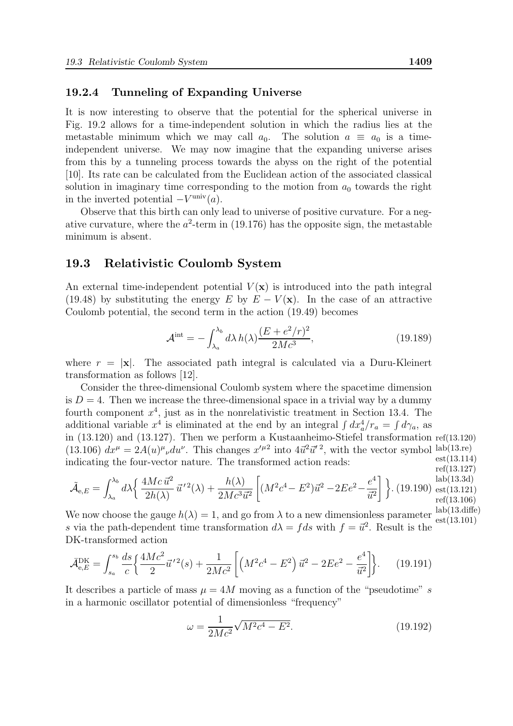# 19.2.4 Tunneling of Expanding Universe

It is now interesting to observe that the potential for the spherical universe in Fig. 19.2 allows for a time-independent solution in which the radius lies at the metastable minimum which we may call  $a_0$ . The solution  $a \equiv a_0$  is a timeindependent universe. We may now imagine that the expanding universe arises from this by a tunneling process towards the abyss on the right of the potential [10]. Its rate can be calculated from the Euclidean action of the associated classical solution in imaginary time corresponding to the motion from  $a_0$  towards the right in the inverted potential  $-V^{\text{univ}}(a)$ .

Observe that this birth can only lead to universe of positive curvature. For a negative curvature, where the  $a^2$ -term in (19.176) has the opposite sign, the metastable minimum is absent.

# 19.3 Relativistic Coulomb System

An external time-independent potential  $V(\mathbf{x})$  is introduced into the path integral (19.48) by substituting the energy E by  $E - V(\mathbf{x})$ . In the case of an attractive Coulomb potential, the second term in the action (19.49) becomes

$$
\mathcal{A}^{\text{int}} = -\int_{\lambda_a}^{\lambda_b} d\lambda \, h(\lambda) \frac{(E + e^2/r)^2}{2Mc^3},\tag{19.189}
$$

where  $r = |\mathbf{x}|$ . The associated path integral is calculated via a Duru-Kleinert transformation as follows [12].

Consider the three-dimensional Coulomb system where the spacetime dimension is  $D = 4$ . Then we increase the three-dimensional space in a trivial way by a dummy fourth component  $x^4$ , just as in the nonrelativistic treatment in Section 13.4. The additional variable  $x^4$  is eliminated at the end by an integral  $\int dx^4_a/r_a = \int d\gamma_a$ , as in (13.120) and (13.127). Then we perform a Kustaanheimo-Stiefel transformation ref(13.120) (13.106)  $dx^{\mu} = 2A(u)^{\mu}{}_{\nu}du^{\nu}$ . This changes  $x'^{\mu 2}$  into  $4\vec{u}^{2}\vec{u}'^{2}$ , with the vector symbol lab(13.re) est(13.114) ref(13.127) indicating the four-vector nature. The transformed action reads:

$$
\tilde{\mathcal{A}}_{e,E} = \int_{\lambda_a}^{\lambda_b} d\lambda \left\{ \frac{4Mc \, \vec{u}^2}{2h(\lambda)} \, \vec{u}'^2(\lambda) + \frac{h(\lambda)}{2Mc^3 \vec{u}^2} \left[ (M^2 c^4 - E^2) \vec{u}^2 - 2E e^2 - \frac{e^4}{\vec{u}^2} \right] \right\} .
$$
 (19.190)  $\operatorname{est}(13.121)$ ref(13.106)

lab(13.diffe) We now choose the gauge  $h(\lambda) = 1$ , and go from  $\lambda$  to a new dimensionless parameter about  $\text{est}(13.101)$ s via the path-dependent time transformation  $d\lambda = f ds$  with  $f = \vec{u}^2$ . Result is the DK-transformed action

$$
\bar{\mathcal{A}}_{e,E}^{DK} = \int_{s_a}^{s_b} \frac{ds}{c} \left\{ \frac{4Mc^2}{2} \vec{u}'^2(s) + \frac{1}{2Mc^2} \left[ \left( M^2 c^4 - E^2 \right) \vec{u}^2 - 2Ee^2 - \frac{e^4}{\vec{u}^2} \right] \right\}.
$$
 (19.191)

It describes a particle of mass  $\mu = 4M$  moving as a function of the "pseudotime" s in a harmonic oscillator potential of dimensionless "frequency"

$$
\omega = \frac{1}{2Mc^2} \sqrt{M^2 c^4 - E^2}.
$$
\n(19.192)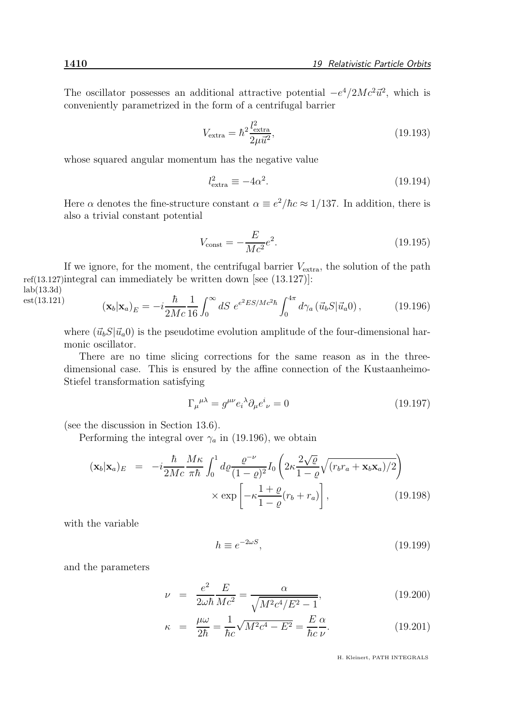The oscillator possesses an additional attractive potential  $-e^4/2Mc^2\vec{u}^2$ , which is conveniently parametrized in the form of a centrifugal barrier

$$
V_{\text{extra}} = \hbar^2 \frac{l_{\text{extra}}^2}{2\mu \vec{u}^2},\tag{19.193}
$$

whose squared angular momentum has the negative value

$$
l_{\text{extra}}^2 \equiv -4\alpha^2. \tag{19.194}
$$

Here  $\alpha$  denotes the fine-structure constant  $\alpha \equiv e^2/\hbar c \approx 1/137$ . In addition, there is also a trivial constant potential

$$
V_{\text{const}} = -\frac{E}{Mc^2}e^2.
$$
 (19.195)

If we ignore, for the moment, the centrifugal barrier  $V_{\text{extra}}$ , the solution of the path ref(13.127)integral can immediately be written down [see (13.127)]: lab(13.3d)

$$
(\mathbf{x}_b|\mathbf{x}_a)_E = -i\frac{\hbar}{2Mc}\frac{1}{16}\int_0^\infty dS \ e^{e^2ES/Mc^2\hbar} \int_0^{4\pi} d\gamma_a \left(\vec{u}_b S|\vec{u}_a 0\right), \tag{19.196}
$$

where  $(\vec{u}_b S|\vec{u}_a)$  is the pseudotime evolution amplitude of the four-dimensional harmonic oscillator.

There are no time slicing corrections for the same reason as in the threedimensional case. This is ensured by the affine connection of the Kustaanheimo-Stiefel transformation satisfying

$$
\Gamma_{\mu}{}^{\mu\lambda} = g^{\mu\nu} e_i{}^{\lambda} \partial_{\mu} e^i{}_{\nu} = 0 \tag{19.197}
$$

(see the discussion in Section 13.6).

Performing the integral over  $\gamma_a$  in (19.196), we obtain

$$
(\mathbf{x}_b|\mathbf{x}_a)_E = -i\frac{\hbar}{2Mc}\frac{M\kappa}{\pi\hbar} \int_0^1 d\varrho \frac{\varrho^{-\nu}}{(1-\varrho)^2} I_0\left(2\kappa\frac{2\sqrt{\varrho}}{1-\varrho}\sqrt{(r_b r_a + \mathbf{x}_b \mathbf{x}_a)/2}\right) \times \exp\left[-\kappa\frac{1+\varrho}{1-\varrho}(r_b + r_a)\right],
$$
\n(19.198)

with the variable

$$
h \equiv e^{-2\omega S},\tag{19.199}
$$

and the parameters

$$
\nu = \frac{e^2}{2\omega\hbar} \frac{E}{Mc^2} = \frac{\alpha}{\sqrt{M^2 c^4 / E^2 - 1}},
$$
\n(19.200)

$$
\kappa = \frac{\mu \omega}{2\hbar} = \frac{1}{\hbar c} \sqrt{M^2 c^4 - E^2} = \frac{E}{\hbar c} \frac{\alpha}{\nu}.
$$
 (19.201)

H. Kleinert, PATH INTEGRALS

 $est(13.121)$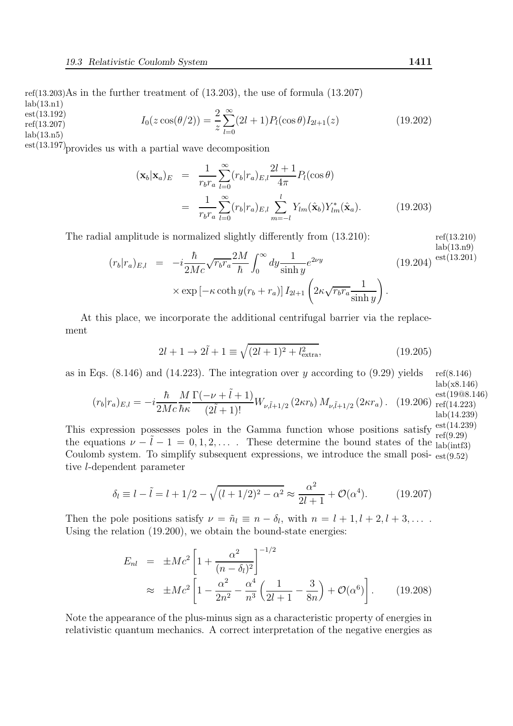ref(13.203)As in the further treatment of (13.203), the use of formula (13.207)  $lab(13.n1)$ 

est(13.192)  
ref(13.207)  
lab(13.207)  

$$
I_0(z \cos(\theta/2)) = \frac{2}{z} \sum_{l=0}^{\infty} (2l+1) P_l(\cos \theta) I_{2l+1}(z)
$$
(19.202)  
lab(13.203)

est(13.197) provides us with a partial wave decomposition

$$
(\mathbf{x}_b|\mathbf{x}_a)_E = \frac{1}{r_b r_a} \sum_{l=0}^{\infty} (r_b|r_a)_{E,l} \frac{2l+1}{4\pi} P_l(\cos\theta)
$$
  

$$
= \frac{1}{r_b r_a} \sum_{l=0}^{\infty} (r_b|r_a)_{E,l} \sum_{m=-l}^{l} Y_{lm}(\hat{\mathbf{x}}_b) Y_{lm}^*(\hat{\mathbf{x}}_a).
$$
(19.203)

The radial amplitude is normalized slightly differently from  $(13.210)$ : ref $(13.210)$ 

$$
(r_b|r_a)_{E,l} = -i\frac{\hbar}{2Mc}\sqrt{r_b r_a} \frac{2M}{\hbar} \int_0^\infty dy \frac{1}{\sinh y} e^{2\nu y}
$$
\n
$$
\times \exp\left[-\kappa \coth y (r_b + r_a)\right] I_{2l+1} \left(2\kappa \sqrt{r_b r_a} \frac{1}{\sinh y}\right).
$$
\n(19.204)  $\frac{\text{est}(13.201)}{\text{est}(13.201)}$ 

At this place, we incorporate the additional centrifugal barrier via the replacement

$$
2l + 1 \to 2\tilde{l} + 1 \equiv \sqrt{(2l + 1)^2 + l_{\text{extra}}^2},\tag{19.205}
$$

as in Eqs.  $(8.146)$  and  $(14.223)$ . The integration over y according to  $(9.29)$  yields ref(8.146)

est(19@8.146)  $(r_b|r_a)_{E,l} = -i\frac{\hbar}{2Mc}\frac{1}{\hbar\kappa}\frac{1}{\kappa} \frac{(\hbar^2 + \hbar^2 + 1)}{(\hbar^2 + 1)!} W_{\nu,\tilde{l}+1/2} (2\kappa r_b) M_{\nu,\tilde{l}+1/2} (2\kappa r_a)$ . (19.206) ref(14.223) lab(14.239)  $\hbar$  $2Mc$ M  $\hbar \kappa$  $\Gamma(-\nu + \tilde{l} + 1)$  $\frac{\tilde{\mu}^2 + \tilde{v}^2 + 1}{(2\tilde{l} + 1)!} W_{\nu, \tilde{l} + 1/2} (2\kappa r_b) M_{\nu, \tilde{l} + 1/2} (2\kappa r_a).$  (19.206)

est(14.239) ref(9.29) the equations  $\nu - \tilde{l} - 1 = 0, 1, 2, \ldots$ . These determine the bound states of the  $_{lab(intf3)}^{ref(9.29)}$ Coulomb system. To simplify subsequent expressions, we introduce the small posi- $_{est(9.52)}$ This expression possesses poles in the Gamma function whose positions satisfy tive l-dependent parameter

$$
\delta_l \equiv l - \tilde{l} = l + 1/2 - \sqrt{(l + 1/2)^2 - \alpha^2} \approx \frac{\alpha^2}{2l + 1} + \mathcal{O}(\alpha^4). \tag{19.207}
$$

Then the pole positions satisfy  $\nu = \tilde{n}_l \equiv n - \delta_l$ , with  $n = l + 1, l + 2, l + 3, \ldots$ . Using the relation (19.200), we obtain the bound-state energies:

$$
E_{nl} = \pm Mc^2 \left[ 1 + \frac{\alpha^2}{(n - \delta_l)^2} \right]^{-1/2}
$$
  
 
$$
\approx \pm Mc^2 \left[ 1 - \frac{\alpha^2}{2n^2} - \frac{\alpha^4}{n^3} \left( \frac{1}{2l+1} - \frac{3}{8n} \right) + \mathcal{O}(\alpha^6) \right]. \tag{19.208}
$$

Note the appearance of the plus-minus sign as a characteristic property of energies in relativistic quantum mechanics. A correct interpretation of the negative energies as

 $lab(x8.146)$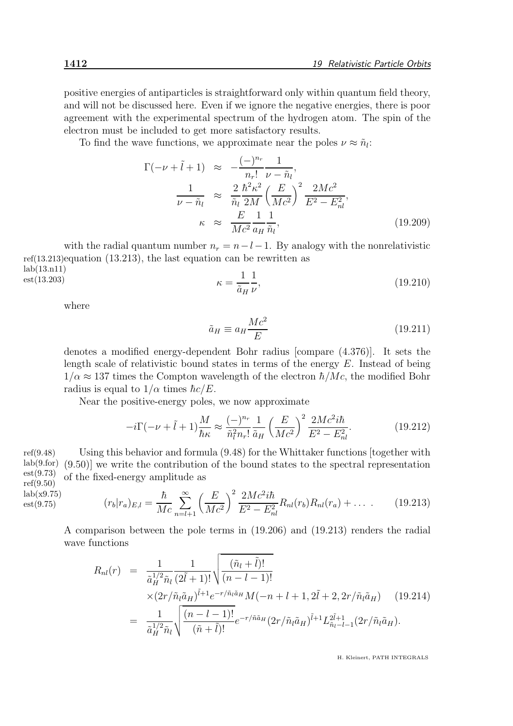positive energies of antiparticles is straightforward only within quantum field theory, and will not be discussed here. Even if we ignore the negative energies, there is poor agreement with the experimental spectrum of the hydrogen atom. The spin of the electron must be included to get more satisfactory results.

To find the wave functions, we approximate near the poles  $\nu \approx \tilde{n}_l$ :

$$
\Gamma(-\nu + \tilde{l} + 1) \approx -\frac{(-)^{n_r}}{n_r!} \frac{1}{\nu - \tilde{n}_l},
$$
\n
$$
\frac{1}{\nu - \tilde{n}_l} \approx \frac{2}{\tilde{n}_l} \frac{\hbar^2 \kappa^2}{2M} \left(\frac{E}{Mc^2}\right)^2 \frac{2Mc^2}{E^2 - E_{nl}^2},
$$
\n
$$
\kappa \approx \frac{E}{Mc^2} \frac{1}{a_H} \frac{1}{\tilde{n}_l},
$$
\n(19.209)

with the radial quantum number  $n_r = n - l - 1$ . By analogy with the nonrelativistic ref(13.213)equation (13.213), the last equation can be rewritten as  $lab(13.n11)$  $est(13.203)$ 1 1

$$
\kappa = \frac{1}{\tilde{a}_H} \frac{1}{\nu},\tag{19.210}
$$

where

$$
\tilde{a}_H \equiv a_H \frac{Mc^2}{E} \tag{19.211}
$$

denotes a modified energy-dependent Bohr radius [compare (4.376)]. It sets the length scale of relativistic bound states in terms of the energy  $E$ . Instead of being  $1/\alpha \approx 137$  times the Compton wavelength of the electron  $\hbar/Mc$ , the modified Bohr radius is equal to  $1/\alpha$  times  $\hbar c/E$ .

Near the positive-energy poles, we now approximate

$$
-i\Gamma(-\nu + \tilde{l} + 1)\frac{M}{\hbar\kappa} \approx \frac{(-)^{n_r}}{\tilde{n}_l^2 n_r!} \frac{1}{\tilde{a}_H} \left(\frac{E}{Mc^2}\right)^2 \frac{2Mc^2 i\hbar}{E^2 - E_{nl}^2}.
$$
 (19.212)

ref(9.48) Using this behavior and formula (9.48) for the Whittaker functions [together with  $lab(9.6r)$ est(9.73) (9.50)] we write the contribution of the bound states to the spectral representation of the fixed-energy amplitude as

ref(9.50)  $lab(x9.75)$ est(9.75)

$$
(r_b|r_a)_{E,l} = \frac{\hbar}{Mc} \sum_{n=l+1}^{\infty} \left(\frac{E}{Mc^2}\right)^2 \frac{2Mc^2i\hbar}{E^2 - E_{nl}^2} R_{nl}(r_b) R_{nl}(r_a) + \dots \qquad (19.213)
$$

A comparison between the pole terms in (19.206) and (19.213) renders the radial wave functions

$$
R_{nl}(r) = \frac{1}{\tilde{a}_{H}^{1/2} \tilde{n}_{l}} \frac{1}{(2\tilde{l}+1)!} \sqrt{\frac{(\tilde{n}_{l}+\tilde{l})!}{(n-l-1)!}} \times (2r/\tilde{n}_{l}\tilde{a}_{H})^{\tilde{l}+1} e^{-r/\tilde{n}_{l}\tilde{a}_{H}} M(-n+l+1, 2\tilde{l}+2, 2r/\tilde{n}_{l}\tilde{a}_{H})} \qquad (19.214)
$$
  
= 
$$
\frac{1}{\tilde{a}_{H}^{1/2} \tilde{n}_{l}} \sqrt{\frac{(n-l-1)!}{(\tilde{n}+\tilde{l})!}} e^{-r/\tilde{n}\tilde{a}_{H}} (2r/\tilde{n}_{l}\tilde{a}_{H})^{\tilde{l}+1} L_{\tilde{n}_{l}-l-1}^{2\tilde{l}+1} (2r/\tilde{n}_{l}\tilde{a}_{H}).
$$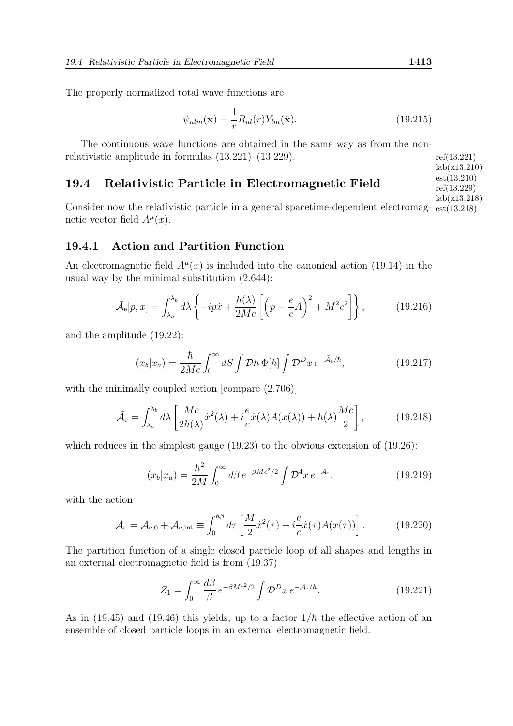The properly normalized total wave functions are

$$
\psi_{nlm}(\mathbf{x}) = \frac{1}{r} R_{nl}(r) Y_{lm}(\hat{\mathbf{x}}).
$$
\n(19.215)

The continuous wave functions are obtained in the same way as from the nonrelativistic amplitude in formulas  $(13.221)$ – $(13.229)$ . ref $(13.221)$ 

# 19.4 Relativistic Particle in Electromagnetic Field

est(13.210) ref(13.229) lab(x13.218)

lab(x13.210)

Consider now the relativistic particle in a general spacetime-dependent electromag- $est(13.218)$ netic vector field  $A^{\mu}(x)$ .

#### 19.4.1 Action and Partition Function

An electromagnetic field  $A^{\mu}(x)$  is included into the canonical action (19.14) in the usual way by the minimal substitution (2.644):

$$
\bar{\mathcal{A}}_e[p,x] = \int_{\lambda_a}^{\lambda_b} d\lambda \left\{ -ip\dot{x} + \frac{h(\lambda)}{2Mc} \left[ \left( p - \frac{e}{c} A \right)^2 + M^2 c^2 \right] \right\},\tag{19.216}
$$

and the amplitude (19.22):

$$
(x_b|x_a) = \frac{\hbar}{2Mc} \int_0^\infty dS \int \mathcal{D}h \, \Phi[h] \int \mathcal{D}^D x \, e^{-\bar{\mathcal{A}}_e/\hbar},\tag{19.217}
$$

with the minimally coupled action [compare  $(2.706)$ ]

$$
\bar{\mathcal{A}}_{\rm e} = \int_{\lambda_a}^{\lambda_b} d\lambda \left[ \frac{Mc}{2h(\lambda)} \dot{x}^2(\lambda) + i\frac{e}{c} \dot{x}(\lambda) A(x(\lambda)) + h(\lambda) \frac{Mc}{2} \right],\tag{19.218}
$$

which reduces in the simplest gauge  $(19.23)$  to the obvious extension of  $(19.26)$ :

$$
(x_b|x_a) = \frac{\hbar^2}{2M} \int_0^\infty d\beta \, e^{-\beta Mc^2/2} \int \mathcal{D}^4 x \, e^{-\mathcal{A}_e},\tag{19.219}
$$

with the action

$$
\mathcal{A}_{\rm e} = \mathcal{A}_{\rm e,0} + \mathcal{A}_{\rm e,int} \equiv \int_0^{\hbar \beta} d\tau \left[ \frac{M}{2} \dot{x}^2(\tau) + i \frac{e}{c} \dot{x}(\tau) A(x(\tau)) \right]. \tag{19.220}
$$

The partition function of a single closed particle loop of all shapes and lengths in an external electromagnetic field is from (19.37)

$$
Z_1 = \int_0^\infty \frac{d\beta}{\beta} e^{-\beta Mc^2/2} \int \mathcal{D}^D x e^{-\mathcal{A}_e/\hbar}.\tag{19.221}
$$

As in (19.45) and (19.46) this yields, up to a factor  $1/\hbar$  the effective action of an ensemble of closed particle loops in an external electromagnetic field.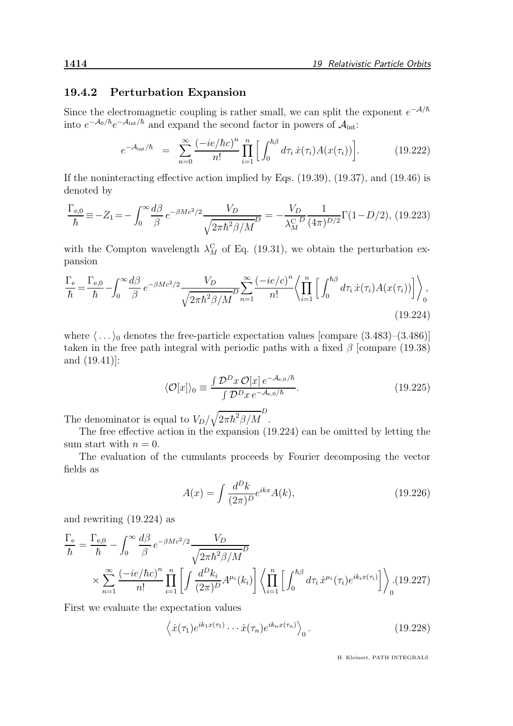# 19.4.2 Perturbation Expansion

Since the electromagnetic coupling is rather small, we can split the exponent  $e^{-\mathcal{A}/\hbar}$ into  $e^{-\mathcal{A}_0/\hbar}e^{-\mathcal{A}_{int}/\hbar}$  and expand the second factor in powers of  $\mathcal{A}_{int}$ :

$$
e^{-A_{\rm int}/\hbar} = \sum_{n=0}^{\infty} \frac{(-ie/\hbar c)^n}{n!} \prod_{i=1}^n \left[ \int_0^{\hbar \beta} d\tau_i \, \dot{x}(\tau_i) A(x(\tau_i)) \right]. \tag{19.222}
$$

If the noninteracting effective action implied by Eqs. (19.39), (19.37), and (19.46) is denoted by

$$
\frac{\Gamma_{e,0}}{\hbar} \equiv -Z_1 = -\int_0^\infty \frac{d\beta}{\beta} e^{-\beta Mc^2/2} \frac{V_D}{\sqrt{2\pi \hbar^2 \beta/M}} = -\frac{V_D}{\lambda_M^C} \frac{1}{(4\pi)^{D/2}} \Gamma(1 - D/2), \ (19.223)
$$

with the Compton wavelength  $\lambda_M^C$  of Eq. (19.31), we obtain the perturbation expansion

$$
\frac{\Gamma_e}{\hbar} = \frac{\Gamma_{e,0}}{\hbar} - \int_0^\infty \frac{d\beta}{\beta} e^{-\beta Mc^2/2} \frac{V_D}{\sqrt{2\pi\hbar^2 \beta/M}} \sum_{n=1}^\infty \frac{(-ie/c)^n}{n!} \left\langle \prod_{i=1}^n \left[ \int_0^{\hbar\beta} d\tau_i \dot{x}(\tau_i) A(x(\tau_i)) \right] \right\rangle_0,
$$
\n(19.224)

where  $\langle \ldots \rangle_0$  denotes the free-particle expectation values [compare (3.483)–(3.486)] taken in the free path integral with periodic paths with a fixed  $\beta$  [compare (19.38) and (19.41)]:

$$
\langle \mathcal{O}[x] \rangle_0 \equiv \frac{\int \mathcal{D}^D x \, \mathcal{O}[x] \, e^{-\mathcal{A}_{\text{e},0}/\hbar}}{\int \mathcal{D}^D x \, e^{-\mathcal{A}_{\text{e},0}/\hbar}}. \tag{19.225}
$$

The denominator is equal to  $V_D/\sqrt{2\pi\hbar^2\beta/M}^D$ .

The free effective action in the expansion (19.224) can be omitted by letting the sum start with  $n = 0$ .

The evaluation of the cumulants proceeds by Fourier decomposing the vector fields as

$$
A(x) = \int \frac{d^D k}{(2\pi)^D} e^{ikx} A(k),
$$
\n(19.226)

and rewriting (19.224) as

$$
\frac{\Gamma_e}{\hbar} = \frac{\Gamma_{e,0}}{\hbar} - \int_0^\infty \frac{d\beta}{\beta} e^{-\beta Mc^2/2} \frac{V_D}{\sqrt{2\pi \hbar^2 \beta/M}} \times \sum_{n=1}^\infty \frac{(-ie/\hbar c)^n}{n!} \prod_{i=1}^n \left[ \int \frac{d^D k_i}{(2\pi)^D} A^{\mu_i}(k_i) \right] \left\langle \prod_{i=1}^n \left[ \int_0^{\hbar \beta} d\tau_i \, \dot{x}^{\mu_i}(\tau_i) e^{ik_i x(\tau_i)} \right] \right\rangle_0 (19.227)
$$

First we evaluate the expectation values

$$
\left\langle \dot{x}(\tau_1) e^{ik_1 x(\tau_1)} \cdots \dot{x}(\tau_n) e^{ik_n x(\tau_n)} \right\rangle_0.
$$
\n(19.228)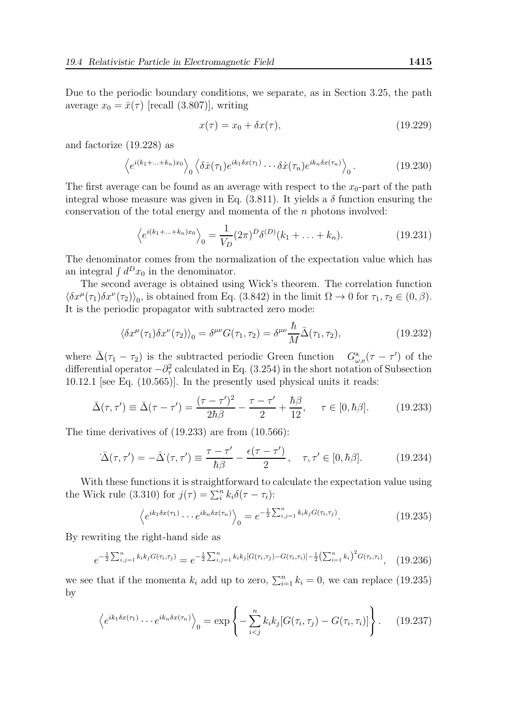Due to the periodic boundary conditions, we separate, as in Section 3.25, the path average  $x_0 = \bar{x}(\tau)$  [recall (3.807)], writing

$$
x(\tau) = x_0 + \delta x(\tau),\tag{19.229}
$$

and factorize (19.228) as

$$
\left\langle e^{i(k_1+\ldots+k_n)x_0} \right\rangle_0 \left\langle \delta \dot{x}(\tau_1) e^{ik_1 \delta x(\tau_1)} \cdots \delta \dot{x}(\tau_n) e^{ik_n \delta x(\tau_n)} \right\rangle_0.
$$
 (19.230)

The first average can be found as an average with respect to the  $x_0$ -part of the path integral whose measure was given in Eq.  $(3.811)$ . It yields a  $\delta$  function ensuring the conservation of the total energy and momenta of the n photons involved:

$$
\left\langle e^{i(k_1 + \ldots + k_n)x_0} \right\rangle_0 = \frac{1}{V_D} (2\pi)^D \delta^{(D)}(k_1 + \ldots + k_n).
$$
 (19.231)

The denominator comes from the normalization of the expectation value which has an integral  $\int d^D x_0$  in the denominator.

The second average is obtained using Wick's theorem. The correlation function  $\langle \delta x^{\mu}(\tau_1) \delta x^{\nu}(\tau_2) \rangle_0$ , is obtained from Eq. (3.842) in the limit  $\Omega \to 0$  for  $\tau_1, \tau_2 \in (0, \beta)$ . It is the periodic propagator with subtracted zero mode:

$$
\langle \delta x^{\mu}(\tau_1) \delta x^{\nu}(\tau_2) \rangle_0 = \delta^{\mu\nu} G(\tau_1, \tau_2) = \delta^{\mu\nu} \frac{\hbar}{M} \bar{\Delta}(\tau_1, \tau_2), \tag{19.232}
$$

where  $\bar{\Delta}(\tau_1 - \tau_2)$  is the subtracted periodic Green function  $G^{\rm a}_{\omega,e}(\tau - \tau')$  of the differential operator  $-\partial_{\tau}^{2}$  calculated in Eq. (3.254) in the short notation of Subsection 10.12.1 [see Eq. (10.565)]. In the presently used physical units it reads:

$$
\bar{\Delta}(\tau,\tau') \equiv \bar{\Delta}(\tau-\tau') = \frac{(\tau-\tau')^2}{2\hbar\beta} - \frac{\tau-\tau'}{2} + \frac{\hbar\beta}{12}, \quad \tau \in [0,\hbar\beta]. \tag{19.233}
$$

The time derivatives of (19.233) are from (10.566):

$$
\overline{\Delta}(\tau,\tau') = -\overline{\Delta}(\tau,\tau') \equiv \frac{\tau-\tau'}{\hbar\beta} - \frac{\epsilon(\tau-\tau')}{2}, \quad \tau,\tau' \in [0,\hbar\beta]. \tag{19.234}
$$

With these functions it is straightforward to calculate the expectation value using the Wick rule (3.310) for  $j(\tau) = \sum_{i=1}^{n} k_i \delta(\tau - \tau_i)$ :

$$
\left\langle e^{ik_1 \delta x(\tau_1)} \cdots e^{ik_n \delta x(\tau_n)} \right\rangle_0 = e^{-\frac{1}{2} \sum_{i,j=1}^n k_i k_j G(\tau_i, \tau_j)}.
$$
\n(19.235)

By rewriting the right-hand side as

$$
e^{-\frac{1}{2}\sum_{i,j=1}^{n}k_{i}k_{j}G(\tau_{i},\tau_{j})}=e^{-\frac{1}{2}\sum_{i,j=1}^{n}k_{i}k_{j}[G(\tau_{i},\tau_{j})-G(\tau_{i},\tau_{i})]-\frac{1}{2}(\sum_{i=1}^{n}k_{i})^{2}G(\tau_{i},\tau_{i})},\quad(19.236)
$$

we see that if the momenta  $k_i$  add up to zero,  $\sum_{i=1}^{n} k_i = 0$ , we can replace (19.235) by

$$
\left\langle e^{ik_1\delta x(\tau_1)}\cdots e^{ik_n\delta x(\tau_n)}\right\rangle_0 = \exp\left\{-\sum_{i (19.237)
$$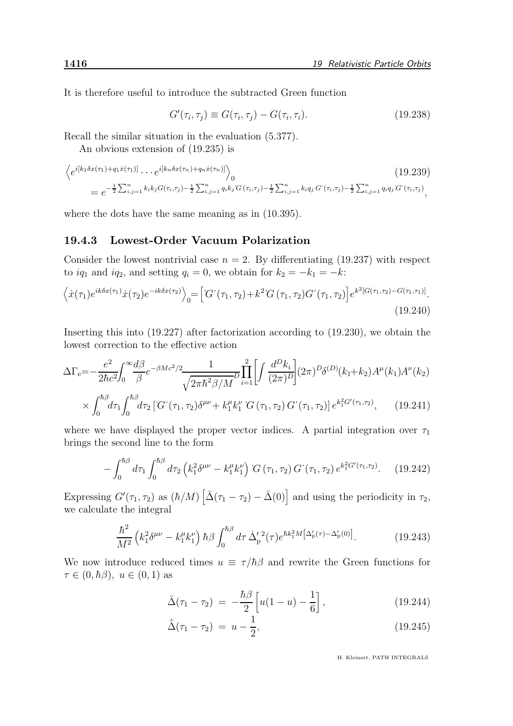It is therefore useful to introduce the subtracted Green function

$$
G'(\tau_i, \tau_j) \equiv G(\tau_i, \tau_j) - G(\tau_i, \tau_i). \tag{19.238}
$$

Recall the similar situation in the evaluation (5.377).

An obvious extension of (19.235) is

$$
\langle e^{i[k_1\delta x(\tau_1) + q_1\dot{x}(\tau_1)]} \cdots e^{i[k_n\delta x(\tau_n) + q_n\dot{x}(\tau_n)]} \rangle_0
$$
\n
$$
= e^{-\frac{1}{2}\sum_{i,j=1}^n k_i k_j G(\tau_i, \tau_j) - \frac{1}{2}\sum_{i,j=1}^n q_i k_j G(\tau_i, \tau_j) - \frac{1}{2}\sum_{i,j=1}^n k_i q_j G(\tau_i, \tau_j) - \frac{1}{2}\sum_{i,j=1}^n q_i q_j G(\tau_i, \tau_j)},
$$
\n(19.239)

where the dots have the same meaning as in (10.395).

# 19.4.3 Lowest-Order Vacuum Polarization

Consider the lowest nontrivial case  $n = 2$ . By differentiating (19.237) with respect to  $iq_1$  and  $iq_2$ , and setting  $q_i = 0$ , we obtain for  $k_2 = -k_1 = -k$ :

$$
\langle \dot{x}(\tau_1) e^{ik\delta x(\tau_1)} \dot{x}(\tau_2) e^{-ik\delta x(\tau_2)} \rangle_0 = \left[ G'(\tau_1, \tau_2) + k^2 G(\tau_1, \tau_2) G'(\tau_1, \tau_2) \right] e^{k^2 [G(\tau_1, \tau_2) - G(\tau_1, \tau_1)]}. \tag{19.240}
$$

Inserting this into (19.227) after factorization according to (19.230), we obtain the lowest correction to the effective action

$$
\Delta\Gamma_{\rm e} = -\frac{e^2}{2\hbar c^2} \int_0^\infty \frac{d\beta}{\beta} e^{-\beta Mc^2/2} \frac{1}{\sqrt{2\pi\hbar^2 \beta/M}} \prod_{i=1}^2 \left[ \int \frac{d^D k_i}{(2\pi)^D} \right] (2\pi)^D \delta^{(D)}(k_1 + k_2) A^\mu(k_1) A^\nu(k_2)
$$

$$
\times \int_0^{\hbar \beta} d\tau_1 \int_0^{\hbar \beta} d\tau_2 \left[ G'(\tau_1, \tau_2) \delta^{\mu\nu} + k_1^\mu k_1^\nu \ G(\tau_1, \tau_2) G'(\tau_1, \tau_2) \right] e^{k_1^2 G'(\tau_1, \tau_2)}, \quad (19.241)
$$

where we have displayed the proper vector indices. A partial integration over  $\tau_1$ brings the second line to the form

$$
-\int_0^{\hbar\beta} d\tau_1 \int_0^{\hbar\beta} d\tau_2 \left(k_1^2 \delta^{\mu\nu} - k_1^{\mu} k_1^{\nu}\right) G\left(\tau_1, \tau_2\right) G\left(\tau_1, \tau_2\right) e^{k_1^2 G'(\tau_1, \tau_2)}.
$$
 (19.242)

Expressing  $G'(\tau_1, \tau_2)$  as  $(\hbar/M)\left[\bar{\Delta}(\tau_1 - \tau_2) - \bar{\Delta}(0)\right]$  and using the periodicity in  $\tau_2$ , we calculate the integral

$$
\frac{\hbar^2}{M^2} \left( k_1^2 \delta^{\mu\nu} - k_1^{\mu} k_1^{\nu} \right) \hbar \beta \int_0^{\hbar \beta} d\tau \, \dot{\Delta}_p^{\prime \, 2}(\tau) e^{\hbar k_1^2 M \left[ \Delta_p^{\prime}(\tau) - \Delta_p^{\prime}(0) \right]} . \tag{19.243}
$$

We now introduce reduced times  $u \equiv \tau/\hbar \beta$  and rewrite the Green functions for  $\tau \in (0, \hbar \beta), u \in (0, 1)$  as

$$
\bar{\Delta}(\tau_1 - \tau_2) = -\frac{\hbar \beta}{2} \left[ u(1 - u) - \frac{1}{6} \right], \tag{19.244}
$$

$$
\dot{\Delta}(\tau_1 - \tau_2) = u - \frac{1}{2}, \qquad (19.245)
$$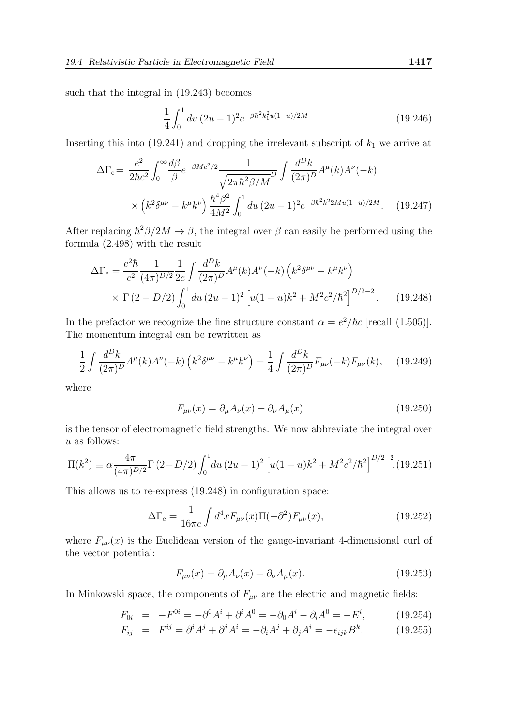such that the integral in (19.243) becomes

$$
\frac{1}{4} \int_0^1 du \, (2u - 1)^2 e^{-\beta \hbar^2 k_1^2 u (1 - u)/2M}.
$$
\n(19.246)

Inserting this into (19.241) and dropping the irrelevant subscript of  $k_1$  we arrive at

$$
\Delta\Gamma_{\rm e} = \frac{e^2}{2\hbar c^2} \int_0^\infty \frac{d\beta}{\beta} e^{-\beta Mc^2/2} \frac{1}{\sqrt{2\pi\hbar^2 \beta/M}} \int \frac{d^D k}{(2\pi)^D} A^\mu(k) A^\nu(-k) \times \left(k^2 \delta^{\mu\nu} - k^\mu k^\nu\right) \frac{\hbar^4 \beta^2}{4M^2} \int_0^1 du \, (2u - 1)^2 e^{-\beta \hbar^2 k^2 2Mu(1-u)/2M}.\tag{19.247}
$$

After replacing  $\hbar^2 \beta / 2M \rightarrow \beta$ , the integral over  $\beta$  can easily be performed using the formula (2.498) with the result

$$
\Delta\Gamma_{\rm e} = \frac{e^2\hbar}{c^2} \frac{1}{(4\pi)^{D/2}} \frac{1}{2c} \int \frac{d^Dk}{(2\pi)^D} A^{\mu}(k) A^{\nu}(-k) \left(k^2 \delta^{\mu\nu} - k^{\mu} k^{\nu}\right) \times \Gamma(2 - D/2) \int_0^1 du \, (2u - 1)^2 \left[u(1 - u)k^2 + M^2 c^2/\hbar^2\right]^{D/2 - 2}.\tag{19.248}
$$

In the prefactor we recognize the fine structure constant  $\alpha = e^2/\hbar c$  [recall (1.505)]. The momentum integral can be rewritten as

$$
\frac{1}{2} \int \frac{d^D k}{(2\pi)^D} A^\mu(k) A^\nu(-k) \left( k^2 \delta^{\mu\nu} - k^\mu k^\nu \right) = \frac{1}{4} \int \frac{d^D k}{(2\pi)^D} F_{\mu\nu}(-k) F_{\mu\nu}(k), \quad (19.249)
$$

where

$$
F_{\mu\nu}(x) = \partial_{\mu}A_{\nu}(x) - \partial_{\nu}A_{\mu}(x) \tag{19.250}
$$

is the tensor of electromagnetic field strengths. We now abbreviate the integral over  $u$  as follows:

$$
\Pi(k^2) \equiv \alpha \frac{4\pi}{(4\pi)^{D/2}} \Gamma(2 - D/2) \int_0^1 du (2u - 1)^2 \left[ u(1 - u)k^2 + M^2 c^2 / \hbar^2 \right]^{D/2 - 2} . (19.251)
$$

This allows us to re-express (19.248) in configuration space:

$$
\Delta\Gamma_e = \frac{1}{16\pi c} \int d^4x F_{\mu\nu}(x) \Pi(-\partial^2) F_{\mu\nu}(x),\tag{19.252}
$$

where  $F_{\mu\nu}(x)$  is the Euclidean version of the gauge-invariant 4-dimensional curl of the vector potential:

$$
F_{\mu\nu}(x) = \partial_{\mu}A_{\nu}(x) - \partial_{\nu}A_{\mu}(x). \tag{19.253}
$$

In Minkowski space, the components of  $F_{\mu\nu}$  are the electric and magnetic fields:

$$
F_{0i} = -F^{0i} = -\partial^0 A^i + \partial^i A^0 = -\partial_0 A^i - \partial_i A^0 = -E^i,
$$
 (19.254)

$$
F_{ij} = F^{ij} = \partial^i A^j + \partial^j A^i = -\partial_i A^j + \partial_j A^i = -\epsilon_{ijk} B^k.
$$
 (19.255)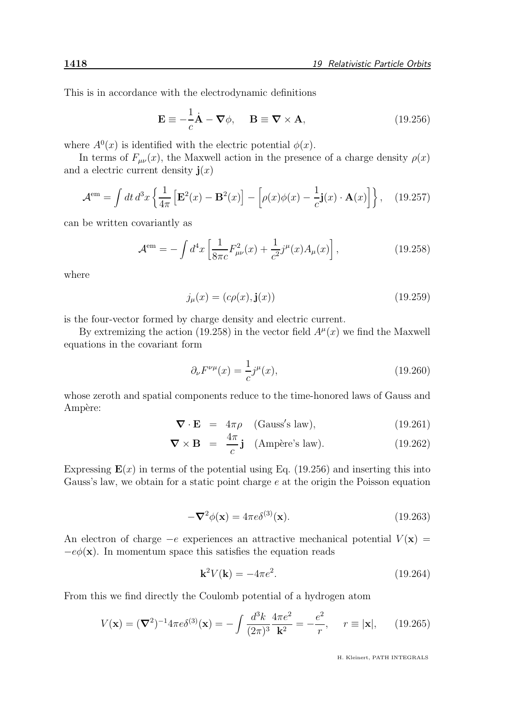This is in accordance with the electrodynamic definitions

$$
\mathbf{E} \equiv -\frac{1}{c}\dot{\mathbf{A}} - \mathbf{\nabla}\phi, \quad \mathbf{B} \equiv \mathbf{\nabla} \times \mathbf{A}, \tag{19.256}
$$

where  $A^{0}(x)$  is identified with the electric potential  $\phi(x)$ .

In terms of  $F_{\mu\nu}(x)$ , the Maxwell action in the presence of a charge density  $\rho(x)$ and a electric current density  $\mathbf{j}(x)$ 

$$
\mathcal{A}^{\text{em}} = \int dt \, d^3x \left\{ \frac{1}{4\pi} \left[ \mathbf{E}^2(x) - \mathbf{B}^2(x) \right] - \left[ \rho(x)\phi(x) - \frac{1}{c}\mathbf{j}(x) \cdot \mathbf{A}(x) \right] \right\}, \quad (19.257)
$$

can be written covariantly as

$$
\mathcal{A}^{\text{em}} = -\int d^4x \left[ \frac{1}{8\pi c} F_{\mu\nu}^2(x) + \frac{1}{c^2} j^\mu(x) A_\mu(x) \right],\tag{19.258}
$$

where

$$
j_{\mu}(x) = (c\rho(x), \mathbf{j}(x))
$$
\n(19.259)

is the four-vector formed by charge density and electric current.

By extremizing the action (19.258) in the vector field  $A^{\mu}(x)$  we find the Maxwell equations in the covariant form

$$
\partial_{\nu} F^{\nu \mu}(x) = \frac{1}{c} j^{\mu}(x), \tag{19.260}
$$

whose zeroth and spatial components reduce to the time-honored laws of Gauss and Ampère:

$$
\nabla \cdot \mathbf{E} = 4\pi \rho \quad \text{(Gauss's law)}, \tag{19.261}
$$

$$
\nabla \times \mathbf{B} = \frac{4\pi}{c} \mathbf{j} \quad \text{(Ampère's law)}.
$$
 (19.262)

Expressing  $E(x)$  in terms of the potential using Eq. (19.256) and inserting this into Gauss's law, we obtain for a static point charge e at the origin the Poisson equation

$$
-\nabla^2 \phi(\mathbf{x}) = 4\pi e \delta^{(3)}(\mathbf{x}).\tag{19.263}
$$

An electron of charge  $-e$  experiences an attractive mechanical potential  $V(\mathbf{x}) =$  $-e\phi(\mathbf{x})$ . In momentum space this satisfies the equation reads

$$
\mathbf{k}^2 V(\mathbf{k}) = -4\pi e^2. \tag{19.264}
$$

From this we find directly the Coulomb potential of a hydrogen atom

$$
V(\mathbf{x}) = (\nabla^2)^{-1} 4\pi e \delta^{(3)}(\mathbf{x}) = -\int \frac{d^3 k}{(2\pi)^3} \frac{4\pi e^2}{\mathbf{k}^2} = -\frac{e^2}{r}, \quad r \equiv |\mathbf{x}|, \quad (19.265)
$$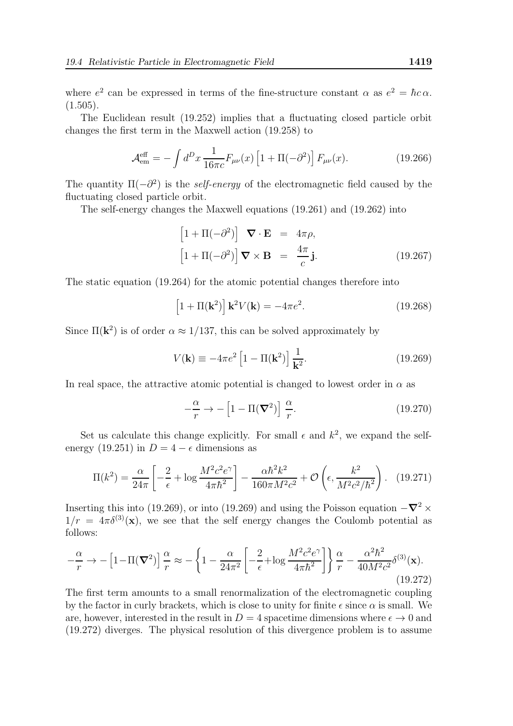where  $e^2$  can be expressed in terms of the fine-structure constant  $\alpha$  as  $e^2 = \hbar c \alpha$ .  $(1.505).$ 

The Euclidean result (19.252) implies that a fluctuating closed particle orbit changes the first term in the Maxwell action (19.258) to

$$
\mathcal{A}_{em}^{eff} = -\int d^D x \, \frac{1}{16\pi c} F_{\mu\nu}(x) \left[ 1 + \Pi(-\partial^2) \right] F_{\mu\nu}(x). \tag{19.266}
$$

The quantity  $\Pi(-\partial^2)$  is the *self-energy* of the electromagnetic field caused by the fluctuating closed particle orbit.

The self-energy changes the Maxwell equations (19.261) and (19.262) into

$$
\[1 + \Pi(-\partial^2)\] \nabla \cdot \mathbf{E} = 4\pi\rho,
$$
  

$$
\[1 + \Pi(-\partial^2)\] \nabla \times \mathbf{B} = \frac{4\pi}{c} \mathbf{j}.
$$
 (19.267)

The static equation (19.264) for the atomic potential changes therefore into

$$
\left[1 + \Pi(\mathbf{k}^2)\right] \mathbf{k}^2 V(\mathbf{k}) = -4\pi e^2.
$$
 (19.268)

Since  $\Pi(\mathbf{k}^2)$  is of order  $\alpha \approx 1/137$ , this can be solved approximately by

$$
V(\mathbf{k}) \equiv -4\pi e^2 \left[ 1 - \Pi(\mathbf{k}^2) \right] \frac{1}{\mathbf{k}^2}.
$$
 (19.269)

In real space, the attractive atomic potential is changed to lowest order in  $\alpha$  as

$$
-\frac{\alpha}{r} \to -\left[1 - \Pi(\boldsymbol{\nabla}^2)\right] \frac{\alpha}{r}.
$$
\n(19.270)

Set us calculate this change explicitly. For small  $\epsilon$  and  $k^2$ , we expand the selfenergy (19.251) in  $D = 4 - \epsilon$  dimensions as

$$
\Pi(k^2) = \frac{\alpha}{24\pi} \left[ -\frac{2}{\epsilon} + \log \frac{M^2 c^2 e^{\gamma}}{4\pi \hbar^2} \right] - \frac{\alpha \hbar^2 k^2}{160\pi M^2 c^2} + \mathcal{O}\left(\epsilon, \frac{k^2}{M^2 c^2 / \hbar^2}\right). \tag{19.271}
$$

Inserting this into (19.269), or into (19.269) and using the Poisson equation  $-\nabla^2 \times$  $1/r = 4\pi\delta^{(3)}(\mathbf{x})$ , we see that the self energy changes the Coulomb potential as follows:

$$
-\frac{\alpha}{r} \to -\left[1-\Pi(\nabla^2)\right] \frac{\alpha}{r} \approx -\left\{1 - \frac{\alpha}{24\pi^2} \left[-\frac{2}{\epsilon} + \log \frac{M^2 c^2 e^{\gamma}}{4\pi \hbar^2}\right]\right\} \frac{\alpha}{r} - \frac{\alpha^2 \hbar^2}{40 M^2 c^2} \delta^{(3)}(\mathbf{x}).\tag{19.272}
$$

The first term amounts to a small renormalization of the electromagnetic coupling by the factor in curly brackets, which is close to unity for finite  $\epsilon$  since  $\alpha$  is small. We are, however, interested in the result in  $D = 4$  spacetime dimensions where  $\epsilon \to 0$  and (19.272) diverges. The physical resolution of this divergence problem is to assume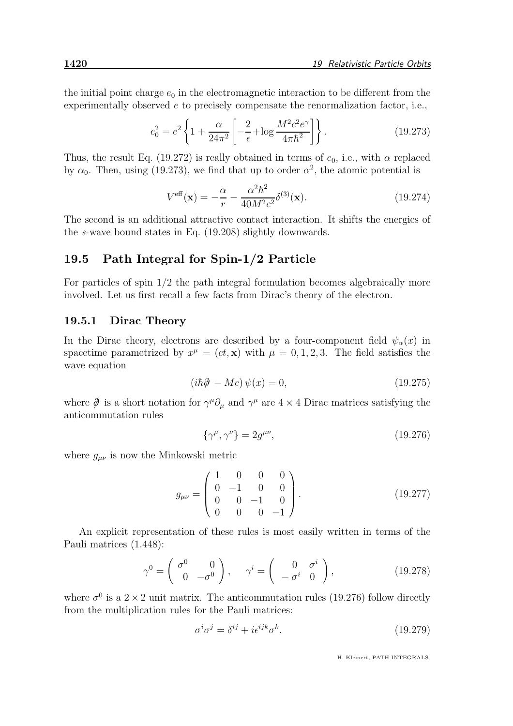the initial point charge  $e_0$  in the electromagnetic interaction to be different from the experimentally observed e to precisely compensate the renormalization factor, i.e.,

$$
e_0^2 = e^2 \left\{ 1 + \frac{\alpha}{24\pi^2} \left[ -\frac{2}{\epsilon} + \log \frac{M^2 c^2 e^{\gamma}}{4\pi \hbar^2} \right] \right\}.
$$
 (19.273)

Thus, the result Eq. (19.272) is really obtained in terms of  $e_0$ , i.e., with  $\alpha$  replaced by  $\alpha_0$ . Then, using (19.273), we find that up to order  $\alpha^2$ , the atomic potential is

$$
V^{\text{eff}}(\mathbf{x}) = -\frac{\alpha}{r} - \frac{\alpha^2 \hbar^2}{40 M^2 c^2} \delta^{(3)}(\mathbf{x}).
$$
\n(19.274)

The second is an additional attractive contact interaction. It shifts the energies of the s-wave bound states in Eq. (19.208) slightly downwards.

# 19.5 Path Integral for Spin-1/2 Particle

For particles of spin 1/2 the path integral formulation becomes algebraically more involved. Let us first recall a few facts from Dirac's theory of the electron.

# 19.5.1 Dirac Theory

In the Dirac theory, electrons are described by a four-component field  $\psi_{\alpha}(x)$  in spacetime parametrized by  $x^{\mu} = (ct, \mathbf{x})$  with  $\mu = 0, 1, 2, 3$ . The field satisfies the wave equation

$$
(i\hbar\partial - Mc)\psi(x) = 0,\t(19.275)
$$

where  $\hat{\phi}$  is a short notation for  $\gamma^{\mu}\partial_{\mu}$  and  $\gamma^{\mu}$  are  $4 \times 4$  Dirac matrices satisfying the anticommutation rules

$$
\{\gamma^{\mu}, \gamma^{\nu}\} = 2g^{\mu\nu}, \tag{19.276}
$$

where  $g_{\mu\nu}$  is now the Minkowski metric

$$
g_{\mu\nu} = \begin{pmatrix} 1 & 0 & 0 & 0 \\ 0 & -1 & 0 & 0 \\ 0 & 0 & -1 & 0 \\ 0 & 0 & 0 & -1 \end{pmatrix}.
$$
 (19.277)

An explicit representation of these rules is most easily written in terms of the Pauli matrices (1.448):

$$
\gamma^0 = \begin{pmatrix} \sigma^0 & 0 \\ 0 & -\sigma^0 \end{pmatrix}, \quad \gamma^i = \begin{pmatrix} 0 & \sigma^i \\ -\sigma^i & 0 \end{pmatrix}, \tag{19.278}
$$

where  $\sigma^0$  is a 2 × 2 unit matrix. The anticommutation rules (19.276) follow directly from the multiplication rules for the Pauli matrices:

$$
\sigma^i \sigma^j = \delta^{ij} + i \epsilon^{ijk} \sigma^k. \tag{19.279}
$$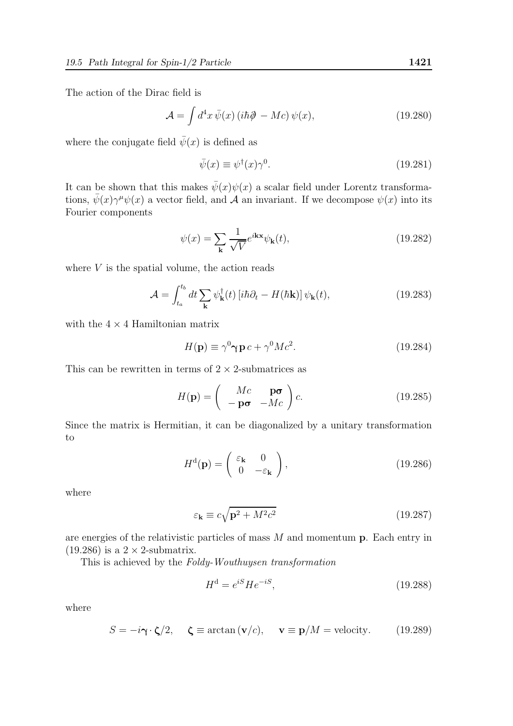The action of the Dirac field is

$$
\mathcal{A} = \int d^4x \,\overline{\psi}(x) \,(i\hbar\partial - Mc) \,\psi(x),\tag{19.280}
$$

where the conjugate field  $\bar{\psi}(x)$  is defined as

$$
\bar{\psi}(x) \equiv \psi^{\dagger}(x)\gamma^{0}.
$$
\n(19.281)

It can be shown that this makes  $\bar{\psi}(x)\psi(x)$  a scalar field under Lorentz transformations,  $\bar{\psi}(x)\gamma^{\mu}\psi(x)$  a vector field, and A an invariant. If we decompose  $\psi(x)$  into its Fourier components

$$
\psi(x) = \sum_{\mathbf{k}} \frac{1}{\sqrt{V}} e^{i\mathbf{k}\mathbf{x}} \psi_{\mathbf{k}}(t),\tag{19.282}
$$

where  $V$  is the spatial volume, the action reads

$$
\mathcal{A} = \int_{t_a}^{t_b} dt \sum_{\mathbf{k}} \psi_{\mathbf{k}}^{\dagger}(t) \left[ i\hbar \partial_t - H(\hbar \mathbf{k}) \right] \psi_{\mathbf{k}}(t), \tag{19.283}
$$

with the  $4 \times 4$  Hamiltonian matrix

$$
H(\mathbf{p}) \equiv \gamma^0 \mathbf{\gamma} \, \mathbf{p} \, c + \gamma^0 M c^2. \tag{19.284}
$$

This can be rewritten in terms of  $2 \times 2$ -submatrices as

$$
H(\mathbf{p}) = \begin{pmatrix} Mc & \mathbf{p}\boldsymbol{\sigma} \\ -\mathbf{p}\boldsymbol{\sigma} & -Mc \end{pmatrix} c.
$$
 (19.285)

Since the matrix is Hermitian, it can be diagonalized by a unitary transformation to

$$
H^{\rm d}(\mathbf{p}) = \begin{pmatrix} \varepsilon_{\mathbf{k}} & 0\\ 0 & -\varepsilon_{\mathbf{k}} \end{pmatrix},\tag{19.286}
$$

where

$$
\varepsilon_{\mathbf{k}} \equiv c\sqrt{\mathbf{p}^2 + M^2 c^2} \tag{19.287}
$$

are energies of the relativistic particles of mass  $M$  and momentum  $p$ . Each entry in  $(19.286)$  is a  $2 \times 2$ -submatrix.

This is achieved by the Foldy-Wouthuysen transformation

$$
H^{\rm d} = e^{iS} H e^{-iS},\tag{19.288}
$$

where

$$
S = -i\mathbf{\gamma} \cdot \mathbf{\zeta}/2, \quad \mathbf{\zeta} \equiv \arctan(\mathbf{v}/c), \quad \mathbf{v} \equiv \mathbf{p}/M = \text{velocity.} \tag{19.289}
$$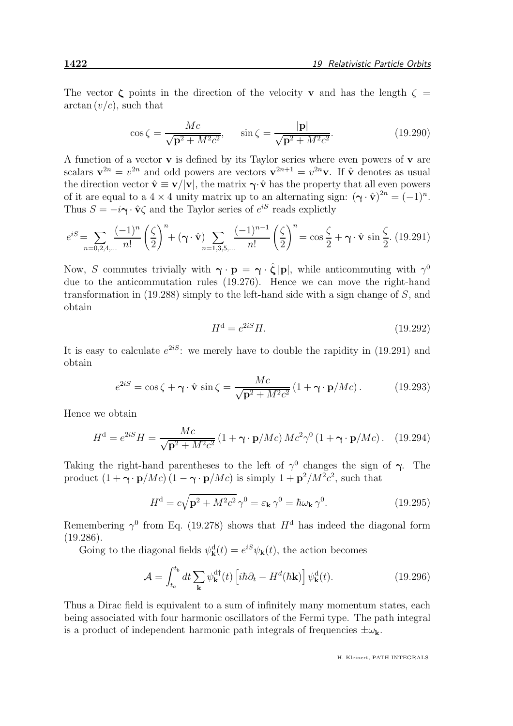The vector  $\zeta$  points in the direction of the velocity **v** and has the length  $\zeta$  =  $arctan(v/c)$ , such that

$$
\cos \zeta = \frac{Mc}{\sqrt{\mathbf{p}^2 + M^2 c^2}}, \quad \sin \zeta = \frac{|\mathbf{p}|}{\sqrt{\mathbf{p}^2 + M^2 c^2}}.
$$
 (19.290)

A function of a vector  $\bf{v}$  is defined by its Taylor series where even powers of  $\bf{v}$  are scalars  $\mathbf{v}^{2n} = v^{2n}$  and odd powers are vectors  $\mathbf{v}^{2n+1} = v^{2n}\mathbf{v}$ . If  $\hat{\mathbf{v}}$  denotes as usual the direction vector  $\hat{\mathbf{v}} \equiv \mathbf{v}/|\mathbf{v}|$ , the matrix  $\gamma \cdot \hat{\mathbf{v}}$  has the property that all even powers of it are equal to a  $4 \times 4$  unity matrix up to an alternating sign:  $(\gamma \cdot \hat{\mathbf{v}})^{2n} = (-1)^n$ . Thus  $S = -i\mathbf{\gamma} \cdot \hat{\mathbf{v}} \zeta$  and the Taylor series of  $e^{iS}$  reads explictly

$$
e^{iS} = \sum_{n=0,2,4,...} \frac{(-1)^n}{n!} \left(\frac{\zeta}{2}\right)^n + (\gamma \cdot \hat{\mathbf{v}}) \sum_{n=1,3,5,...} \frac{(-1)^{n-1}}{n!} \left(\frac{\zeta}{2}\right)^n = \cos\frac{\zeta}{2} + \gamma \cdot \hat{\mathbf{v}} \sin\frac{\zeta}{2}.
$$
 (19.291)

Now, S commutes trivially with  $\gamma \cdot \mathbf{p} = \gamma \cdot \hat{\zeta} |\mathbf{p}|$ , while anticommuting with  $\gamma^0$ due to the anticommutation rules (19.276). Hence we can move the right-hand transformation in (19.288) simply to the left-hand side with a sign change of S, and obtain

$$
Hd = e2iSH.
$$
\n
$$
(19.292)
$$

It is easy to calculate  $e^{2iS}$ : we merely have to double the rapidity in (19.291) and obtain

$$
e^{2iS} = \cos\zeta + \gamma \cdot \hat{\mathbf{v}}\sin\zeta = \frac{Mc}{\sqrt{\mathbf{p}^2 + M^2 c^2}} \left(1 + \gamma \cdot \mathbf{p}/Mc\right). \tag{19.293}
$$

Hence we obtain

$$
Hd = e2iSH = \frac{Mc}{\sqrt{\mathbf{p}^2 + M^2 c^2}} \left(1 + \gamma \cdot \mathbf{p}/Mc\right) Mc^2 \gamma^0 \left(1 + \gamma \cdot \mathbf{p}/Mc\right). \tag{19.294}
$$

Taking the right-hand parentheses to the left of  $\gamma^0$  changes the sign of  $\gamma$ . The product  $(1 + \gamma \cdot \mathbf{p}/Mc) (1 - \gamma \cdot \mathbf{p}/Mc)$  is simply  $1 + \mathbf{p}^2/M^2c^2$ , such that

$$
H^d = c\sqrt{\mathbf{p}^2 + M^2 c^2} \gamma^0 = \varepsilon_\mathbf{k} \gamma^0 = \hbar \omega_\mathbf{k} \gamma^0. \qquad (19.295)
$$

Remembering  $\gamma^0$  from Eq. (19.278) shows that  $H^d$  has indeed the diagonal form  $(19.286).$ 

Going to the diagonal fields  $\psi_{\mathbf{k}}^{\mathbf{d}}(t) = e^{iS}\psi_{\mathbf{k}}(t)$ , the action becomes

$$
\mathcal{A} = \int_{t_a}^{t_b} dt \sum_{\mathbf{k}} \psi_{\mathbf{k}}^{d\dagger}(t) \left[ i\hbar \partial_t - H^d(\hbar \mathbf{k}) \right] \psi_{\mathbf{k}}^d(t). \tag{19.296}
$$

Thus a Dirac field is equivalent to a sum of infinitely many momentum states, each being associated with four harmonic oscillators of the Fermi type. The path integral is a product of independent harmonic path integrals of frequencies  $\pm \omega_{\mathbf{k}}$ .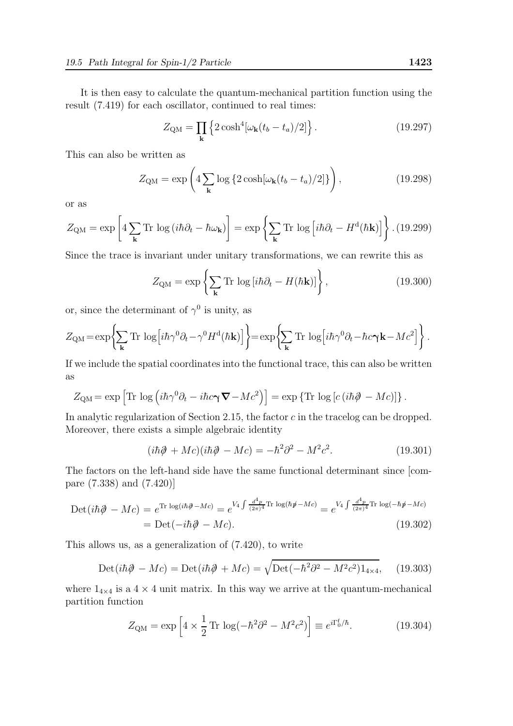It is then easy to calculate the quantum-mechanical partition function using the result (7.419) for each oscillator, continued to real times:

$$
Z_{\rm QM} = \prod_{\mathbf{k}} \left\{ 2 \cosh^4[\omega_{\mathbf{k}}(t_b - t_a)/2] \right\}.
$$
 (19.297)

This can also be written as

$$
Z_{\rm QM} = \exp\left(4\sum_{\mathbf{k}}\log\left\{2\cosh[\omega_{\mathbf{k}}(t_b - t_a)/2]\right\}\right),\tag{19.298}
$$

or as

$$
Z_{\rm QM} = \exp\left[4\sum_{\mathbf{k}} \text{Tr}\, \log\left(i\hbar\partial_t - \hbar\omega_{\mathbf{k}}\right)\right] = \exp\left\{\sum_{\mathbf{k}} \text{Tr}\, \log\left[i\hbar\partial_t - H^{\rm d}(\hbar\mathbf{k})\right]\right\}.\tag{19.299}
$$

Since the trace is invariant under unitary transformations, we can rewrite this as

$$
Z_{\rm QM} = \exp\left\{\sum_{\mathbf{k}} \text{Tr}\, \log\left[i\hbar \partial_t - H(\hbar \mathbf{k})\right]\right\},\tag{19.300}
$$

or, since the determinant of  $\gamma^0$  is unity, as

$$
Z_{\text{QM}} = \exp\left\{\sum_{\mathbf{k}} \text{Tr} \, \log\left[i\hbar \gamma^0 \partial_t - \gamma^0 H^{\text{d}}(\hbar \mathbf{k})\right]\right\} = \exp\left\{\sum_{\mathbf{k}} \text{Tr} \, \log\left[i\hbar \gamma^0 \partial_t - \hbar c \gamma \mathbf{k} - Mc^2\right]\right\}.
$$

If we include the spatial coordinates into the functional trace, this can also be written as

$$
Z_{\text{QM}} = \exp \left[ \text{Tr} \, \log \left( i \hbar \gamma^0 \partial_t - i \hbar c \gamma \, \mathbf{\nabla} - M c^2 \right) \right] = \exp \left\{ \text{Tr} \, \log \left[ c \left( i \hbar \partial - M c \right) \right] \right\}.
$$

In analytic regularization of Section 2.15, the factor  $c$  in the tracelog can be dropped. Moreover, there exists a simple algebraic identity

$$
(i\hbar\partial + Mc)(i\hbar\partial - Mc) = -\hbar^2\partial^2 - M^2c^2.
$$
\n(19.301)

The factors on the left-hand side have the same functional determinant since [compare (7.338) and (7.420)]

$$
\begin{split} \text{Det}(i\hbar\partial - Mc) &= e^{\text{Tr}\,\log(i\hbar\partial - Mc)} = e^{V_4 \int \frac{d^4p}{(2\pi)^4} \text{Tr}\,\log(i\hbar\dot{\phi} - Mc)} = e^{V_4 \int \frac{d^4p}{(2\pi)^4} \text{Tr}\,\log(-\hbar\dot{\phi} - Mc)} \\ &= \text{Det}(-i\hbar\partial - Mc). \end{split} \tag{19.302}
$$

This allows us, as a generalization of (7.420), to write

$$
Det(i\hbar\partial - Mc) = Det(i\hbar\partial + Mc) = \sqrt{Det(-\hbar^2\partial^2 - M^2c^2)1_{4\times 4}},
$$
 (19.303)

where  $1_{4\times4}$  is a  $4\times4$  unit matrix. In this way we arrive at the quantum-mechanical partition function

$$
Z_{\rm QM} = \exp\left[4 \times \frac{1}{2} \operatorname{Tr} \log(-\hbar^2 \partial^2 - M^2 c^2)\right] \equiv e^{i\Gamma_0^{\rm f}/\hbar}.\tag{19.304}
$$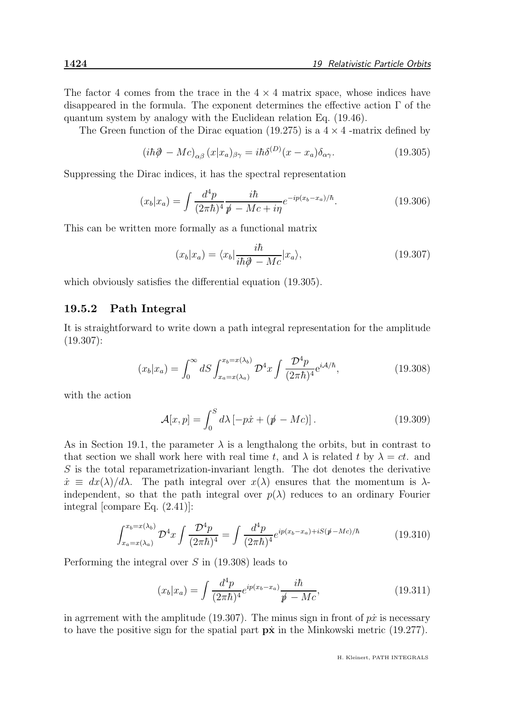The factor 4 comes from the trace in the  $4 \times 4$  matrix space, whose indices have disappeared in the formula. The exponent determines the effective action Γ of the quantum system by analogy with the Euclidean relation Eq. (19.46).

The Green function of the Dirac equation (19.275) is a  $4 \times 4$  -matrix defined by

$$
(i\hbar\partial - Mc)_{\alpha\beta} (x|x_a)_{\beta\gamma} = i\hbar\delta^{(D)}(x - x_a)\delta_{\alpha\gamma}.
$$
 (19.305)

Suppressing the Dirac indices, it has the spectral representation

$$
(x_b|x_a) = \int \frac{d^4p}{(2\pi\hbar)^4} \frac{i\hbar}{\not p - Mc + i\eta} e^{-ip(x_b - x_a)/\hbar}.
$$
 (19.306)

This can be written more formally as a functional matrix

$$
(x_b|x_a) = \langle x_b | \frac{i\hbar}{i\hbar\partial - Mc} | x_a \rangle, \qquad (19.307)
$$

which obviously satisfies the differential equation  $(19.305)$ .

# 19.5.2 Path Integral

It is straightforward to write down a path integral representation for the amplitude (19.307):

$$
(x_b|x_a) = \int_0^\infty dS \int_{x_a=x(\lambda_a)}^{x_b=x(\lambda_b)} \mathcal{D}^4 x \int \frac{\mathcal{D}^4 p}{(2\pi\hbar)^4} e^{i\mathcal{A}/\hbar},\tag{19.308}
$$

with the action

$$
\mathcal{A}[x,p] = \int_0^S d\lambda \left[ -p\dot{x} + (\rlap{\,/}p - Mc) \right]. \tag{19.309}
$$

As in Section 19.1, the parameter  $\lambda$  is a lengthalong the orbits, but in contrast to that section we shall work here with real time t, and  $\lambda$  is related t by  $\lambda = ct$ . and  $S$  is the total reparametrization-invariant length. The dot denotes the derivative  $\dot{x} \equiv dx(\lambda)/d\lambda$ . The path integral over  $x(\lambda)$  ensures that the momentum is  $\lambda$ independent, so that the path integral over  $p(\lambda)$  reduces to an ordinary Fourier integral [compare Eq. (2.41)]:

$$
\int_{x_a=x(\lambda_a)}^{x_b=x(\lambda_b)} \mathcal{D}^4 x \int \frac{\mathcal{D}^4 p}{(2\pi\hbar)^4} = \int \frac{d^4 p}{(2\pi\hbar)^4} e^{ip(x_b-x_a)+iS(\not p-Mc)/\hbar}
$$
(19.310)

Performing the integral over  $S$  in (19.308) leads to

$$
(x_b|x_a) = \int \frac{d^4p}{(2\pi\hbar)^4} e^{ip(x_b - x_a)} \frac{i\hbar}{\not p - Mc},
$$
\n(19.311)

in agreement with the amplitude (19.307). The minus sign in front of  $\vec{px}$  is necessary to have the positive sign for the spatial part  $\vec{p}$  in the Minkowski metric (19.277).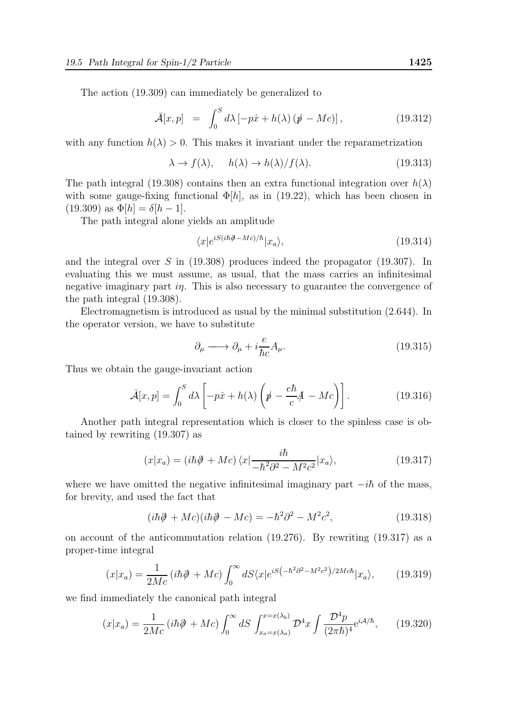The action (19.309) can immediately be generalized to

$$
\bar{\mathcal{A}}[x,p] = \int_0^S d\lambda \left[ -p\dot{x} + h(\lambda) \left( \rlap{\,/}p - Mc \right) \right], \tag{19.312}
$$

with any function  $h(\lambda) > 0$ . This makes it invariant under the reparametrization

$$
\lambda \to f(\lambda), \quad h(\lambda) \to h(\lambda)/f(\lambda). \tag{19.313}
$$

The path integral (19.308) contains then an extra functional integration over  $h(\lambda)$ with some gauge-fixing functional  $\Phi[h]$ , as in (19.22), which has been chosen in (19.309) as  $\Phi[h] = \delta[h-1]$ .

The path integral alone yields an amplitude

$$
\langle x|e^{iS(i\hbar\partial - Mc)/\hbar}|x_a\rangle, \tag{19.314}
$$

and the integral over S in (19.308) produces indeed the propagator (19.307). In evaluating this we must assume, as usual, that the mass carries an infinitesimal negative imaginary part *in*. This is also necessary to guarantee the convergence of the path integral (19.308).

Electromagnetism is introduced as usual by the minimal substitution (2.644). In the operator version, we have to substitute

$$
\partial_{\mu} \longrightarrow \partial_{\mu} + i \frac{e}{\hbar c} A_{\mu}.
$$
\n(19.315)

Thus we obtain the gauge-invariant action

$$
\bar{\mathcal{A}}[x,p] = \int_0^S d\lambda \left[ -p\dot{x} + h(\lambda) \left( \rlap{\,/}p - \frac{e\hbar}{c} \rlap{\,/}A - Mc \right) \right]. \tag{19.316}
$$

Another path integral representation which is closer to the spinless case is obtained by rewriting (19.307) as

$$
(x|x_a) = (i\hbar\partial + Mc)\langle x|\frac{i\hbar}{-\hbar^2\partial^2 - M^2c^2}|x_a\rangle, \qquad (19.317)
$$

where we have omitted the negative infinitesimal imaginary part  $-i\hbar$  of the mass, for brevity, and used the fact that

$$
(i\hbar\partial + Mc)(i\hbar\partial - Mc) = -\hbar^2\partial^2 - M^2c^2,
$$
\n(19.318)

on account of the anticommutation relation (19.276). By rewriting (19.317) as a proper-time integral

$$
(x|x_a) = \frac{1}{2Mc} (i\hbar \partial + Mc) \int_0^\infty dS \langle x|e^{iS(-\hbar^2 \partial^2 - M^2 c^2)/2Mc\hbar}|x_a\rangle, \qquad (19.319)
$$

we find immediately the canonical path integral

$$
(x|x_a) = \frac{1}{2Mc} (i\hbar \partial + Mc) \int_0^\infty dS \int_{x_a = x(\lambda_a)}^{x = x(\lambda_b)} \mathcal{D}^4 x \int \frac{\mathcal{D}^4 p}{(2\pi \hbar)^4} e^{i\mathcal{A}/\hbar}, \qquad (19.320)
$$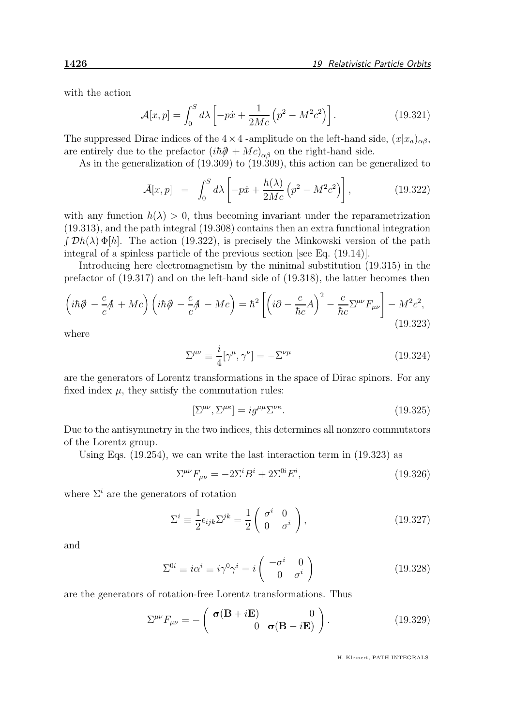with the action

$$
\mathcal{A}[x, p] = \int_0^S d\lambda \left[ -p\dot{x} + \frac{1}{2Mc} \left( p^2 - M^2 c^2 \right) \right].
$$
 (19.321)

The suppressed Dirac indices of the  $4 \times 4$  -amplitude on the left-hand side,  $(x|x_a)_{\alpha\beta}$ , are entirely due to the prefactor  $(i\hbar\partial + Mc)_{\alpha\beta}$  on the right-hand side.

As in the generalization of (19.309) to (19.309), this action can be generalized to

$$
\bar{\mathcal{A}}[x,p] = \int_0^S d\lambda \left[ -p\dot{x} + \frac{h(\lambda)}{2Mc} \left( p^2 - M^2 c^2 \right) \right],\tag{19.322}
$$

with any function  $h(\lambda) > 0$ , thus becoming invariant under the reparametrization (19.313), and the path integral (19.308) contains then an extra functional integration  $\int \mathcal{D}h(\lambda) \Phi[h]$ . The action (19.322), is precisely the Minkowski version of the path integral of a spinless particle of the previous section [see Eq. (19.14)].

Introducing here electromagnetism by the minimal substitution (19.315) in the prefactor of (19.317) and on the left-hand side of (19.318), the latter becomes then

$$
\left(i\hbar\partial - \frac{e}{c}A + Mc\right)\left(i\hbar\partial - \frac{e}{c}A - Mc\right) = \hbar^2 \left[\left(i\partial - \frac{e}{\hbar c}A\right)^2 - \frac{e}{\hbar c}\Sigma^{\mu\nu}F_{\mu\nu}\right] - M^2c^2,\tag{19.323}
$$

where

$$
\Sigma^{\mu\nu} \equiv \frac{i}{4} [\gamma^{\mu}, \gamma^{\nu}] = -\Sigma^{\nu\mu} \tag{19.324}
$$

are the generators of Lorentz transformations in the space of Dirac spinors. For any fixed index  $\mu$ , they satisfy the commutation rules:

$$
[\Sigma^{\mu\nu}, \Sigma^{\mu\kappa}] = ig^{\mu\mu} \Sigma^{\nu\kappa}.
$$
\n(19.325)

Due to the antisymmetry in the two indices, this determines all nonzero commutators of the Lorentz group.

Using Eqs.  $(19.254)$ , we can write the last interaction term in  $(19.323)$  as

$$
\Sigma^{\mu\nu}F_{\mu\nu} = -2\Sigma^i B^i + 2\Sigma^{0i} E^i, \qquad (19.326)
$$

where  $\Sigma^i$  are the generators of rotation

$$
\Sigma^i \equiv \frac{1}{2} \epsilon_{ijk} \Sigma^{jk} = \frac{1}{2} \begin{pmatrix} \sigma^i & 0\\ 0 & \sigma^i \end{pmatrix},
$$
 (19.327)

and

$$
\Sigma^{0i} \equiv i\alpha^i \equiv i\gamma^0 \gamma^i = i \begin{pmatrix} -\sigma^i & 0\\ 0 & \sigma^i \end{pmatrix}
$$
 (19.328)

are the generators of rotation-free Lorentz transformations. Thus

$$
\Sigma^{\mu\nu}F_{\mu\nu} = -\begin{pmatrix} \sigma(\mathbf{B} + i\mathbf{E}) & 0\\ 0 & \sigma(\mathbf{B} - i\mathbf{E}) \end{pmatrix}.
$$
 (19.329)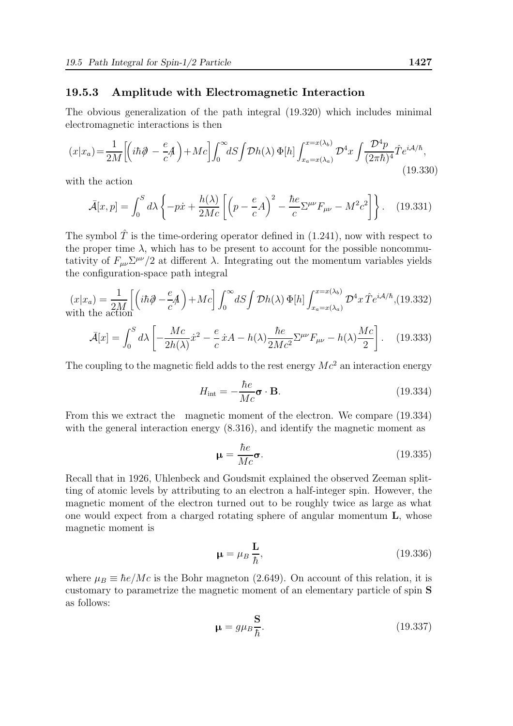# 19.5.3 Amplitude with Electromagnetic Interaction

The obvious generalization of the path integral (19.320) which includes minimal electromagnetic interactions is then

$$
(x|x_a) = \frac{1}{2M} \left[ \left( i\hbar \partial - \frac{e}{c} A \right) + Mc \right] \int_0^\infty dS \int \mathcal{D}h(\lambda) \, \Phi[h] \int_{x_a = x(\lambda_a)}^{x = x(\lambda_b)} \mathcal{D}^4 x \int \frac{\mathcal{D}^4 p}{(2\pi \hbar)^4} \hat{T} e^{i\mathcal{A}/\hbar},\tag{19.330}
$$

with the action

$$
\bar{\mathcal{A}}[x,p] = \int_0^S d\lambda \left\{ -p\dot{x} + \frac{h(\lambda)}{2Mc} \left[ \left( p - \frac{e}{c}A \right)^2 - \frac{\hbar e}{c} \Sigma^{\mu\nu} F_{\mu\nu} - M^2 c^2 \right] \right\}.
$$
 (19.331)

The symbol  $\hat{T}$  is the time-ordering operator defined in (1.241), now with respect to the proper time  $\lambda$ , which has to be present to account for the possible noncommutativity of  $F_{\mu\nu}\Sigma^{\mu\nu}/2$  at different  $\lambda$ . Integrating out the momentum variables yields the configuration-space path integral

$$
(x|x_a) = \frac{1}{2M} \left[ \left( i\hbar \partial - \frac{e}{c} A \right) + Mc \right] \int_0^\infty dS \int \mathcal{D}h(\lambda) \Phi[h] \int_{x_a = x(\lambda_a)}^{x = x(\lambda_b)} \mathcal{D}^4 x \hat{T} e^{iA/\hbar}, (19.332)
$$
  
with the action  

$$
\bar{\mathcal{A}}[x] = \int_0^S d\lambda \left[ -\frac{Mc}{2h(\lambda)} \dot{x}^2 - \frac{e}{c} \dot{x} A - h(\lambda) \frac{\hbar e}{2Mc^2} \Sigma^{\mu\nu} F_{\mu\nu} - h(\lambda) \frac{Mc}{2} \right]. \quad (19.333)
$$

The coupling to the magnetic field adds to the rest energy  $Mc^2$  an interaction energy

$$
H_{\rm int} = -\frac{\hbar e}{Mc}\mathbf{\sigma} \cdot \mathbf{B}.
$$
 (19.334)

From this we extract the magnetic moment of the electron. We compare (19.334) with the general interaction energy  $(8.316)$ , and identify the magnetic moment as

$$
\mu = \frac{\hbar e}{Mc} \sigma.
$$
\n(19.335)

Recall that in 1926, Uhlenbeck and Goudsmit explained the observed Zeeman splitting of atomic levels by attributing to an electron a half-integer spin. However, the magnetic moment of the electron turned out to be roughly twice as large as what one would expect from a charged rotating sphere of angular momentum L, whose magnetic moment is

$$
\mu = \mu_B \frac{\mathbf{L}}{\hbar},\tag{19.336}
$$

where  $\mu_B \equiv \hbar e / Mc$  is the Bohr magneton (2.649). On account of this relation, it is customary to parametrize the magnetic moment of an elementary particle of spin S as follows:

$$
\mu = g\mu_B \frac{\mathbf{S}}{\hbar}.\tag{19.337}
$$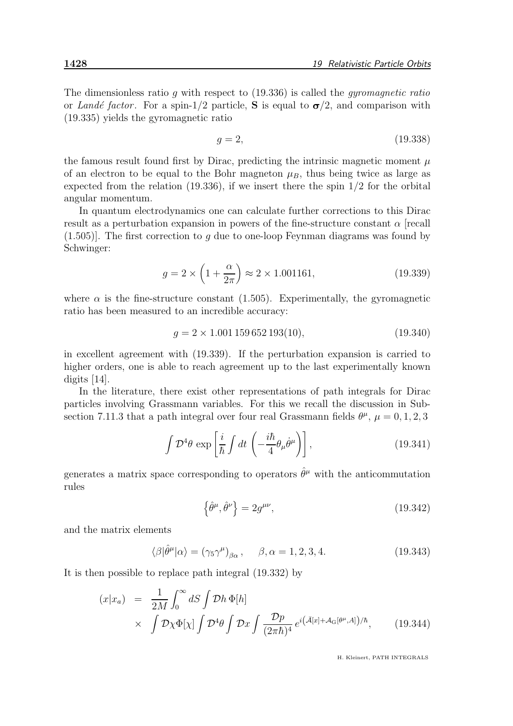The dimensionless ratio q with respect to  $(19.336)$  is called the *gyromagnetic ratio* or Landé factor. For a spin-1/2 particle, S is equal to  $\sigma/2$ , and comparison with (19.335) yields the gyromagnetic ratio

$$
g = 2,\tag{19.338}
$$

the famous result found first by Dirac, predicting the intrinsic magnetic moment  $\mu$ of an electron to be equal to the Bohr magneton  $\mu_B$ , thus being twice as large as expected from the relation  $(19.336)$ , if we insert there the spin  $1/2$  for the orbital angular momentum.

In quantum electrodynamics one can calculate further corrections to this Dirac result as a perturbation expansion in powers of the fine-structure constant  $\alpha$  [recall  $(1.505)$ . The first correction to q due to one-loop Feynman diagrams was found by Schwinger:

$$
g = 2 \times \left(1 + \frac{\alpha}{2\pi}\right) \approx 2 \times 1.001161,\tag{19.339}
$$

where  $\alpha$  is the fine-structure constant (1.505). Experimentally, the gyromagnetic ratio has been measured to an incredible accuracy:

$$
g = 2 \times 1.001\,159\,652\,193(10),\tag{19.340}
$$

in excellent agreement with (19.339). If the perturbation expansion is carried to higher orders, one is able to reach agreement up to the last experimentally known digits [14].

In the literature, there exist other representations of path integrals for Dirac particles involving Grassmann variables. For this we recall the discussion in Subsection 7.11.3 that a path integral over four real Grassmann fields  $\theta^{\mu}$ ,  $\mu = 0, 1, 2, 3$ 

$$
\int \mathcal{D}^4 \theta \, \exp\left[\frac{i}{\hbar} \int dt \, \left(-\frac{i\hbar}{4} \theta_\mu \dot{\theta}^\mu\right)\right],\tag{19.341}
$$

generates a matrix space corresponding to operators  $\hat{\theta}^{\mu}$  with the anticommutation rules

$$
\left\{\hat{\theta}^{\mu},\hat{\theta}^{\nu}\right\} = 2g^{\mu\nu},\tag{19.342}
$$

and the matrix elements

$$
\langle \beta | \hat{\theta}^{\mu} | \alpha \rangle = (\gamma_5 \gamma^{\mu})_{\beta \alpha}, \quad \beta, \alpha = 1, 2, 3, 4. \tag{19.343}
$$

It is then possible to replace path integral (19.332) by

$$
(x|x_a) = \frac{1}{2M} \int_0^\infty dS \int \mathcal{D}h \, \Phi[h]
$$
  
 
$$
\times \int \mathcal{D}\chi \Phi[\chi] \int \mathcal{D}^4 \theta \int \mathcal{D}x \int \frac{\mathcal{D}p}{(2\pi\hbar)^4} e^{i(\bar{\mathcal{A}}[x] + \mathcal{A}_G[\theta^\mu, A])/\hbar}, \qquad (19.344)
$$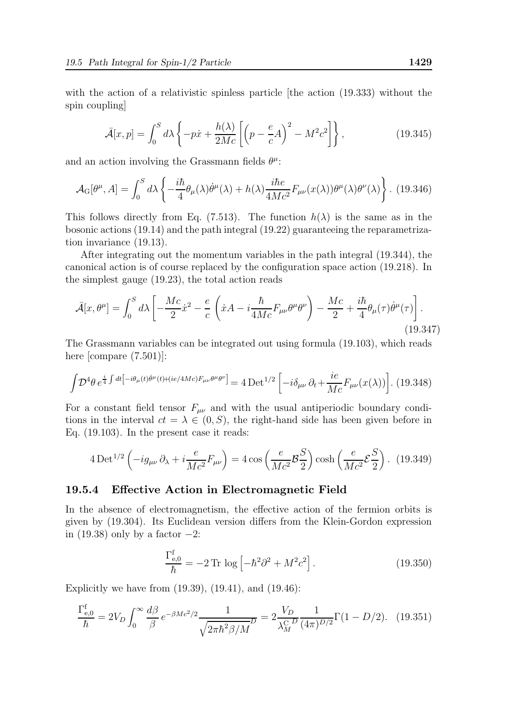with the action of a relativistic spinless particle [the action (19.333) without the spin coupling]

$$
\bar{\mathcal{A}}[x,p] = \int_0^S d\lambda \left\{ -p\dot{x} + \frac{h(\lambda)}{2Mc} \left[ \left( p - \frac{e}{c}A \right)^2 - M^2 c^2 \right] \right\},\tag{19.345}
$$

and an action involving the Grassmann fields  $\theta^{\mu}$ :

$$
\mathcal{A}_{\mathcal{G}}[\theta^{\mu}, A] = \int_0^S d\lambda \left\{ -\frac{i\hbar}{4} \theta_{\mu}(\lambda)\dot{\theta}^{\mu}(\lambda) + h(\lambda)\frac{i\hbar e}{4Mc^2}F_{\mu\nu}(x(\lambda))\theta^{\mu}(\lambda)\theta^{\nu}(\lambda) \right\}.
$$
 (19.346)

This follows directly from Eq. (7.513). The function  $h(\lambda)$  is the same as in the bosonic actions (19.14) and the path integral (19.22) guaranteeing the reparametrization invariance (19.13).

After integrating out the momentum variables in the path integral (19.344), the canonical action is of course replaced by the configuration space action (19.218). In the simplest gauge (19.23), the total action reads

$$
\bar{\mathcal{A}}[x,\theta^{\mu}] = \int_0^S d\lambda \left[ -\frac{Mc}{2}\dot{x}^2 - \frac{e}{c} \left( \dot{x}A - i\frac{\hbar}{4Mc}F_{\mu\nu}\theta^{\mu}\theta^{\nu} \right) - \frac{Mc}{2} + \frac{i\hbar}{4}\theta_{\mu}(\tau)\dot{\theta}^{\mu}(\tau) \right].
$$
\n(19.347)

The Grassmann variables can be integrated out using formula (19.103), which reads here [compare  $(7.501)$ ]:

$$
\int \mathcal{D}^4 \theta \, e^{\frac{i}{4} \int dt \left[ -i\theta_\mu(t)\dot{\theta}^\mu(t) + (ie/4Mc)F_{\mu\nu}\theta^\mu\theta^\nu \right]} = 4 \,\mathrm{Det}^{1/2} \left[ -i\delta_{\mu\nu} \, \partial_t + \frac{ie}{Mc} F_{\mu\nu}(x(\lambda)) \right]. \tag{19.348}
$$

For a constant field tensor  $F_{\mu\nu}$  and with the usual antiperiodic boundary conditions in the interval  $ct = \lambda \in (0, S)$ , the right-hand side has been given before in Eq. (19.103). In the present case it reads:

$$
4\,\text{Det}^{1/2}\left(-ig_{\mu\nu}\,\partial_{\lambda} + i\frac{e}{Mc^2}F_{\mu\nu}\right) = 4\cos\left(\frac{e}{Mc^2}\mathcal{B}\frac{S}{2}\right)\cosh\left(\frac{e}{Mc^2}\mathcal{E}\frac{S}{2}\right). \tag{19.349}
$$

# 19.5.4 Effective Action in Electromagnetic Field

In the absence of electromagnetism, the effective action of the fermion orbits is given by (19.304). Its Euclidean version differs from the Klein-Gordon expression in (19.38) only by a factor  $-2$ :

$$
\frac{\Gamma_{\text{e},0}^{\text{f}}}{\hbar} = -2 \,\text{Tr} \, \log \left[ -\hbar^2 \partial^2 + M^2 c^2 \right]. \tag{19.350}
$$

Explicitly we have from (19.39), (19.41), and (19.46):

$$
\frac{\Gamma_{\text{e},0}^{\text{f}}}{\hbar} = 2V_D \int_0^\infty \frac{d\beta}{\beta} e^{-\beta Mc^2/2} \frac{1}{\sqrt{2\pi \hbar^2 \beta/M}} = 2 \frac{V_D}{\lambda_M^{\text{C}} D} \frac{1}{(4\pi)^{D/2}} \Gamma(1 - D/2). \tag{19.351}
$$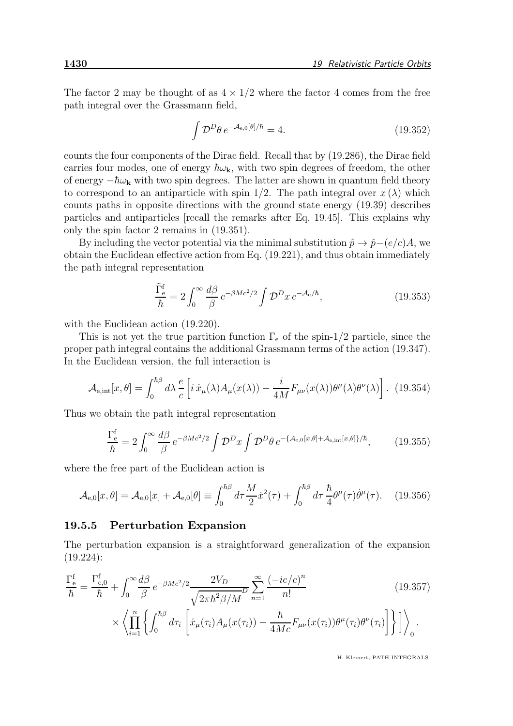The factor 2 may be thought of as  $4 \times 1/2$  where the factor 4 comes from the free path integral over the Grassmann field,

$$
\int \mathcal{D}^D \theta \, e^{-\mathcal{A}_{e,0}[\theta]/\hbar} = 4. \tag{19.352}
$$

counts the four components of the Dirac field. Recall that by (19.286), the Dirac field carries four modes, one of energy  $\hbar\omega_{\mathbf{k}}$ , with two spin degrees of freedom, the other of energy  $-\hbar\omega_{\mathbf{k}}$  with two spin degrees. The latter are shown in quantum field theory to correspond to an antiparticle with spin 1/2. The path integral over  $x(\lambda)$  which counts paths in opposite directions with the ground state energy (19.39) describes particles and antiparticles [recall the remarks after Eq. 19.45]. This explains why only the spin factor 2 remains in (19.351).

By including the vector potential via the minimal substitution  $\hat{p} \to \hat{p}-(e/c)A$ , we obtain the Euclidean effective action from Eq. (19.221), and thus obtain immediately the path integral representation

$$
\frac{\tilde{\Gamma}_{\text{e}}^{\text{f}}}{\hbar} = 2 \int_0^\infty \frac{d\beta}{\beta} e^{-\beta Mc^2/2} \int \mathcal{D}^D x \, e^{-\mathcal{A}_{\text{e}}/\hbar},\tag{19.353}
$$

with the Euclidean action (19.220).

This is not yet the true partition function  $\Gamma_e$  of the spin-1/2 particle, since the proper path integral contains the additional Grassmann terms of the action (19.347). In the Euclidean version, the full interaction is

$$
\mathcal{A}_{e,\text{int}}[x,\theta] = \int_0^{\hbar\beta} d\lambda \frac{e}{c} \left[ i \dot{x}_\mu(\lambda) A_\mu(x(\lambda)) - \frac{i}{4M} F_{\mu\nu}(x(\lambda)) \theta^\mu(\lambda) \theta^\nu(\lambda) \right]. \tag{19.354}
$$

Thus we obtain the path integral representation

$$
\frac{\Gamma_{\rm e}^{\rm f}}{\hbar} = 2 \int_0^\infty \frac{d\beta}{\beta} e^{-\beta Mc^2/2} \int \mathcal{D}^D x \int \mathcal{D}^D \theta \, e^{-\{\mathcal{A}_{\rm e,0}[x,\theta]+\mathcal{A}_{\rm e,int}[x,\theta]\}/\hbar},\tag{19.355}
$$

where the free part of the Euclidean action is

$$
\mathcal{A}_{e,0}[x,\theta] = \mathcal{A}_{e,0}[x] + \mathcal{A}_{e,0}[\theta] \equiv \int_0^{\hbar\beta} d\tau \frac{M}{2} \dot{x}^2(\tau) + \int_0^{\hbar\beta} d\tau \frac{\hbar}{4} \theta^\mu(\tau) \dot{\theta}^\mu(\tau). \tag{19.356}
$$

#### 19.5.5 Perturbation Expansion

The perturbation expansion is a straightforward generalization of the expansion (19.224):

$$
\frac{\Gamma_e^{\rm f}}{\hbar} = \frac{\Gamma_{e,0}^{\rm f}}{\hbar} + \int_0^\infty \frac{d\beta}{\beta} e^{-\beta Mc^2/2} \frac{2V_D}{\sqrt{2\pi \hbar^2 \beta/M}} \sum_{n=1}^\infty \frac{(-ie/c)^n}{n!} \left(19.357\right)
$$
\n
$$
\times \left\langle \prod_{i=1}^n \left\{ \int_0^{\hbar \beta} d\tau_i \left[ \dot{x}_\mu(\tau_i) A_\mu(x(\tau_i)) - \frac{\hbar}{4Mc} F_{\mu\nu}(x(\tau_i)) \theta^\mu(\tau_i) \theta^\nu(\tau_i) \right] \right\} \right\rbrace_0.
$$
\n(19.357)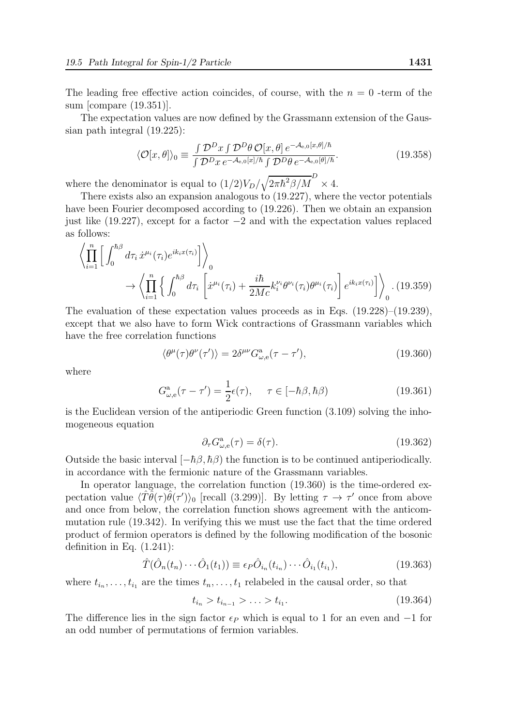The leading free effective action coincides, of course, with the  $n = 0$ -term of the sum [compare (19.351)].

The expectation values are now defined by the Grassmann extension of the Gaussian path integral (19.225):

$$
\langle \mathcal{O}[x,\theta] \rangle_0 \equiv \frac{\int \mathcal{D}^D x \int \mathcal{D}^D \theta \, \mathcal{O}[x,\theta] \, e^{-\mathcal{A}_{\text{e},0}[x,\theta]/\hbar}}{\int \mathcal{D}^D x \, e^{-\mathcal{A}_{\text{e},0}[x]/\hbar} \int \mathcal{D}^D \theta \, e^{-\mathcal{A}_{\text{e},0}[\theta]/\hbar}}.
$$
(19.358)

where the denominator is equal to  $(1/2)V_D/\sqrt{2\pi\hbar^2\beta/M}^D \times 4$ .

There exists also an expansion analogous to (19.227), where the vector potentials have been Fourier decomposed according to (19.226). Then we obtain an expansion just like (19.227), except for a factor −2 and with the expectation values replaced as follows:

$$
\left\langle \prod_{i=1}^{n} \left[ \int_{0}^{\hbar \beta} d\tau_{i} \dot{x}^{\mu_{i}}(\tau_{i}) e^{ik_{i}x(\tau_{i})} \right] \right\rangle_{0}
$$
\n
$$
\rightarrow \left\langle \prod_{i=1}^{n} \left\{ \int_{0}^{\hbar \beta} d\tau_{i} \left[ \dot{x}^{\mu_{i}}(\tau_{i}) + \frac{i\hbar}{2Mc} k_{i}^{\nu_{i}} \theta^{\nu_{i}}(\tau_{i}) \theta^{\mu_{i}}(\tau_{i}) \right] e^{ik_{i}x(\tau_{i})} \right] \right\rangle_{0} .
$$
\n(19.359)

The evaluation of these expectation values proceeds as in Eqs. (19.228)–(19.239), except that we also have to form Wick contractions of Grassmann variables which have the free correlation functions

$$
\langle \theta^{\mu}(\tau)\theta^{\nu}(\tau')\rangle = 2\delta^{\mu\nu}G_{\omega,\text{e}}^{\text{a}}(\tau-\tau'),\tag{19.360}
$$

where

$$
G_{\omega,e}^{\mathbf{a}}(\tau - \tau') = \frac{1}{2}\epsilon(\tau), \quad \tau \in [-\hbar\beta, \hbar\beta)
$$
 (19.361)

is the Euclidean version of the antiperiodic Green function (3.109) solving the inhomogeneous equation

$$
\partial_{\tau} G_{\omega,e}^{a}(\tau) = \delta(\tau). \tag{19.362}
$$

Outside the basic interval  $[-\hbar \beta, \hbar \beta]$  the function is to be continued antiperiodically. in accordance with the fermionic nature of the Grassmann variables.

In operator language, the correlation function (19.360) is the time-ordered expectation value  $\langle \hat{T} \hat{\theta}(\tau) \hat{\theta}(\tau') \rangle_0$  [recall (3.299)]. By letting  $\tau \to \tau'$  once from above and once from below, the correlation function shows agreement with the anticommutation rule (19.342). In verifying this we must use the fact that the time ordered product of fermion operators is defined by the following modification of the bosonic definition in Eq. (1.241):

$$
\hat{T}(\hat{O}_n(t_n)\cdots\hat{O}_1(t_1)) \equiv \epsilon_P \hat{O}_{i_n}(t_{i_n})\cdots\hat{O}_{i_1}(t_{i_1}),\tag{19.363}
$$

where  $t_{i_n}, \ldots, t_{i_1}$  are the times  $t_n, \ldots, t_1$  relabeled in the causal order, so that

$$
t_{i_n} > t_{i_{n-1}} > \ldots > t_{i_1}.\tag{19.364}
$$

The difference lies in the sign factor  $\epsilon_P$  which is equal to 1 for an even and −1 for an odd number of permutations of fermion variables.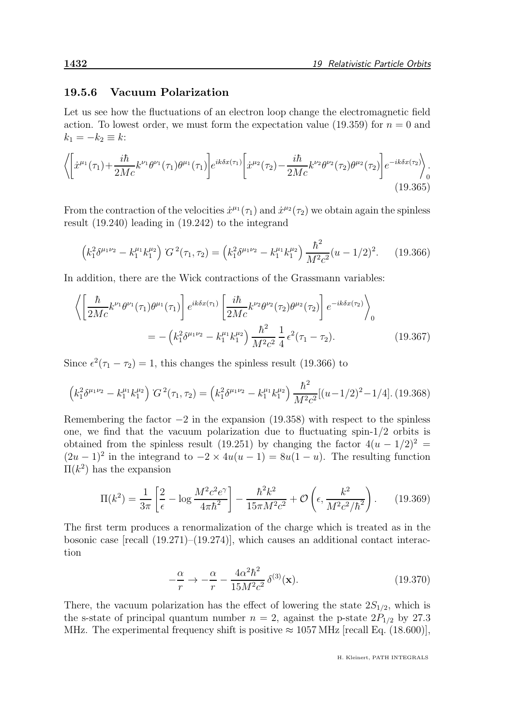# 19.5.6 Vacuum Polarization

Let us see how the fluctuations of an electron loop change the electromagnetic field action. To lowest order, we must form the expectation value (19.359) for  $n = 0$  and  $k_1 = -k_2 \equiv k$ :

$$
\left\langle \left[ \dot{x}^{\mu_1}(\tau_1) + \frac{i\hbar}{2Mc} k^{\nu_1} \theta^{\nu_1}(\tau_1) \theta^{\mu_1}(\tau_1) \right] e^{ik\delta x(\tau_1)} \left[ \dot{x}^{\mu_2}(\tau_2) - \frac{i\hbar}{2Mc} k^{\nu_2} \theta^{\nu_2}(\tau_2) \theta^{\mu_2}(\tau_2) \right] e^{-ik\delta x(\tau_2)} \right\rangle_0
$$
\n(19.365)

From the contraction of the velocities  $\dot{x}^{\mu_1}(\tau_1)$  and  $\dot{x}^{\mu_2}(\tau_2)$  we obtain again the spinless result (19.240) leading in (19.242) to the integrand

$$
\left(k_1^2 \delta^{\mu_1 \nu_2} - k_1^{\mu_1} k_1^{\mu_2}\right) G^2(\tau_1, \tau_2) = \left(k_1^2 \delta^{\mu_1 \nu_2} - k_1^{\mu_1} k_1^{\mu_2}\right) \frac{\hbar^2}{M^2 c^2} (u - 1/2)^2. \tag{19.366}
$$

In addition, there are the Wick contractions of the Grassmann variables:

$$
\left\langle \left[ \frac{\hbar}{2Mc} k^{\nu_1} \theta^{\nu_1}(\tau_1) \theta^{\mu_1}(\tau_1) \right] e^{ik\delta x(\tau_1)} \left[ \frac{i\hbar}{2Mc} k^{\nu_2} \theta^{\nu_2}(\tau_2) \theta^{\mu_2}(\tau_2) \right] e^{-ik\delta x(\tau_2)} \right\rangle_0
$$
  
=  $-(k_1^2 \delta^{\mu_1 \nu_2} - k_1^{\mu_1} k_1^{\mu_2}) \frac{\hbar^2}{M^2 c^2} \frac{1}{4} \epsilon^2(\tau_1 - \tau_2).$  (19.367)

Since  $\epsilon^2(\tau_1 - \tau_2) = 1$ , this changes the spinless result (19.366) to

$$
\left(k_1^2 \delta^{\mu_1 \nu_2} - k_1^{\mu_1} k_1^{\mu_2}\right) G^2(\tau_1, \tau_2) = \left(k_1^2 \delta^{\mu_1 \nu_2} - k_1^{\mu_1} k_1^{\mu_2}\right) \frac{\hbar^2}{M^2 c^2} [(u - 1/2)^2 - 1/4].
$$
 (19.368)

Remembering the factor  $-2$  in the expansion (19.358) with respect to the spinless one, we find that the vacuum polarization due to fluctuating spin-1/2 orbits is obtained from the spinless result (19.251) by changing the factor  $4(u - 1/2)^2 =$  $(2u-1)^2$  in the integrand to  $-2 \times 4u(u-1) = 8u(1-u)$ . The resulting function  $\Pi(k^2)$  has the expansion

$$
\Pi(k^2) = \frac{1}{3\pi} \left[ \frac{2}{\epsilon} - \log \frac{M^2 c^2 e^{\gamma}}{4\pi \hbar^2} \right] - \frac{\hbar^2 k^2}{15\pi M^2 c^2} + \mathcal{O}\left(\epsilon, \frac{k^2}{M^2 c^2 / \hbar^2}\right). \tag{19.369}
$$

The first term produces a renormalization of the charge which is treated as in the bosonic case  $[recall (19.271)–(19.274)],$  which causes an additional contact interaction

$$
-\frac{\alpha}{r} \to -\frac{\alpha}{r} - \frac{4\alpha^2 \hbar^2}{15M^2 c^2} \delta^{(3)}(\mathbf{x}).\tag{19.370}
$$

There, the vacuum polarization has the effect of lowering the state  $2S_{1/2}$ , which is the s-state of principal quantum number  $n = 2$ , against the p-state  $2P_{1/2}$  by 27.3 MHz. The experimental frequency shift is positive  $\approx 1057$  MHz [recall Eq. (18.600)],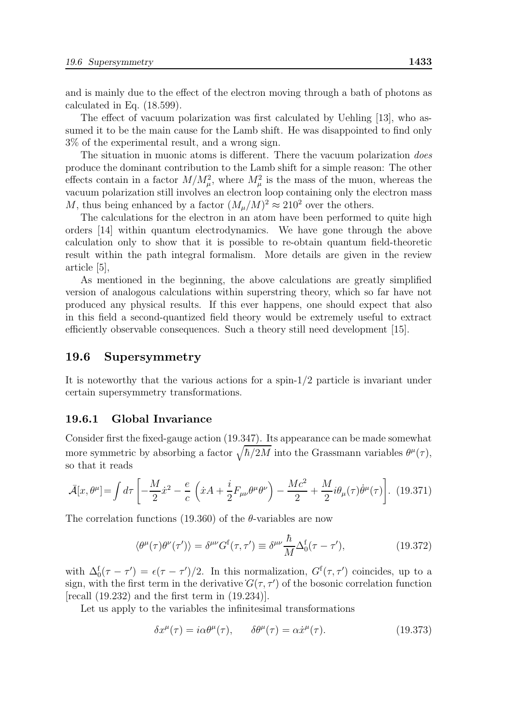The effect of vacuum polarization was first calculated by Uehling [13], who assumed it to be the main cause for the Lamb shift. He was disappointed to find only 3% of the experimental result, and a wrong sign.

The situation in muonic atoms is different. There the vacuum polarization *does* produce the dominant contribution to the Lamb shift for a simple reason: The other effects contain in a factor  $M/M_{\mu}^2$ , where  $M_{\mu}^2$  is the mass of the muon, whereas the vacuum polarization still involves an electron loop containing only the electron mass M, thus being enhanced by a factor  $(M_\mu/M)^2 \approx 210^2$  over the others.

The calculations for the electron in an atom have been performed to quite high orders [14] within quantum electrodynamics. We have gone through the above calculation only to show that it is possible to re-obtain quantum field-theoretic result within the path integral formalism. More details are given in the review article [5],

As mentioned in the beginning, the above calculations are greatly simplified version of analogous calculations within superstring theory, which so far have not produced any physical results. If this ever happens, one should expect that also in this field a second-quantized field theory would be extremely useful to extract efficiently observable consequences. Such a theory still need development [15].

# 19.6 Supersymmetry

It is noteworthy that the various actions for a spin-1/2 particle is invariant under certain supersymmetry transformations.

#### 19.6.1 Global Invariance

Consider first the fixed-gauge action (19.347). Its appearance can be made somewhat more symmetric by absorbing a factor  $\sqrt{\hbar/2M}$  into the Grassmann variables  $\theta^{\mu}(\tau)$ , so that it reads

$$
\bar{\mathcal{A}}[x,\theta^{\mu}]=\int d\tau \left[-\frac{M}{2}\dot{x}^{2}-\frac{e}{c}\left(\dot{x}A+\frac{i}{2}F_{\mu\nu}\theta^{\mu}\theta^{\nu}\right)-\frac{Mc^{2}}{2}+\frac{M}{2}i\theta_{\mu}(\tau)\dot{\theta}^{\mu}(\tau)\right].
$$
 (19.371)

The correlation functions (19.360) of the  $\theta$ -variables are now

$$
\langle \theta^{\mu}(\tau)\theta^{\nu}(\tau')\rangle = \delta^{\mu\nu}G^{\text{f}}(\tau,\tau') \equiv \delta^{\mu\nu}\frac{\hbar}{M}\Delta_{0}^{\text{f}}(\tau-\tau'),\tag{19.372}
$$

with  $\Delta_0^f(\tau - \tau') = \epsilon(\tau - \tau')/2$ . In this normalization,  $G^f(\tau, \tau')$  coincides, up to a sign, with the first term in the derivative  $G(\tau, \tau')$  of the bosonic correlation function  $[recall (19.232) and the first term in (19.234)].$ 

Let us apply to the variables the infinitesimal transformations

$$
\delta x^{\mu}(\tau) = i\alpha \theta^{\mu}(\tau), \qquad \delta \theta^{\mu}(\tau) = \alpha \dot{x}^{\mu}(\tau). \tag{19.373}
$$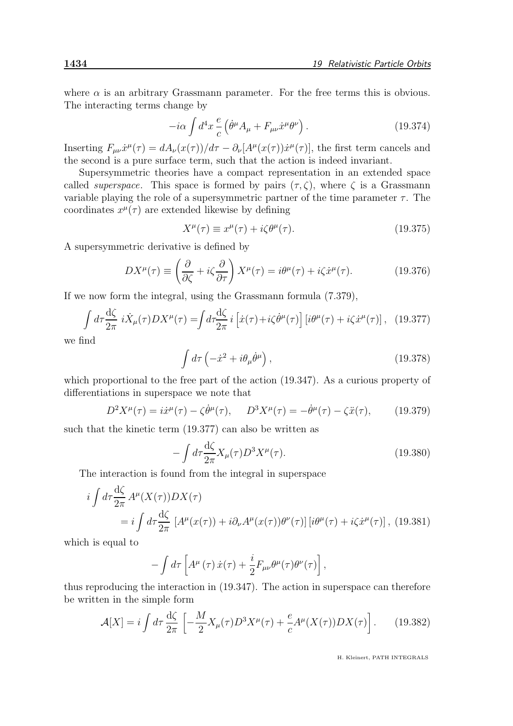where  $\alpha$  is an arbitrary Grassmann parameter. For the free terms this is obvious. The interacting terms change by

$$
-i\alpha \int d^4x \frac{e}{c} \left(\dot{\theta}^\mu A_\mu + F_{\mu\nu}\dot{x}^\mu\theta^\nu\right). \tag{19.374}
$$

Inserting  $F_{\mu\nu}\dot{x}^{\mu}(\tau) = dA_{\nu}(x(\tau))/d\tau - \partial_{\nu}[A^{\mu}(x(\tau))\dot{x}^{\mu}(\tau)],$  the first term cancels and the second is a pure surface term, such that the action is indeed invariant.

Supersymmetric theories have a compact representation in an extended space called *superspace*. This space is formed by pairs  $(\tau, \zeta)$ , where  $\zeta$  is a Grassmann variable playing the role of a supersymmetric partner of the time parameter  $\tau$ . The coordinates  $x^{\mu}(\tau)$  are extended likewise by defining

$$
X^{\mu}(\tau) \equiv x^{\mu}(\tau) + i\zeta \theta^{\mu}(\tau). \tag{19.375}
$$

A supersymmetric derivative is defined by

$$
DX^{\mu}(\tau) \equiv \left(\frac{\partial}{\partial \zeta} + i\zeta \frac{\partial}{\partial \tau}\right) X^{\mu}(\tau) = i\theta^{\mu}(\tau) + i\zeta \dot{x}^{\mu}(\tau). \tag{19.376}
$$

If we now form the integral, using the Grassmann formula (7.379),

$$
\int d\tau \frac{d\zeta}{2\pi} i \dot{X}_{\mu}(\tau) DX^{\mu}(\tau) = \int d\tau \frac{d\zeta}{2\pi} i \left[ \dot{x}(\tau) + i\zeta \dot{\theta}^{\mu}(\tau) \right] \left[ i\theta^{\mu}(\tau) + i\zeta \dot{x}^{\mu}(\tau) \right], \tag{19.377}
$$

we find

$$
\int d\tau \left(-\dot{x}^2 + i\theta_\mu \dot{\theta}^\mu\right),\tag{19.378}
$$

which proportional to the free part of the action (19.347). As a curious property of differentiations in superspace we note that

$$
D^{2}X^{\mu}(\tau) = i\dot{x}^{\mu}(\tau) - \zeta \dot{\theta}^{\mu}(\tau), \qquad D^{3}X^{\mu}(\tau) = -\dot{\theta}^{\mu}(\tau) - \zeta \ddot{x}(\tau), \tag{19.379}
$$

such that the kinetic term (19.377) can also be written as

$$
-\int d\tau \frac{\mathrm{d}\zeta}{2\pi} X_{\mu}(\tau) D^3 X^{\mu}(\tau). \tag{19.380}
$$

The interaction is found from the integral in superspace

$$
i \int d\tau \frac{d\zeta}{2\pi} A^{\mu}(X(\tau))DX(\tau)
$$
  
=  $i \int d\tau \frac{d\zeta}{2\pi} [A^{\mu}(x(\tau)) + i\partial_{\nu} A^{\mu}(x(\tau))\theta^{\nu}(\tau)][i\theta^{\mu}(\tau) + i\zeta \dot{x}^{\mu}(\tau)],$  (19.381)

which is equal to

$$
-\int d\tau \left[ A^{\mu}(\tau)\,\dot{x}(\tau) + \frac{i}{2}F_{\mu\nu}\theta^{\mu}(\tau)\theta^{\nu}(\tau) \right],
$$

thus reproducing the interaction in (19.347). The action in superspace can therefore be written in the simple form

$$
\mathcal{A}[X] = i \int d\tau \frac{d\zeta}{2\pi} \left[ -\frac{M}{2} X_\mu(\tau) D^3 X^\mu(\tau) + \frac{e}{c} A^\mu(X(\tau)) DX(\tau) \right]. \tag{19.382}
$$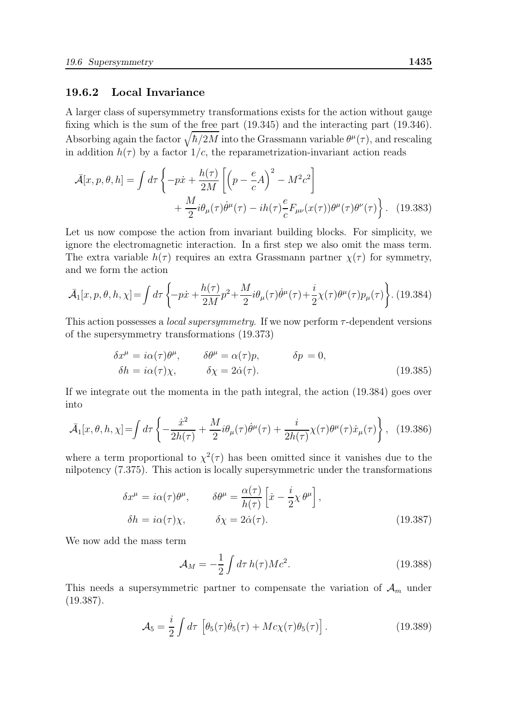# 19.6.2 Local Invariance

A larger class of supersymmetry transformations exists for the action without gauge fixing which is the sum of the free part (19.345) and the interacting part (19.346). Absorbing again the factor  $\sqrt{\hbar/2M}$  into the Grassmann variable  $\theta^{\mu}(\tau)$ , and rescaling in addition  $h(\tau)$  by a factor  $1/c$ , the reparametrization-invariant action reads

$$
\bar{\mathcal{A}}[x, p, \theta, h] = \int d\tau \left\{ -p\dot{x} + \frac{h(\tau)}{2M} \left[ \left( p - \frac{e}{c} A \right)^2 - M^2 c^2 \right] + \frac{M}{2} i \theta_\mu(\tau) \dot{\theta}^\mu(\tau) - i h(\tau) \frac{e}{c} F_{\mu\nu}(x(\tau)) \theta^\mu(\tau) \theta^\nu(\tau) \right\}.
$$
 (19.383)

Let us now compose the action from invariant building blocks. For simplicity, we ignore the electromagnetic interaction. In a first step we also omit the mass term. The extra variable  $h(\tau)$  requires an extra Grassmann partner  $\chi(\tau)$  for symmetry, and we form the action

$$
\bar{\mathcal{A}}_1[x, p, \theta, h, \chi] = \int d\tau \left\{ -p\dot{x} + \frac{h(\tau)}{2M}p^2 + \frac{M}{2}i\theta_\mu(\tau)\dot{\theta}^\mu(\tau) + \frac{i}{2}\chi(\tau)\theta^\mu(\tau)p_\mu(\tau) \right\}.
$$
 (19.384)

This action possesses a *local supersymmetry*. If we now perform  $\tau$ -dependent versions of the supersymmetry transformations (19.373)

$$
\delta x^{\mu} = i\alpha(\tau)\theta^{\mu}, \qquad \delta \theta^{\mu} = \alpha(\tau)p, \qquad \delta p = 0,
$$
  
\n
$$
\delta h = i\alpha(\tau)\chi, \qquad \delta \chi = 2\dot{\alpha}(\tau).
$$
\n(19.385)

If we integrate out the momenta in the path integral, the action (19.384) goes over into

$$
\bar{\mathcal{A}}_1[x,\theta,h,\chi] = \int d\tau \left\{ -\frac{\dot{x}^2}{2h(\tau)} + \frac{M}{2} i\theta_\mu(\tau)\dot{\theta}^\mu(\tau) + \frac{i}{2h(\tau)}\chi(\tau)\theta^\mu(\tau)\dot{x}_\mu(\tau) \right\}, \tag{19.386}
$$

where a term proportional to  $\chi^2(\tau)$  has been omitted since it vanishes due to the nilpotency (7.375). This action is locally supersymmetric under the transformations

$$
\delta x^{\mu} = i\alpha(\tau)\theta^{\mu}, \qquad \delta \theta^{\mu} = \frac{\alpha(\tau)}{h(\tau)} \left[ \dot{x} - \frac{i}{2}\chi \theta^{\mu} \right],
$$
  
\n
$$
\delta h = i\alpha(\tau)\chi, \qquad \delta \chi = 2\dot{\alpha}(\tau).
$$
\n(19.387)

We now add the mass term

$$
\mathcal{A}_M = -\frac{1}{2} \int d\tau \, h(\tau) Mc^2. \tag{19.388}
$$

This needs a supersymmetric partner to compensate the variation of  $\mathcal{A}_m$  under (19.387).

$$
\mathcal{A}_5 = \frac{i}{2} \int d\tau \left[ \theta_5(\tau) \dot{\theta}_5(\tau) + Mc\chi(\tau) \theta_5(\tau) \right]. \tag{19.389}
$$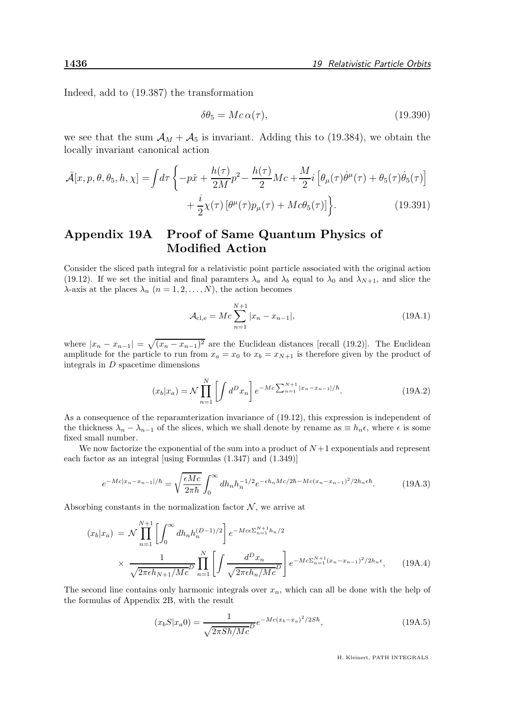Indeed, add to (19.387) the transformation

$$
\delta\theta_5 = Mc\,\alpha(\tau),\tag{19.390}
$$

we see that the sum  $\mathcal{A}_M + \mathcal{A}_5$  is invariant. Adding this to (19.384), we obtain the locally invariant canonical action

$$
\bar{\mathcal{A}}[x, p, \theta, \theta_5, h, \chi] = \int d\tau \left\{ -p\dot{x} + \frac{h(\tau)}{2M}p^2 - \frac{h(\tau)}{2}Mc + \frac{M}{2}i\left[\theta_\mu(\tau)\dot{\theta}^\mu(\tau) + \theta_5(\tau)\dot{\theta}_5(\tau)\right] + \frac{i}{2}\chi(\tau)\left[\theta^\mu(\tau)p_\mu(\tau) + Mc\theta_5(\tau)\right] \right\}.
$$
\n(19.391)

# Appendix 19A Proof of Same Quantum Physics of Modified Action

Consider the sliced path integral for a relativistic point particle associated with the original action (19.12). If we set the initial and final paramters  $\lambda_a$  and  $\lambda_b$  equal to  $\lambda_0$  and  $\lambda_{N+1}$ , and slice the  $\lambda$ -axis at the places  $\lambda_n$   $(n = 1, 2, ..., N)$ , the action becomes

$$
\mathcal{A}_{\text{cl,e}} = Mc \sum_{n=1}^{N+1} |x_n - x_{n-1}|,\tag{19A.1}
$$

where  $|x_n - x_{n-1}| = \sqrt{(x_n - x_{n-1})^2}$  are the Euclidean distances [recall (19.2)]. The Euclidean amplitude for the particle to run from  $x_a = x_0$  to  $x_b = x_{N+1}$  is therefore given by the product of integrals in  $D$  spacetime dimensions

$$
(x_b|x_a) = \mathcal{N} \prod_{n=1}^{N} \left[ \int d^D x_n \right] e^{-Mc \sum_{n=1}^{N+1} |x_n - x_{n-1}|/\hbar}.
$$
 (19A.2)

As a consequence of the reparamterization invariance of (19.12), this expression is independent of the thickness  $\lambda_n - \lambda_{n-1}$  of the slices, which we shall denote by rename as  $\equiv h_n \epsilon$ , where  $\epsilon$  is some fixed small number.

We now factorize the exponential of the sum into a product of  $N+1$  exponentials and represent each factor as an integral [using Formulas (1.347) and (1.349)]

$$
e^{-Mc|x_n - x_{n-1}|/\hbar} = \sqrt{\frac{\epsilon Mc}{2\pi\hbar}} \int_0^\infty dh_n h_n^{-1/2} e^{-\epsilon h_n Mc/2\hbar - Mc(x_n - x_{n-1})^2/2h_n \epsilon \hbar}.
$$
 (19A.3)

Absorbing constants in the normalization factor  $N$ , we arrive at

$$
(x_b|x_a) = \mathcal{N} \prod_{n=1}^{N+1} \left[ \int_0^\infty dh_n h_n^{(D-1)/2} \right] e^{-Mc\epsilon \Sigma_{n=1}^{N+1} h_n/2}
$$

$$
\times \frac{1}{\sqrt{2\pi \epsilon h_{N+1}/Mc^D}} \prod_{n=1}^N \left[ \int \frac{d^D x_n}{\sqrt{2\pi \epsilon h_n/Mc^D}} \right] e^{-Mc\Sigma_{n=1}^{N+1} (x_n - x_{n-1})^2 / 2h_n \epsilon}, \qquad (19A.4)
$$

The second line contains only harmonic integrals over  $x_n$ , which can all be done with the help of the formulas of Appendix 2B, with the result

$$
(x_b S | x_a 0) = \frac{1}{\sqrt{2\pi S\hbar/Mc}} e^{-Mc(x_b - x_a)^2 / 2S\hbar},
$$
\n(19A.5)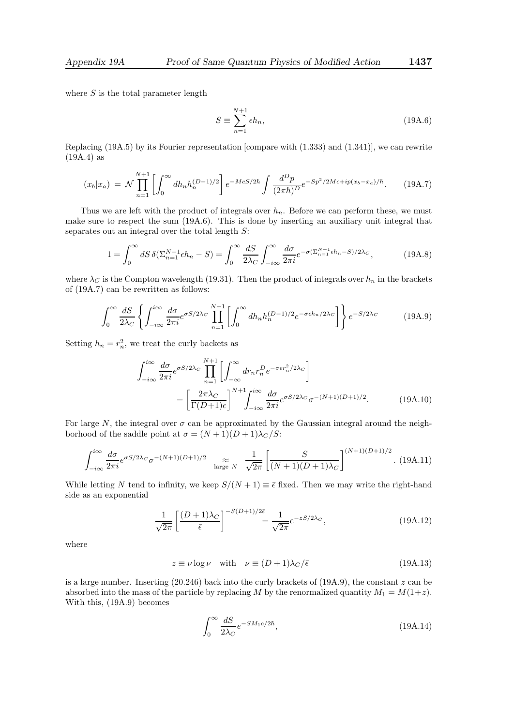where  $S$  is the total parameter length

$$
S \equiv \sum_{n=1}^{N+1} \epsilon h_n,\tag{19A.6}
$$

Replacing (19A.5) by its Fourier representation [compare with (1.333) and (1.341)], we can rewrite (19A.4) as

$$
(x_b|x_a) = \mathcal{N} \prod_{n=1}^{N+1} \left[ \int_0^\infty dh_n h_n^{(D-1)/2} \right] e^{-McS/2\hbar} \int \frac{d^D p}{(2\pi\hbar)^D} e^{-Sp^2/2Mc + ip(x_b - x_a)/\hbar}.
$$
 (19A.7)

Thus we are left with the product of integrals over  $h_n$ . Before we can perform these, we must make sure to respect the sum (19A.6). This is done by inserting an auxiliary unit integral that separates out an integral over the total length S:

$$
1 = \int_0^\infty dS \, \delta(\Sigma_{n=1}^{N+1} \epsilon h_n - S) = \int_0^\infty \frac{dS}{2\lambda_C} \int_{-i\infty}^\infty \frac{d\sigma}{2\pi i} e^{-\sigma(\Sigma_{n=1}^{N+1} \epsilon h_n - S)/2\lambda_C},\tag{19A.8}
$$

where  $\lambda_C$  is the Compton wavelength (19.31). Then the product of integrals over  $h_n$  in the brackets of (19A.7) can be rewritten as follows:

$$
\int_0^\infty \frac{dS}{2\lambda_C} \left\{ \int_{-i\infty}^{i\infty} \frac{d\sigma}{2\pi i} e^{\sigma S/2\lambda_C} \prod_{n=1}^{N+1} \left[ \int_0^\infty dh_n h_n^{(D-1)/2} e^{-\sigma \epsilon h_n/2\lambda_C} \right] \right\} e^{-S/2\lambda_C} \tag{19A.9}
$$

Setting  $h_n = r_n^2$ , we treat the curly backets as

$$
\int_{-i\infty}^{i\infty} \frac{d\sigma}{2\pi i} e^{\sigma S/2\lambda_C} \prod_{n=1}^{N+1} \left[ \int_{-\infty}^{\infty} dr_n r_n^D e^{-\sigma \epsilon r_n^2/2\lambda_C} \right]
$$

$$
= \left[ \frac{2\pi\lambda_C}{\Gamma(D+1)\epsilon} \right]^{N+1} \int_{-i\infty}^{i\infty} \frac{d\sigma}{2\pi i} e^{\sigma S/2\lambda_C} \sigma^{-(N+1)(D+1)/2}.
$$
(19A.10)

For large N, the integral over  $\sigma$  can be approximated by the Gaussian integral around the neighborhood of the saddle point at  $\sigma = (N+1)(D+1)\lambda_C/S$ :

$$
\int_{-i\infty}^{i\infty} \frac{d\sigma}{2\pi i} e^{\sigma S/2\lambda_C} \sigma^{-(N+1)(D+1)/2} \approx \frac{1}{\log e} \left[ \frac{S}{(N+1)(D+1)\lambda_C} \right]^{(N+1)(D+1)/2} . (19A.11)
$$

While letting N tend to infinity, we keep  $S/(N+1) \equiv \bar{\epsilon}$  fixed. Then we may write the right-hand side as an exponential

$$
\frac{1}{\sqrt{2\pi}} \left[ \frac{(D+1)\lambda_C}{\bar{\epsilon}} \right]^{-S(D+1)/2\bar{\epsilon}} = \frac{1}{\sqrt{2\pi}} e^{-zS/2\lambda_C},\tag{19A.12}
$$

where

$$
z \equiv \nu \log \nu \quad \text{with} \quad \nu \equiv (D+1)\lambda_C/\bar{\epsilon} \tag{19A.13}
$$

is a large number. Inserting  $(20.246)$  back into the curly brackets of  $(19A.9)$ , the constant z can be absorbed into the mass of the particle by replacing M by the renormalized quantity  $M_1 = M(1+z)$ . With this, (19A.9) becomes

$$
\int_0^\infty \frac{dS}{2\lambda_C} e^{-SM_1c/2\hbar},\tag{19A.14}
$$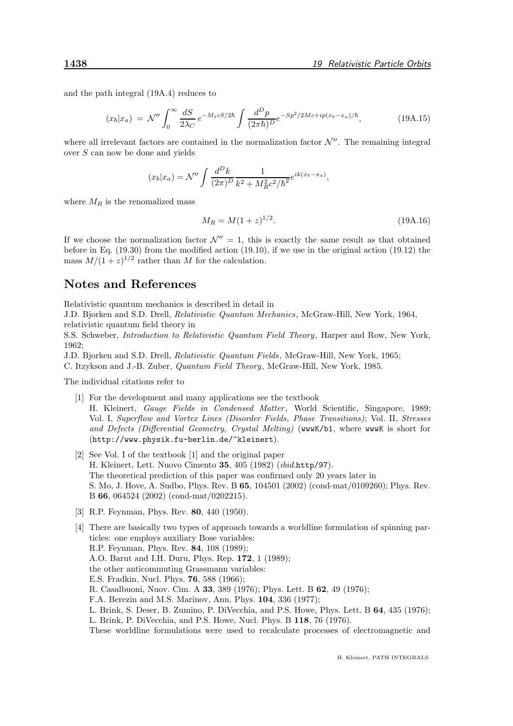and the path integral (19A.4) reduces to

$$
(x_b|x_a) = \mathcal{N}'' \int_0^\infty \frac{dS}{2\lambda_C} e^{-M_1 cS/2\hbar} \int \frac{d^D p}{(2\pi\hbar)^D} e^{-Sp^2/2Mc + ip(x_b - x_a)/\hbar}, \tag{19A.15}
$$

where all irrelevant factors are contained in the normalization factor  $\mathcal{N}''$ . The remaining integral over S can now be done and yields

$$
(x_b|x_a) = \mathcal{N}'' \int \frac{d^D k}{(2\pi)^D} \frac{1}{k^2 + M_R^2 c^2 / \hbar^2} e^{ik(x_b - x_a)},
$$

where  $M_R$  is the renomalized mass

$$
M_R = M(1+z)^{1/2}.\tag{19A.16}
$$

If we choose the normalization factor  $\mathcal{N}'' = 1$ , this is exactly the same result as that obtained before in Eq. (19.30) from the modified action (19.10), if we use in the original action (19.12) the mass  $M/(1+z)^{1/2}$  rather than M for the calculation.

# Notes and References

Relativistic quantum mechanics is described in detail in

J.D. Bjorken and S.D. Drell, Relativistic Quantum Mechanics, McGraw-Hill, New York, 1964, relativistic quantum field theory in

S.S. Schweber, Introduction to Relativistic Quantum Field Theory, Harper and Row, New York, 1962;

J.D. Bjorken and S.D. Drell, Relativistic Quantum Fields, McGraw-Hill, New York, 1965; C. Itzykson and J.-B. Zuber, Quantum Field Theory, McGraw-Hill, New York, 1985.

The individual citations refer to

- [1] For the development and many applications see the textbook H. Kleinert, *Gauge Fields in Condensed Matter*, World Scientific, Singapore, 1989; Vol. I, Superflow and Vortex Lines (Disorder Fields, Phase Transitions); Vol. II, Stresses and Defects (Differential Geometry, Crystal Melting) (wwwK/b1, where wwwK is short for (http://www.physik.fu-berlin.de/~kleinert).
- [2] See Vol. I of the textbook [1] and the original paper H. Kleinert, Lett. Nuovo Cimento 35, 405 (1982) (ibid.http/97). The theoretical prediction of this paper was confirmed only 20 years later in S. Mo, J. Hove, A. Sudbo, Phys. Rev. B 65, 104501 (2002) (cond-mat/0109260); Phys. Rev. B 66, 064524 (2002) (cond-mat/0202215).
- [3] R.P. Feynman, Phys. Rev. **80**, 440 (1950).
- [4] There are basically two types of approach towards a worldline formulation of spinning particles: one employs auxiliary Bose variables: R.P. Feynman, Phys. Rev. 84, 108 (1989); A.O. Barut and I.H. Duru, Phys. Rep. 172, 1 (1989); the other anticommuting Grassmann variables: E.S. Fradkin, Nucl. Phys. 76, 588 (1966); R. Casalbuoni, Nuov. Cim. A 33, 389 (1976); Phys. Lett. B 62, 49 (1976); F.A. Berezin and M.S. Marinov, Ann. Phys. 104, 336 (1977); L. Brink, S. Deser, B. Zumino, P. DiVecchia, and P.S. Howe, Phys. Lett. B 64, 435 (1976); L. Brink, P. DiVecchia, and P.S. Howe, Nucl. Phys. B 118, 76 (1976). These worldline formulations were used to recalculate processes of electromagnetic and